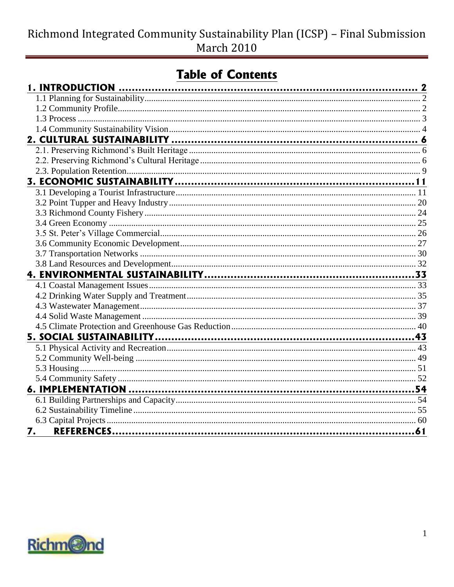# **Table of Contents**

| 7. |  |
|----|--|

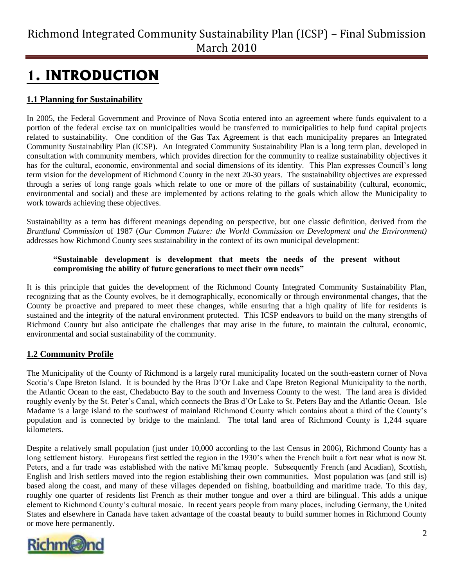# <span id="page-1-0"></span>**1. INTRODUCTION**

### <span id="page-1-1"></span>**1.1 Planning for Sustainability**

In 2005, the Federal Government and Province of Nova Scotia entered into an agreement where funds equivalent to a portion of the federal excise tax on municipalities would be transferred to municipalities to help fund capital projects related to sustainability. One condition of the Gas Tax Agreement is that each municipality prepares an Integrated Community Sustainability Plan (ICSP). An Integrated Community Sustainability Plan is a long term plan, developed in consultation with community members, which provides direction for the community to realize sustainability objectives it has for the cultural, economic, environmental and social dimensions of its identity. This Plan expresses Council's long term vision for the development of Richmond County in the next 20-30 years. The sustainability objectives are expressed through a series of long range goals which relate to one or more of the pillars of sustainability (cultural, economic, environmental and social) and these are implemented by actions relating to the goals which allow the Municipality to work towards achieving these objectives.

Sustainability as a term has different meanings depending on perspective, but one classic definition, derived from the *Bruntland Commission* of 1987 (*Our Common Future: the World Commission on Development and the Environment)* addresses how Richmond County sees sustainability in the context of its own municipal development:

#### **"Sustainable development is development that meets the needs of the present without compromising the ability of future generations to meet their own needs"**

It is this principle that guides the development of the Richmond County Integrated Community Sustainability Plan, recognizing that as the County evolves, be it demographically, economically or through environmental changes, that the County be proactive and prepared to meet these changes, while ensuring that a high quality of life for residents is sustained and the integrity of the natural environment protected. This ICSP endeavors to build on the many strengths of Richmond County but also anticipate the challenges that may arise in the future, to maintain the cultural, economic, environmental and social sustainability of the community.

### <span id="page-1-2"></span>**1.2 Community Profile**

The Municipality of the County of Richmond is a largely rural municipality located on the south-eastern corner of Nova Scotia"s Cape Breton Island. It is bounded by the Bras D"Or Lake and Cape Breton Regional Municipality to the north, the Atlantic Ocean to the east, Chedabucto Bay to the south and Inverness County to the west. The land area is divided roughly evenly by the St. Peter"s Canal, which connects the Bras d"Or Lake to St. Peters Bay and the Atlantic Ocean. Isle Madame is a large island to the southwest of mainland Richmond County which contains about a third of the County"s population and is connected by bridge to the mainland. The total land area of Richmond County is 1,244 square kilometers.

Despite a relatively small population (just under 10,000 according to the last Census in 2006), Richmond County has a long settlement history. Europeans first settled the region in the 1930's when the French built a fort near what is now St. Peters, and a fur trade was established with the native Mi"kmaq people. Subsequently French (and Acadian), Scottish, English and Irish settlers moved into the region establishing their own communities. Most population was (and still is) based along the coast, and many of these villages depended on fishing, boatbuilding and maritime trade. To this day, roughly one quarter of residents list French as their mother tongue and over a third are bilingual. This adds a unique element to Richmond County"s cultural mosaic. In recent years people from many places, including Germany, the United States and elsewhere in Canada have taken advantage of the coastal beauty to build summer homes in Richmond County or move here permanently.

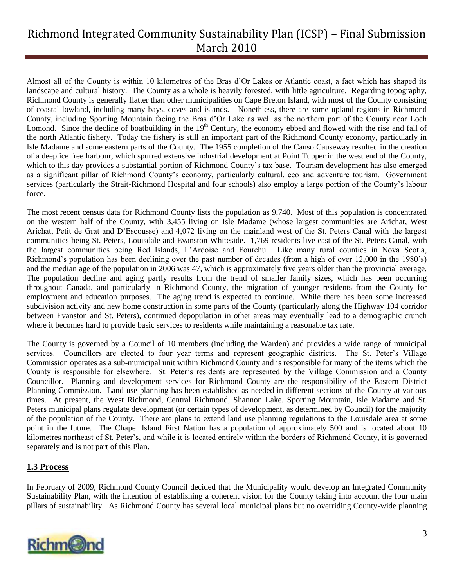Almost all of the County is within 10 kilometres of the Bras d"Or Lakes or Atlantic coast, a fact which has shaped its landscape and cultural history. The County as a whole is heavily forested, with little agriculture. Regarding topography, Richmond County is generally flatter than other municipalities on Cape Breton Island, with most of the County consisting of coastal lowland, including many bays, coves and islands. Nonethless, there are some upland regions in Richmond County, including Sporting Mountain facing the Bras d"Or Lake as well as the northern part of the County near Loch Lomond. Since the decline of boatbuilding in the  $19<sup>th</sup>$  Century, the economy ebbed and flowed with the rise and fall of the north Atlantic fishery. Today the fishery is still an important part of the Richmond County economy, particularly in Isle Madame and some eastern parts of the County. The 1955 completion of the Canso Causeway resulted in the creation of a deep ice free harbour, which spurred extensive industrial development at Point Tupper in the west end of the County, which to this day provides a substantial portion of Richmond County's tax base. Tourism development has also emerged as a significant pillar of Richmond County"s economy, particularly cultural, eco and adventure tourism. Government services (particularly the Strait-Richmond Hospital and four schools) also employ a large portion of the County"s labour force.

The most recent census data for Richmond County lists the population as 9,740. Most of this population is concentrated on the western half of the County, with 3,455 living on Isle Madame (whose largest communities are Arichat, West Arichat, Petit de Grat and D"Escousse) and 4,072 living on the mainland west of the St. Peters Canal with the largest communities being St. Peters, Louisdale and Evanston-Whiteside. 1,769 residents live east of the St. Peters Canal, with the largest communities being Red Islands, L"Ardoise and Fourchu. Like many rural counties in Nova Scotia, Richmond"s population has been declining over the past number of decades (from a high of over 12,000 in the 1980"s) and the median age of the population in 2006 was 47, which is approximately five years older than the provincial average. The population decline and aging partly results from the trend of smaller family sizes, which has been occurring throughout Canada, and particularly in Richmond County, the migration of younger residents from the County for employment and education purposes. The aging trend is expected to continue. While there has been some increased subdivision activity and new home construction in some parts of the County (particularly along the Highway 104 corridor between Evanston and St. Peters), continued depopulation in other areas may eventually lead to a demographic crunch where it becomes hard to provide basic services to residents while maintaining a reasonable tax rate.

The County is governed by a Council of 10 members (including the Warden) and provides a wide range of municipal services. Councillors are elected to four year terms and represent geographic districts. The St. Peter's Village Commission operates as a sub-municipal unit within Richmond County and is responsible for many of the items which the County is responsible for elsewhere. St. Peter"s residents are represented by the Village Commission and a County Councillor. Planning and development services for Richmond County are the responsibility of the Eastern District Planning Commission. Land use planning has been established as needed in different sections of the County at various times. At present, the West Richmond, Central Richmond, Shannon Lake, Sporting Mountain, Isle Madame and St. Peters municipal plans regulate development (or certain types of development, as determined by Council) for the majority of the population of the County. There are plans to extend land use planning regulations to the Louisdale area at some point in the future. The Chapel Island First Nation has a population of approximately 500 and is located about 10 kilometres northeast of St. Peter"s, and while it is located entirely within the borders of Richmond County, it is governed separately and is not part of this Plan.

#### <span id="page-2-0"></span>**1.3 Process**

In February of 2009, Richmond County Council decided that the Municipality would develop an Integrated Community Sustainability Plan, with the intention of establishing a coherent vision for the County taking into account the four main pillars of sustainability. As Richmond County has several local municipal plans but no overriding County-wide planning

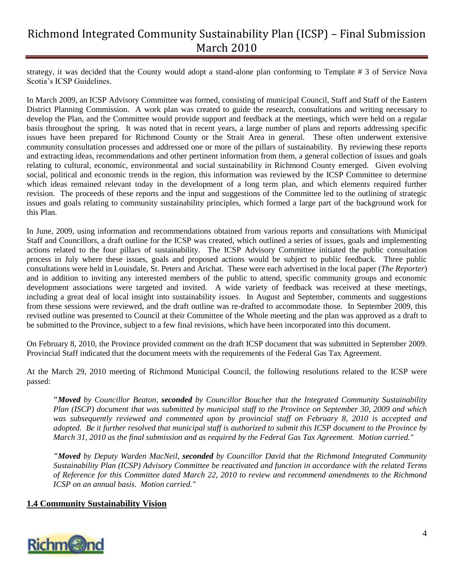strategy, it was decided that the County would adopt a stand-alone plan conforming to Template # 3 of Service Nova Scotia"s ICSP Guidelines.

In March 2009, an ICSP Advisory Committee was formed, consisting of municipal Council, Staff and Staff of the Eastern District Planning Commission. A work plan was created to guide the research, consultations and writing necessary to develop the Plan, and the Committee would provide support and feedback at the meetings, which were held on a regular basis throughout the spring. It was noted that in recent years, a large number of plans and reports addressing specific issues have been prepared for Richmond County or the Strait Area in general. These often underwent extensive community consultation processes and addressed one or more of the pillars of sustainability. By reviewing these reports and extracting ideas, recommendations and other pertinent information from them, a general collection of issues and goals relating to cultural, economic, environmental and social sustainability in Richmond County emerged. Given evolving social, political and economic trends in the region, this information was reviewed by the ICSP Committee to determine which ideas remained relevant today in the development of a long term plan, and which elements required further revision. The proceeds of these reports and the input and suggestions of the Committee led to the outlining of strategic issues and goals relating to community sustainability principles, which formed a large part of the background work for this Plan.

In June, 2009, using information and recommendations obtained from various reports and consultations with Municipal Staff and Councillors, a draft outline for the ICSP was created, which outlined a series of issues, goals and implementing actions related to the four pillars of sustainability. The ICSP Advisory Committee initiated the public consultation process in July where these issues, goals and proposed actions would be subject to public feedback. Three public consultations were held in Louisdale, St. Peters and Arichat. These were each advertised in the local paper (*The Reporter*) and in addition to inviting any interested members of the public to attend, specific community groups and economic development associations were targeted and invited. A wide variety of feedback was received at these meetings, including a great deal of local insight into sustainability issues. In August and September, comments and suggestions from these sessions were reviewed, and the draft outline was re-drafted to accommodate those. In September 2009, this revised outline was presented to Council at their Committee of the Whole meeting and the plan was approved as a draft to be submitted to the Province, subject to a few final revisions, which have been incorporated into this document.

On February 8, 2010, the Province provided comment on the draft ICSP document that was submitted in September 2009. Provincial Staff indicated that the document meets with the requirements of the Federal Gas Tax Agreement.

At the March 29, 2010 meeting of Richmond Municipal Council, the following resolutions related to the ICSP were passed:

**"***Moved by Councillor Beaton, seconded by Councillor Boucher that the Integrated Community Sustainability Plan (ISCP) document that was submitted by municipal staff to the Province on September 30, 2009 and which was subsequently reviewed and commented upon by provincial staff on February 8, 2010 is accepted and adopted. Be it further resolved that municipal staff is authorized to submit this ICSP document to the Province by March 31, 2010 as the final submission and as required by the Federal Gas Tax Agreement. Motion carried."*

*"Moved by Deputy Warden MacNeil, seconded by Councillor David that the Richmond Integrated Community Sustainability Plan (ICSP) Advisory Committee be reactivated and function in accordance with the related Terms of Reference for this Committee dated March 22, 2010 to review and recommend amendments to the Richmond ICSP on an annual basis. Motion carried."*

#### <span id="page-3-0"></span>**1.4 Community Sustainability Vision**

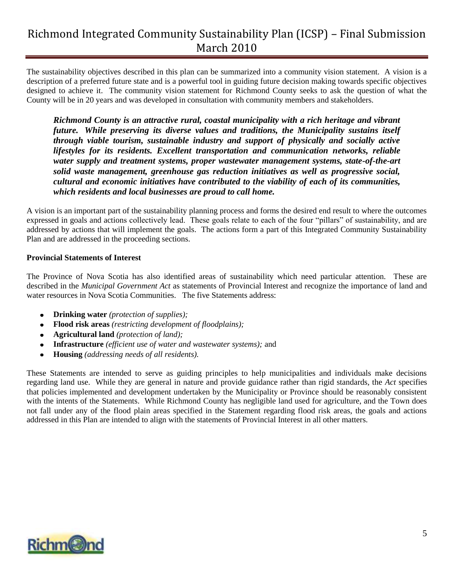The sustainability objectives described in this plan can be summarized into a community vision statement. A vision is a description of a preferred future state and is a powerful tool in guiding future decision making towards specific objectives designed to achieve it. The community vision statement for Richmond County seeks to ask the question of what the County will be in 20 years and was developed in consultation with community members and stakeholders.

*Richmond County is an attractive rural, coastal municipality with a rich heritage and vibrant future. While preserving its diverse values and traditions, the Municipality sustains itself through viable tourism, sustainable industry and support of physically and socially active lifestyles for its residents. Excellent transportation and communication networks, reliable water supply and treatment systems, proper wastewater management systems, state-of-the-art solid waste management, greenhouse gas reduction initiatives as well as progressive social, cultural and economic initiatives have contributed to the viability of each of its communities, which residents and local businesses are proud to call home.*

A vision is an important part of the sustainability planning process and forms the desired end result to where the outcomes expressed in goals and actions collectively lead. These goals relate to each of the four "pillars" of sustainability, and are addressed by actions that will implement the goals. The actions form a part of this Integrated Community Sustainability Plan and are addressed in the proceeding sections.

#### **Provincial Statements of Interest**

The Province of Nova Scotia has also identified areas of sustainability which need particular attention. These are described in the *Municipal Government Act* as statements of Provincial Interest and recognize the importance of land and water resources in Nova Scotia Communities. The five Statements address:

- **Drinking water** *(protection of supplies);*
- **Flood risk areas** *(restricting development of floodplains);*
- **Agricultural land** *(protection of land);*
- **Infrastructure** *(efficient use of water and wastewater systems);* and
- **Housing** *(addressing needs of all residents).*

These Statements are intended to serve as guiding principles to help municipalities and individuals make decisions regarding land use. While they are general in nature and provide guidance rather than rigid standards, the *Act* specifies that policies implemented and development undertaken by the Municipality or Province should be reasonably consistent with the intents of the Statements. While Richmond County has negligible land used for agriculture, and the Town does not fall under any of the flood plain areas specified in the Statement regarding flood risk areas, the goals and actions addressed in this Plan are intended to align with the statements of Provincial Interest in all other matters.

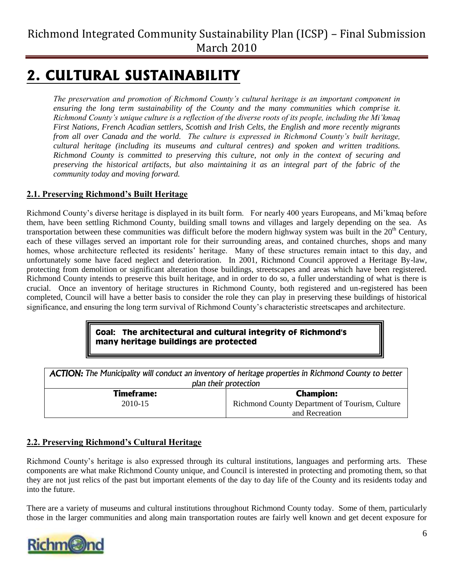# <span id="page-5-0"></span>**2. CULTURAL SUSTAINABILITY**

*The preservation and promotion of Richmond County's cultural heritage is an important component in ensuring the long term sustainability of the County and the many communities which comprise it. Richmond County's unique culture is a reflection of the diverse roots of its people, including the Mi'kmaq First Nations, French Acadian settlers, Scottish and Irish Celts, the English and more recently migrants from all over Canada and the world. The culture is expressed in Richmond County's built heritage, cultural heritage (including its museums and cultural centres) and spoken and written traditions. Richmond County is committed to preserving this culture, not only in the context of securing and preserving the historical artifacts, but also maintaining it as an integral part of the fabric of the community today and moving forward.*

### <span id="page-5-1"></span>**2.1. Preserving Richmond's Built Heritage**

Richmond County"s diverse heritage is displayed in its built form. For nearly 400 years Europeans, and Mi"kmaq before them, have been settling Richmond County, building small towns and villages and largely depending on the sea. As transportation between these communities was difficult before the modern highway system was built in the  $20<sup>th</sup>$  Century, each of these villages served an important role for their surrounding areas, and contained churches, shops and many homes, whose architecture reflected its residents' heritage. Many of these structures remain intact to this day, and unfortunately some have faced neglect and deterioration. In 2001, Richmond Council approved a Heritage By-law, protecting from demolition or significant alteration those buildings, streetscapes and areas which have been registered. Richmond County intends to preserve this built heritage, and in order to do so, a fuller understanding of what is there is crucial. Once an inventory of heritage structures in Richmond County, both registered and un-registered has been completed, Council will have a better basis to consider the role they can play in preserving these buildings of historical significance, and ensuring the long term survival of Richmond County"s characteristic streetscapes and architecture.

### **Goal: The architectural and cultural integrity of Richmond's many heritage buildings are protected**

| <b>ACTION:</b> The Municipality will conduct an inventory of heritage properties in Richmond County to better<br>plan their protection |                                                |
|----------------------------------------------------------------------------------------------------------------------------------------|------------------------------------------------|
| <b>Timeframe:</b>                                                                                                                      | <b>Champion:</b>                               |
| 2010-15                                                                                                                                | Richmond County Department of Tourism, Culture |
|                                                                                                                                        | and Recreation                                 |

### <span id="page-5-2"></span>**2.2. Preserving Richmond's Cultural Heritage**

Richmond County's heritage is also expressed through its cultural institutions, languages and performing arts. These components are what make Richmond County unique, and Council is interested in protecting and promoting them, so that they are not just relics of the past but important elements of the day to day life of the County and its residents today and into the future.

There are a variety of museums and cultural institutions throughout Richmond County today. Some of them, particularly those in the larger communities and along main transportation routes are fairly well known and get decent exposure for

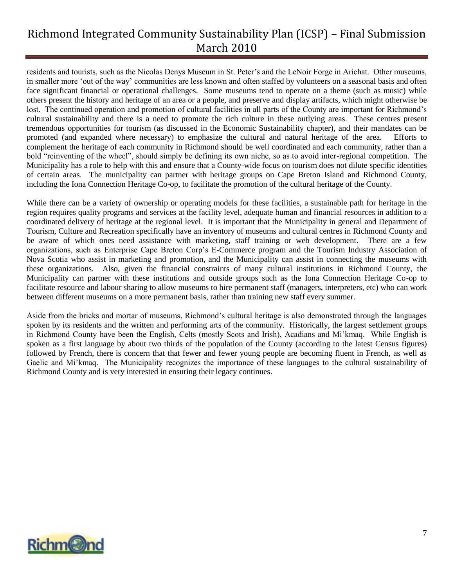residents and tourists, such as the Nicolas Denys Museum in St. Peter"s and the LeNoir Forge in Arichat. Other museums, in smaller more "out of the way" communities are less known and often staffed by volunteers on a seasonal basis and often face significant financial or operational challenges. Some museums tend to operate on a theme (such as music) while others present the history and heritage of an area or a people, and preserve and display artifacts, which might otherwise be lost. The continued operation and promotion of cultural facilities in all parts of the County are important for Richmond's cultural sustainability and there is a need to promote the rich culture in these outlying areas. These centres present tremendous opportunities for tourism (as discussed in the Economic Sustainability chapter), and their mandates can be promoted (and expanded where necessary) to emphasize the cultural and natural heritage of the area. Efforts to complement the heritage of each community in Richmond should be well coordinated and each community, rather than a bold "reinventing of the wheel", should simply be defining its own niche, so as to avoid inter-regional competition. The Municipality has a role to help with this and ensure that a County-wide focus on tourism does not dilute specific identities of certain areas. The municipality can partner with heritage groups on Cape Breton Island and Richmond County, including the Iona Connection Heritage Co-op, to facilitate the promotion of the cultural heritage of the County.

While there can be a variety of ownership or operating models for these facilities, a sustainable path for heritage in the region requires quality programs and services at the facility level, adequate human and financial resources in addition to a coordinated delivery of heritage at the regional level. It is important that the Municipality in general and Department of Tourism, Culture and Recreation specifically have an inventory of museums and cultural centres in Richmond County and be aware of which ones need assistance with marketing, staff training or web development. There are a few organizations, such as Enterprise Cape Breton Corp"s E-Commerce program and the Tourism Industry Association of Nova Scotia who assist in marketing and promotion, and the Municipality can assist in connecting the museums with these organizations. Also, given the financial constraints of many cultural institutions in Richmond County, the Municipality can partner with these institutions and outside groups such as the Iona Connection Heritage Co-op to facilitate resource and labour sharing to allow museums to hire permanent staff (managers, interpreters, etc) who can work between different museums on a more permanent basis, rather than training new staff every summer.

Aside from the bricks and mortar of museums, Richmond"s cultural heritage is also demonstrated through the languages spoken by its residents and the written and performing arts of the community. Historically, the largest settlement groups in Richmond County have been the English, Celts (mostly Scots and Irish), Acadians and Mi"kmaq. While English is spoken as a first language by about two thirds of the population of the County (according to the latest Census figures) followed by French, there is concern that that fewer and fewer young people are becoming fluent in French, as well as Gaelic and Mi"kmaq. The Municipality recognizes the importance of these languages to the cultural sustainability of Richmond County and is very interested in ensuring their legacy continues.

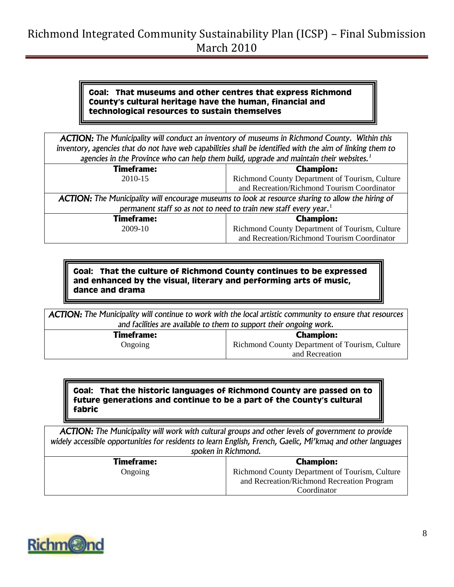#### **Goal: That museums and other centres that express Richmond County's cultural heritage have the human, financial and technological resources to sustain themselves**

*ACTION: The Municipality will conduct an inventory of museums in Richmond County. Within this inventory, agencies that do not have web capabilities shall be identified with the aim of linking them to agencies in the Province who can help them build, upgrade and maintain their websites.<sup>1</sup>*

| <b>Timeframe:</b>                                                                                         | <b>Champion:</b>                                                              |
|-----------------------------------------------------------------------------------------------------------|-------------------------------------------------------------------------------|
| 2010-15                                                                                                   | Richmond County Department of Tourism, Culture                                |
|                                                                                                           | and Recreation/Richmond Tourism Coordinator                                   |
| <b>ACTION:</b> The Municipality will encourage museums to look at resource sharing to allow the hiring of |                                                                               |
|                                                                                                           | permanent staff so as not to need to train new staff every year. <sup>1</sup> |
| <b>Timeframe:</b>                                                                                         | <b>Champion:</b>                                                              |
| 2009-10                                                                                                   | Richmond County Department of Tourism, Culture                                |
|                                                                                                           | and Recreation/Richmond Tourism Coordinator                                   |

**Goal: That the culture of Richmond County continues to be expressed and enhanced by the visual, literary and performing arts of music, dance and drama**

*ACTION: The Municipality will continue to work with the local artistic community to ensure that resources and facilities are available to them to support their ongoing work.*

> **Timeframe:** Ongoing

**Champion:** Richmond County Department of Tourism, Culture and Recreation

#### **Goal: That the historic languages of Richmond County are passed on to future generations and continue to be a part of the County's cultural fabric**

*ACTION: The Municipality will work with cultural groups and other levels of government to provide*  widely accessible opportunities for residents to learn English, French, Gaelic, Mi'kmaq and other languages *spoken in Richmond.*

| SPOKEN IN KILINDURIA. |                                                |
|-----------------------|------------------------------------------------|
| <b>Timeframe:</b>     | <b>Champion:</b>                               |
| Ongoing               | Richmond County Department of Tourism, Culture |
|                       | and Recreation/Richmond Recreation Program     |
|                       | Coordinator                                    |

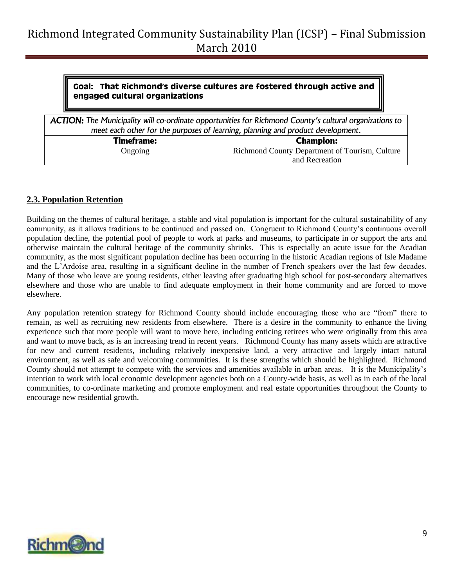#### **Goal: That Richmond's diverse cultures are fostered through active and engaged cultural organizations**

*ACTION: The Municipality will co-ordinate opportunities for Richmond County's cultural organizations to meet each other for the purposes of learning, planning and product development.* **Timeframe:** Ongoing **Champion:** Richmond County Department of Tourism, Culture and Recreation

### <span id="page-8-0"></span>**2.3. Population Retention**

Building on the themes of cultural heritage, a stable and vital population is important for the cultural sustainability of any community, as it allows traditions to be continued and passed on. Congruent to Richmond County"s continuous overall population decline, the potential pool of people to work at parks and museums, to participate in or support the arts and otherwise maintain the cultural heritage of the community shrinks. This is especially an acute issue for the Acadian community, as the most significant population decline has been occurring in the historic Acadian regions of Isle Madame and the L"Ardoise area, resulting in a significant decline in the number of French speakers over the last few decades. Many of those who leave are young residents, either leaving after graduating high school for post-secondary alternatives elsewhere and those who are unable to find adequate employment in their home community and are forced to move elsewhere.

Any population retention strategy for Richmond County should include encouraging those who are "from" there to remain, as well as recruiting new residents from elsewhere. There is a desire in the community to enhance the living experience such that more people will want to move here, including enticing retirees who were originally from this area and want to move back, as is an increasing trend in recent years. Richmond County has many assets which are attractive for new and current residents, including relatively inexpensive land, a very attractive and largely intact natural environment, as well as safe and welcoming communities. It is these strengths which should be highlighted. Richmond County should not attempt to compete with the services and amenities available in urban areas. It is the Municipality"s intention to work with local economic development agencies both on a County-wide basis, as well as in each of the local communities, to co-ordinate marketing and promote employment and real estate opportunities throughout the County to encourage new residential growth.

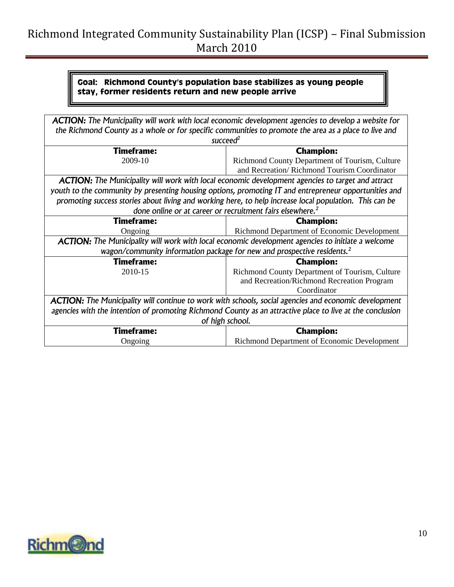### **Goal: Richmond County's population base stabilizes as young people stay, former residents return and new people arrive**

| ACTION: The Municipality will work with local economic development agencies to develop a website for         |                                                                                                          |  |
|--------------------------------------------------------------------------------------------------------------|----------------------------------------------------------------------------------------------------------|--|
|                                                                                                              | the Richmond County as a whole or for specific communities to promote the area as a place to live and    |  |
|                                                                                                              | succeed $^2$                                                                                             |  |
| <b>Timeframe:</b>                                                                                            | <b>Champion:</b>                                                                                         |  |
| 2009-10                                                                                                      | Richmond County Department of Tourism, Culture                                                           |  |
|                                                                                                              | and Recreation/Richmond Tourism Coordinator                                                              |  |
|                                                                                                              | <b>ACTION:</b> The Municipality will work with local economic development agencies to target and attract |  |
| youth to the community by presenting housing options, promoting IT and entrepreneur opportunities and        |                                                                                                          |  |
| promoting success stories about living and working here, to help increase local population. This can be      |                                                                                                          |  |
|                                                                                                              | done online or at career or recruitment fairs elsewhere. <sup>2</sup>                                    |  |
| <b>Timeframe:</b>                                                                                            | <b>Champion:</b>                                                                                         |  |
| Ongoing                                                                                                      | Richmond Department of Economic Development                                                              |  |
| <b>ACTION:</b> The Municipality will work with local economic development agencies to initiate a welcome     |                                                                                                          |  |
| wagon/community information package for new and prospective residents. <sup>2</sup>                          |                                                                                                          |  |
| <b>Timeframe:</b>                                                                                            | <b>Champion:</b>                                                                                         |  |
| 2010-15                                                                                                      | Richmond County Department of Tourism, Culture                                                           |  |
|                                                                                                              | and Recreation/Richmond Recreation Program                                                               |  |
|                                                                                                              | Coordinator                                                                                              |  |
| <b>ACTION:</b> The Municipality will continue to work with schools, social agencies and economic development |                                                                                                          |  |
| agencies with the intention of promoting Richmond County as an attractive place to live at the conclusion    |                                                                                                          |  |
| of high school.                                                                                              |                                                                                                          |  |
| <b>Timeframe:</b>                                                                                            | <b>Champion:</b>                                                                                         |  |
| Ongoing                                                                                                      | Richmond Department of Economic Development                                                              |  |

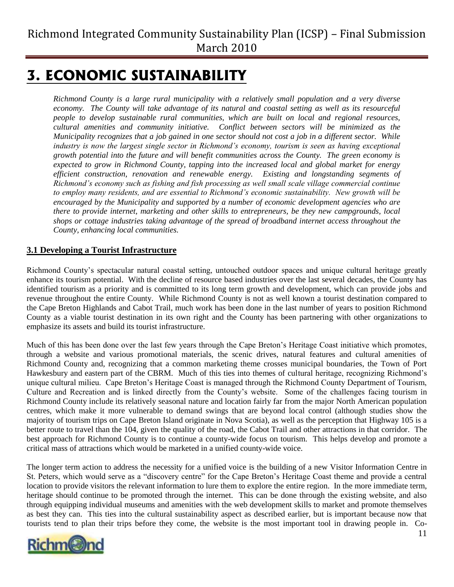# <span id="page-10-0"></span>**3. ECONOMIC SUSTAINABILITY**

*Richmond County is a large rural municipality with a relatively small population and a very diverse economy. The County will take advantage of its natural and coastal setting as well as its resourceful people to develop sustainable rural communities, which are built on local and regional resources, cultural amenities and community initiative. Conflict between sectors will be minimized as the Municipality recognizes that a job gained in one sector should not cost a job in a different sector. While industry is now the largest single sector in Richmond's economy, tourism is seen as having exceptional growth potential into the future and will benefit communities across the County. The green economy is expected to grow in Richmond County, tapping into the increased local and global market for energy efficient construction, renovation and renewable energy. Existing and longstanding segments of Richmond's economy such as fishing and fish processing as well small scale village commercial continue to employ many residents, and are essential to Richmond's economic sustainability. New growth will be encouraged by the Municipality and supported by a number of economic development agencies who are there to provide internet, marketing and other skills to entrepreneurs, be they new campgrounds, local shops or cottage industries taking advantage of the spread of broadband internet access throughout the County, enhancing local communities.* 

### <span id="page-10-1"></span>**3.1 Developing a Tourist Infrastructure**

Richmond County"s spectacular natural coastal setting, untouched outdoor spaces and unique cultural heritage greatly enhance its tourism potential. With the decline of resource based industries over the last several decades, the County has identified tourism as a priority and is committed to its long term growth and development, which can provide jobs and revenue throughout the entire County. While Richmond County is not as well known a tourist destination compared to the Cape Breton Highlands and Cabot Trail, much work has been done in the last number of years to position Richmond County as a viable tourist destination in its own right and the County has been partnering with other organizations to emphasize its assets and build its tourist infrastructure.

Much of this has been done over the last few years through the Cape Breton"s Heritage Coast initiative which promotes, through a website and various promotional materials, the scenic drives, natural features and cultural amenities of Richmond County and, recognizing that a common marketing theme crosses municipal boundaries, the Town of Port Hawkesbury and eastern part of the CBRM. Much of this ties into themes of cultural heritage, recognizing Richmond"s unique cultural milieu. Cape Breton"s Heritage Coast is managed through the Richmond County Department of Tourism, Culture and Recreation and is linked directly from the County"s website. Some of the challenges facing tourism in Richmond County include its relatively seasonal nature and location fairly far from the major North American population centres, which make it more vulnerable to demand swings that are beyond local control (although studies show the majority of tourism trips on Cape Breton Island originate in Nova Scotia), as well as the perception that Highway 105 is a better route to travel than the 104, given the quality of the road, the Cabot Trail and other attractions in that corridor. The best approach for Richmond County is to continue a county-wide focus on tourism. This helps develop and promote a critical mass of attractions which would be marketed in a unified county-wide voice.

The longer term action to address the necessity for a unified voice is the building of a new Visitor Information Centre in St. Peters, which would serve as a "discovery centre" for the Cape Breton"s Heritage Coast theme and provide a central location to provide visitors the relevant information to lure them to explore the entire region. In the more immediate term, heritage should continue to be promoted through the internet. This can be done through the existing website, and also through equipping individual museums and amenities with the web development skills to market and promote themselves as best they can. This ties into the cultural sustainability aspect as described earlier, but is important because now that tourists tend to plan their trips before they come, the website is the most important tool in drawing people in. Co-

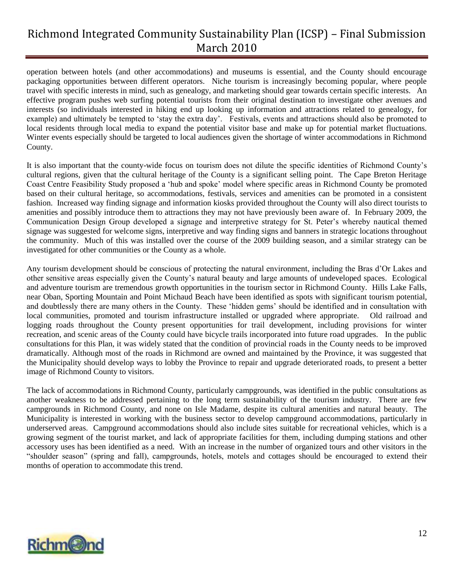operation between hotels (and other accommodations) and museums is essential, and the County should encourage packaging opportunities between different operators. Niche tourism is increasingly becoming popular, where people travel with specific interests in mind, such as genealogy, and marketing should gear towards certain specific interests. An effective program pushes web surfing potential tourists from their original destination to investigate other avenues and interests (so individuals interested in hiking end up looking up information and attractions related to genealogy, for example) and ultimately be tempted to "stay the extra day". Festivals, events and attractions should also be promoted to local residents through local media to expand the potential visitor base and make up for potential market fluctuations. Winter events especially should be targeted to local audiences given the shortage of winter accommodations in Richmond County.

It is also important that the county-wide focus on tourism does not dilute the specific identities of Richmond County"s cultural regions, given that the cultural heritage of the County is a significant selling point. The Cape Breton Heritage Coast Centre Feasibility Study proposed a "hub and spoke" model where specific areas in Richmond County be promoted based on their cultural heritage, so accommodations, festivals, services and amenities can be promoted in a consistent fashion. Increased way finding signage and information kiosks provided throughout the County will also direct tourists to amenities and possibly introduce them to attractions they may not have previously been aware of. In February 2009, the Communication Design Group developed a signage and interpretive strategy for St. Peter"s whereby nautical themed signage was suggested for welcome signs, interpretive and way finding signs and banners in strategic locations throughout the community. Much of this was installed over the course of the 2009 building season, and a similar strategy can be investigated for other communities or the County as a whole.

Any tourism development should be conscious of protecting the natural environment, including the Bras d"Or Lakes and other sensitive areas especially given the County"s natural beauty and large amounts of undeveloped spaces. Ecological and adventure tourism are tremendous growth opportunities in the tourism sector in Richmond County. Hills Lake Falls, near Oban, Sporting Mountain and Point Michaud Beach have been identified as spots with significant tourism potential, and doubtlessly there are many others in the County. These "hidden gems" should be identified and in consultation with local communities, promoted and tourism infrastructure installed or upgraded where appropriate. Old railroad and logging roads throughout the County present opportunities for trail development, including provisions for winter recreation, and scenic areas of the County could have bicycle trails incorporated into future road upgrades. In the public consultations for this Plan, it was widely stated that the condition of provincial roads in the County needs to be improved dramatically. Although most of the roads in Richmond are owned and maintained by the Province, it was suggested that the Municipality should develop ways to lobby the Province to repair and upgrade deteriorated roads, to present a better image of Richmond County to visitors.

The lack of accommodations in Richmond County, particularly campgrounds, was identified in the public consultations as another weakness to be addressed pertaining to the long term sustainability of the tourism industry. There are few campgrounds in Richmond County, and none on Isle Madame, despite its cultural amenities and natural beauty. The Municipality is interested in working with the business sector to develop campground accommodations, particularly in underserved areas. Campground accommodations should also include sites suitable for recreational vehicles, which is a growing segment of the tourist market, and lack of appropriate facilities for them, including dumping stations and other accessory uses has been identified as a need. With an increase in the number of organized tours and other visitors in the "shoulder season" (spring and fall), campgrounds, hotels, motels and cottages should be encouraged to extend their months of operation to accommodate this trend.

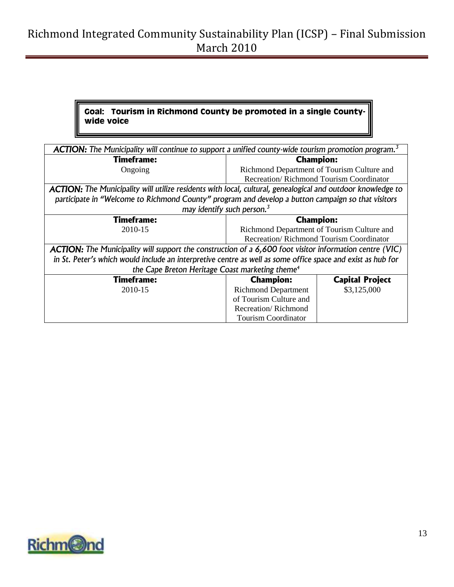### **Goal: Tourism in Richmond County be promoted in a single Countywide voice**

| <b>ACTION:</b> The Municipality will continue to support a unified county-wide tourism promotion program. <sup>3</sup> |                                                 |                        |
|------------------------------------------------------------------------------------------------------------------------|-------------------------------------------------|------------------------|
| Timeframe:                                                                                                             | <b>Champion:</b>                                |                        |
| Ongoing                                                                                                                | Richmond Department of Tourism Culture and      |                        |
|                                                                                                                        | <b>Recreation/ Richmond Tourism Coordinator</b> |                        |
| <b>ACTION:</b> The Municipality will utilize residents with local, cultural, genealogical and outdoor knowledge to     |                                                 |                        |
| participate in "Welcome to Richmond County" program and develop a button campaign so that visitors                     |                                                 |                        |
| may identify such person. <sup>3</sup>                                                                                 |                                                 |                        |
| Timeframe:                                                                                                             | <b>Champion:</b>                                |                        |
| 2010-15                                                                                                                | Richmond Department of Tourism Culture and      |                        |
|                                                                                                                        | Recreation/Richmond Tourism Coordinator         |                        |
| <b>ACTION:</b> The Municipality will support the construction of a 6,600 foot visitor information centre (VIC)         |                                                 |                        |
| in St. Peter's which would include an interpretive centre as well as some office space and exist as hub for            |                                                 |                        |
| the Cape Breton Heritage Coast marketing theme <sup>4</sup>                                                            |                                                 |                        |
| <b>Timeframe:</b>                                                                                                      | <b>Champion:</b>                                | <b>Capital Project</b> |
| 2010-15                                                                                                                | <b>Richmond Department</b>                      | \$3,125,000            |
|                                                                                                                        | of Tourism Culture and                          |                        |
|                                                                                                                        | Recreation/Richmond                             |                        |
|                                                                                                                        | <b>Tourism Coordinator</b>                      |                        |

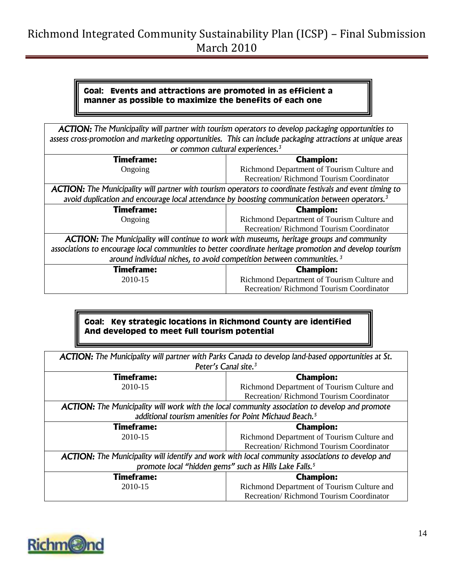#### **Goal: Events and attractions are promoted in as efficient a manner as possible to maximize the benefits of each one**

|                                                                                                                 | <b>ACTION:</b> The Municipality will partner with tourism operators to develop packaging opportunities to |  |
|-----------------------------------------------------------------------------------------------------------------|-----------------------------------------------------------------------------------------------------------|--|
| assess cross-promotion and marketing opportunities. This can include packaging attractions at unique areas      |                                                                                                           |  |
| or common cultural experiences. <sup>3</sup>                                                                    |                                                                                                           |  |
| <b>Timeframe:</b>                                                                                               | <b>Champion:</b>                                                                                          |  |
| Ongoing                                                                                                         | Richmond Department of Tourism Culture and                                                                |  |
|                                                                                                                 | Recreation/Richmond Tourism Coordinator                                                                   |  |
| <b>ACTION:</b> The Municipality will partner with tourism operators to coordinate festivals and event timing to |                                                                                                           |  |
| avoid duplication and encourage local attendance by boosting communication between operators. <sup>3</sup>      |                                                                                                           |  |
|                                                                                                                 |                                                                                                           |  |
| <b>Timeframe:</b>                                                                                               | <b>Champion:</b>                                                                                          |  |
| Ongoing                                                                                                         | Richmond Department of Tourism Culture and                                                                |  |
|                                                                                                                 | Recreation/Richmond Tourism Coordinator                                                                   |  |
| <b>ACTION:</b> The Municipality will continue to work with museums, heritage groups and community               |                                                                                                           |  |
| associations to encourage local communities to better coordinate heritage promotion and develop tourism         |                                                                                                           |  |
| around individual niches, to avoid competition between communities. <sup>3</sup>                                |                                                                                                           |  |
| <b>Timeframe:</b>                                                                                               | <b>Champion:</b>                                                                                          |  |

### **Goal: Key strategic locations in Richmond County are identified And developed to meet full tourism potential**

Recreation/ Richmond Tourism Coordinator

| <b>ACTION:</b> The Municipality will partner with Parks Canada to develop land-based opportunities at St. |                                                                                                  |
|-----------------------------------------------------------------------------------------------------------|--------------------------------------------------------------------------------------------------|
|                                                                                                           | Peter's Canal site. <sup>3</sup>                                                                 |
| Timeframe:                                                                                                | <b>Champion:</b>                                                                                 |
| 2010-15                                                                                                   | Richmond Department of Tourism Culture and                                                       |
|                                                                                                           | Recreation/Richmond Tourism Coordinator                                                          |
| <b>ACTION:</b> The Municipality will work with the local community association to develop and promote     |                                                                                                  |
| additional tourism amenities for Point Michaud Beach. <sup>5</sup>                                        |                                                                                                  |
|                                                                                                           |                                                                                                  |
| <b>Timeframe:</b>                                                                                         | <b>Champion:</b>                                                                                 |
| 2010-15                                                                                                   | Richmond Department of Tourism Culture and                                                       |
|                                                                                                           | Recreation/Richmond Tourism Coordinator                                                          |
|                                                                                                           | ACTION: The Municipality will identify and work with local community associations to develop and |
|                                                                                                           | promote local "hidden gems" such as Hills Lake Falls. <sup>5</sup>                               |
| Timeframe:                                                                                                | <b>Champion:</b>                                                                                 |
| 2010-15                                                                                                   | Richmond Department of Tourism Culture and                                                       |

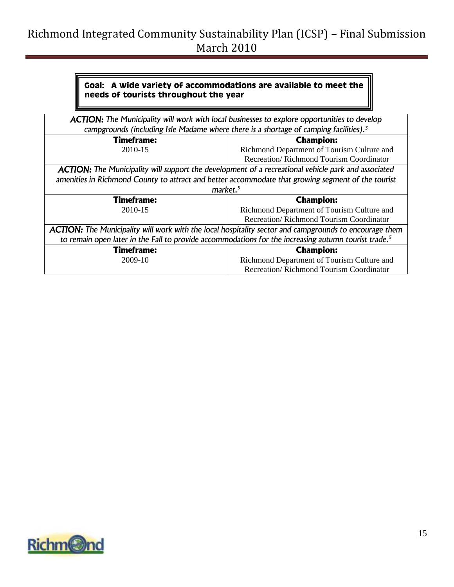#### **Goal: A wide variety of accommodations are available to meet the needs of tourists throughout the year**

| <b>ACTION:</b> The Municipality will work with local businesses to explore opportunities to develop<br>campgrounds (including Isle Madame where there is a shortage of camping facilities). <sup>3</sup> |                                            |
|----------------------------------------------------------------------------------------------------------------------------------------------------------------------------------------------------------|--------------------------------------------|
|                                                                                                                                                                                                          |                                            |
| <b>Timeframe:</b>                                                                                                                                                                                        | <b>Champion:</b>                           |
| 2010-15                                                                                                                                                                                                  | Richmond Department of Tourism Culture and |
|                                                                                                                                                                                                          | Recreation/Richmond Tourism Coordinator    |
| <b>ACTION:</b> The Municipality will support the development of a recreational vehicle park and associated                                                                                               |                                            |
| amenities in Richmond County to attract and better accommodate that growing segment of the tourist                                                                                                       |                                            |
| market. <sup>5</sup>                                                                                                                                                                                     |                                            |
| <b>Timeframe:</b>                                                                                                                                                                                        | <b>Champion:</b>                           |
| 2010-15                                                                                                                                                                                                  | Richmond Department of Tourism Culture and |
|                                                                                                                                                                                                          | Recreation/Richmond Tourism Coordinator    |
| ACTION: The Municipality will work with the local hospitality sector and campgrounds to encourage them                                                                                                   |                                            |
| to remain open later in the Fall to provide accommodations for the increasing autumn tourist trade. <sup>5</sup>                                                                                         |                                            |
| <b>Timeframe:</b>                                                                                                                                                                                        | <b>Champion:</b>                           |
| 2009-10                                                                                                                                                                                                  | Richmond Department of Tourism Culture and |
|                                                                                                                                                                                                          | Recreation/Richmond Tourism Coordinator    |

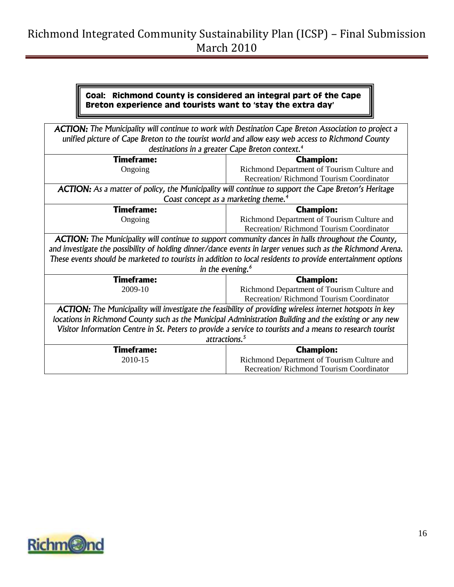#### **Goal: Richmond County is considered an integral part of the Cape Breton experience and tourists want to 'stay the extra day'**

| <b>ACTION:</b> The Municipality will continue to work with Destination Cape Breton Association to project a |                                                |  |
|-------------------------------------------------------------------------------------------------------------|------------------------------------------------|--|
| unified picture of Cape Breton to the tourist world and allow easy web access to Richmond County            |                                                |  |
| destinations in a greater Cape Breton context. <sup>4</sup>                                                 |                                                |  |
| <b>Timeframe:</b>                                                                                           | <b>Champion:</b>                               |  |
| Ongoing                                                                                                     | Richmond Department of Tourism Culture and     |  |
|                                                                                                             | Recreation/Richmond Tourism Coordinator        |  |
| ACTION: As a matter of policy, the Municipality will continue to support the Cape Breton's Heritage         |                                                |  |
| Coast concept as a marketing theme. <sup>4</sup>                                                            |                                                |  |
| <b>Timeframe:</b>                                                                                           | <b>Champion:</b>                               |  |
| Ongoing                                                                                                     | Richmond Department of Tourism Culture and     |  |
|                                                                                                             | Recreation/Richmond Tourism Coordinator        |  |
| <b>ACTION:</b> The Municipality will continue to support community dances in halls throughout the County,   |                                                |  |
| and investigate the possibility of holding dinner/dance events in larger venues such as the Richmond Arena. |                                                |  |
| These events should be marketed to tourists in addition to local residents to provide entertainment options |                                                |  |
| in the evening. <sup>6</sup>                                                                                |                                                |  |
| <b>Timeframe:</b>                                                                                           | <b>Champion:</b>                               |  |
| 2009-10                                                                                                     | Richmond Department of Tourism Culture and     |  |
|                                                                                                             | Recreation/Richmond Tourism Coordinator        |  |
| ACTION: The Municipality will investigate the feasibility of providing wireless internet hotspots in key    |                                                |  |
| locations in Richmond County such as the Municipal Administration Building and the existing or any new      |                                                |  |
| Visitor Information Centre in St. Peters to provide a service to tourists and a means to research tourist   |                                                |  |
| attractions. <sup>5</sup>                                                                                   |                                                |  |
| <b>Timeframe:</b>                                                                                           | <b>Champion:</b>                               |  |
| 2010-15                                                                                                     | Richmond Department of Tourism Culture and     |  |
|                                                                                                             | <b>Recreation/Richmond Tourism Coordinator</b> |  |

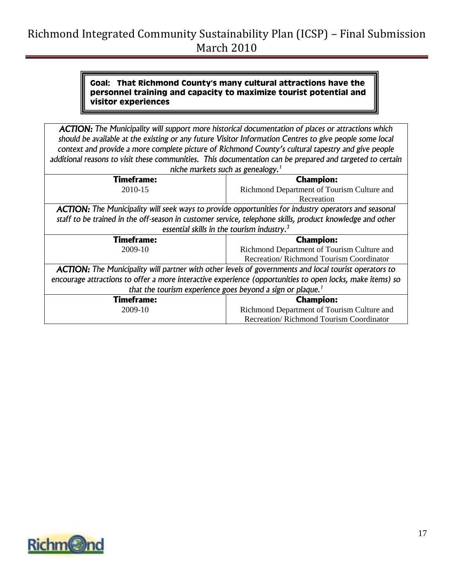#### **Goal: That Richmond County's many cultural attractions have the personnel training and capacity to maximize tourist potential and visitor experiences**

*ACTION: The Municipality will support more historical documentation of places or attractions which should be available at the existing or any future Visitor Information Centres to give people some local context and provide a more complete picture of Richmond County's cultural tapestry and give people additional reasons to visit these communities. This documentation can be prepared and targeted to certain niche markets such as genealogy.<sup>1</sup>*

| Timeframe:                                                                                                   | <b>Champion:</b>                                                                                          |
|--------------------------------------------------------------------------------------------------------------|-----------------------------------------------------------------------------------------------------------|
| 2010-15                                                                                                      | Richmond Department of Tourism Culture and                                                                |
|                                                                                                              | Recreation                                                                                                |
| <b>ACTION:</b> The Municipality will seek ways to provide opportunities for industry operators and seasonal  |                                                                                                           |
| staff to be trained in the off-season in customer service, telephone skills, product knowledge and other     |                                                                                                           |
| essential skills in the tourism industry. $3$                                                                |                                                                                                           |
| <b>Timeframe:</b>                                                                                            | <b>Champion:</b>                                                                                          |
| 2009-10                                                                                                      | Richmond Department of Tourism Culture and                                                                |
|                                                                                                              | Recreation/Richmond Tourism Coordinator                                                                   |
| <b>ACTION:</b> The Municipality will partner with other levels of governments and local tourist operators to |                                                                                                           |
|                                                                                                              | encourage attractions to offer a more interactive experience (opportunities to open locks, make items) so |
| that the tourism experience goes beyond a sign or plaque. <sup>1</sup>                                       |                                                                                                           |
| <b>Timeframe:</b>                                                                                            | <b>Champion:</b>                                                                                          |
| 2009-10                                                                                                      | Richmond Department of Tourism Culture and                                                                |
|                                                                                                              | Recreation/Richmond Tourism Coordinator                                                                   |

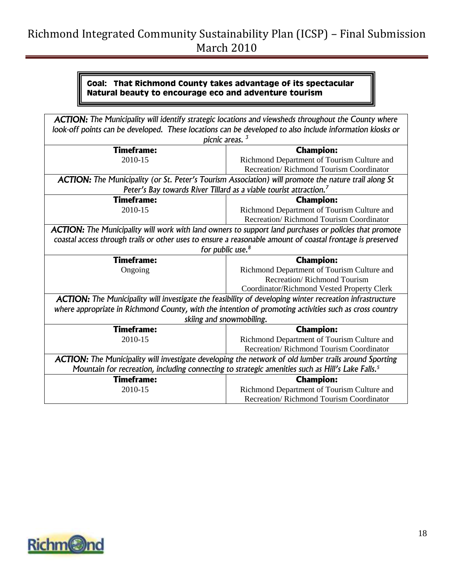#### **Goal: That Richmond County takes advantage of its spectacular Natural beauty to encourage eco and adventure tourism**

| <b>ACTION:</b> The Municipality will identify strategic locations and viewsheds throughout the County where   |                                                                                       |
|---------------------------------------------------------------------------------------------------------------|---------------------------------------------------------------------------------------|
| look-off points can be developed. These locations can be developed to also include information kiosks or      |                                                                                       |
| picnic areas. <sup>3</sup>                                                                                    |                                                                                       |
| <b>Timeframe:</b>                                                                                             | <b>Champion:</b>                                                                      |
| 2010-15                                                                                                       | Richmond Department of Tourism Culture and                                            |
|                                                                                                               | Recreation/Richmond Tourism Coordinator                                               |
| <b>ACTION:</b> The Municipality (or St. Peter's Tourism Association) will promote the nature trail along St   |                                                                                       |
| Peter's Bay towards River Tillard as a viable tourist attraction. <sup>7</sup>                                |                                                                                       |
| <b>Timeframe:</b>                                                                                             | <b>Champion:</b>                                                                      |
| 2010-15                                                                                                       | Richmond Department of Tourism Culture and                                            |
|                                                                                                               | Recreation/Richmond Tourism Coordinator                                               |
| <b>ACTION:</b> The Municipality will work with land owners to support land purchases or policies that promote |                                                                                       |
| coastal access through trails or other uses to ensure a reasonable amount of coastal frontage is preserved    |                                                                                       |
| for public use. <sup>8</sup>                                                                                  |                                                                                       |
| <b>Timeframe:</b>                                                                                             | <b>Champion:</b>                                                                      |
| Ongoing                                                                                                       | Richmond Department of Tourism Culture and                                            |
|                                                                                                               | Recreation/Richmond Tourism                                                           |
|                                                                                                               | Coordinator/Richmond Vested Property Clerk                                            |
| ACTION: The Municipality will investigate the feasibility of developing winter recreation infrastructure      |                                                                                       |
| where appropriate in Richmond County, with the intention of promoting activities such as cross country        |                                                                                       |
| skiing and snowmobiling.                                                                                      |                                                                                       |
| <b>Timeframe:</b>                                                                                             | <b>Champion:</b>                                                                      |
| 2010-15                                                                                                       | Richmond Department of Tourism Culture and                                            |
|                                                                                                               | Recreation/Richmond Tourism Coordinator                                               |
| ACTION: The Municipality will investigate developing the network of old lumber trails around Sporting         |                                                                                       |
| Mountain for recreation, including connecting to strategic amenities such as Hill's Lake Falls. <sup>5</sup>  |                                                                                       |
|                                                                                                               |                                                                                       |
| <b>Timeframe:</b>                                                                                             | <b>Champion:</b>                                                                      |
| 2010-15                                                                                                       | Richmond Department of Tourism Culture and<br>Recreation/Richmond Tourism Coordinator |



1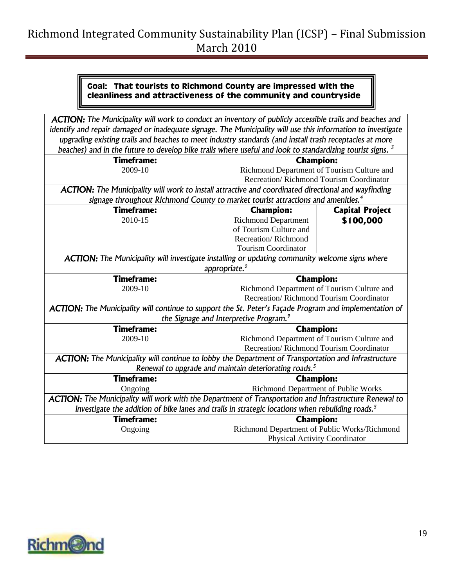### **Goal: That tourists to Richmond County are impressed with the cleanliness and attractiveness of the community and countryside**

| ACTION: The Municipality will work to conduct an inventory of publicly accessible trails and beaches and             |                                              |                                         |
|----------------------------------------------------------------------------------------------------------------------|----------------------------------------------|-----------------------------------------|
| identify and repair damaged or inadequate signage. The Municipality will use this information to investigate         |                                              |                                         |
| upgrading existing trails and beaches to meet industry standards (and install trash receptacles at more              |                                              |                                         |
| beaches) and in the future to develop bike trails where useful and look to standardizing tourist signs. <sup>3</sup> |                                              |                                         |
| <b>Timeframe:</b>                                                                                                    | <b>Champion:</b>                             |                                         |
| 2009-10                                                                                                              | Richmond Department of Tourism Culture and   |                                         |
|                                                                                                                      |                                              | Recreation/Richmond Tourism Coordinator |
| <b>ACTION:</b> The Municipality will work to install attractive and coordinated directional and wayfinding           |                                              |                                         |
| signage throughout Richmond County to market tourist attractions and amenities. <sup>4</sup>                         |                                              |                                         |
| <b>Timeframe:</b>                                                                                                    | <b>Champion:</b>                             | <b>Capital Project</b>                  |
| 2010-15                                                                                                              | <b>Richmond Department</b>                   | \$100,000                               |
|                                                                                                                      | of Tourism Culture and                       |                                         |
|                                                                                                                      | Recreation/Richmond                          |                                         |
|                                                                                                                      | <b>Tourism Coordinator</b>                   |                                         |
| <b>ACTION:</b> The Municipality will investigate installing or updating community welcome signs where                |                                              |                                         |
| appropriate. <sup>2</sup>                                                                                            |                                              |                                         |
| <b>Timeframe:</b>                                                                                                    | <b>Champion:</b>                             |                                         |
| 2009-10                                                                                                              | Richmond Department of Tourism Culture and   |                                         |
|                                                                                                                      | Recreation/Richmond Tourism Coordinator      |                                         |
| ACTION: The Municipality will continue to support the St. Peter's Façade Program and implementation of               |                                              |                                         |
| the Signage and Interpretive Program. <sup>9</sup>                                                                   |                                              |                                         |
| <b>Timeframe:</b>                                                                                                    | <b>Champion:</b>                             |                                         |
| 2009-10                                                                                                              | Richmond Department of Tourism Culture and   |                                         |
|                                                                                                                      | Recreation/Richmond Tourism Coordinator      |                                         |
| ACTION: The Municipality will continue to lobby the Department of Transportation and Infrastructure                  |                                              |                                         |
| Renewal to upgrade and maintain deteriorating roads. <sup>5</sup>                                                    |                                              |                                         |
| <b>Timeframe:</b>                                                                                                    | <b>Champion:</b>                             |                                         |
| Ongoing                                                                                                              | Richmond Department of Public Works          |                                         |
| ACTION: The Municipality will work with the Department of Transportation and Infrastructure Renewal to               |                                              |                                         |
| investigate the addition of bike lanes and trails in strategic locations when rebuilding roads. <sup>5</sup>         |                                              |                                         |
| <b>Timeframe:</b>                                                                                                    | <b>Champion:</b>                             |                                         |
| Ongoing                                                                                                              | Richmond Department of Public Works/Richmond |                                         |
|                                                                                                                      | <b>Physical Activity Coordinator</b>         |                                         |

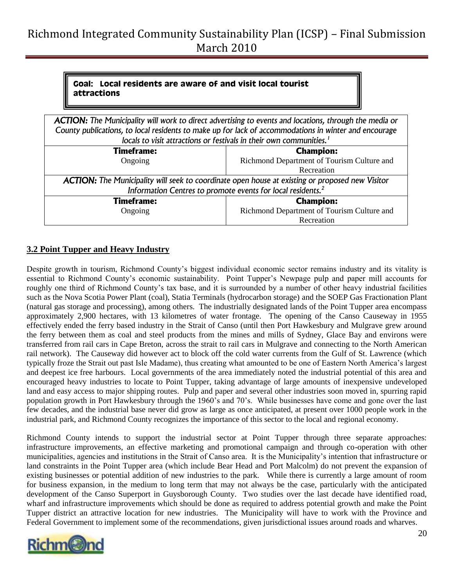#### **Goal: Local residents are aware of and visit local tourist attractions**

| <b>ACTION:</b> The Municipality will work to direct advertising to events and locations, through the media or<br>County publications, to local residents to make up for lack of accommodations in winter and encourage |                                            |
|------------------------------------------------------------------------------------------------------------------------------------------------------------------------------------------------------------------------|--------------------------------------------|
| locals to visit attractions or festivals in their own communities. <sup>1</sup>                                                                                                                                        |                                            |
| <b>Timeframe:</b>                                                                                                                                                                                                      | <b>Champion:</b>                           |
| Ongoing                                                                                                                                                                                                                | Richmond Department of Tourism Culture and |
|                                                                                                                                                                                                                        | Recreation                                 |
| ACTION: The Municipality will seek to coordinate open house at existing or proposed new Visitor                                                                                                                        |                                            |
| Information Centres to promote events for local residents. <sup>2</sup>                                                                                                                                                |                                            |
| <b>Timeframe:</b>                                                                                                                                                                                                      | <b>Champion:</b>                           |
| Ongoing                                                                                                                                                                                                                | Richmond Department of Tourism Culture and |
|                                                                                                                                                                                                                        | Recreation                                 |

### <span id="page-19-0"></span>**3.2 Point Tupper and Heavy Industry**

Despite growth in tourism, Richmond County"s biggest individual economic sector remains industry and its vitality is essential to Richmond County's economic sustainability. Point Tupper's Newpage pulp and paper mill accounts for roughly one third of Richmond County's tax base, and it is surrounded by a number of other heavy industrial facilities such as the Nova Scotia Power Plant (coal), Statia Terminals (hydrocarbon storage) and the SOEP Gas Fractionation Plant (natural gas storage and processing), among others. The industrially designated lands of the Point Tupper area encompass approximately 2,900 hectares, with 13 kilometres of water frontage. The opening of the Canso Causeway in 1955 effectively ended the ferry based industry in the Strait of Canso (until then Port Hawkesbury and Mulgrave grew around the ferry between them as coal and steel products from the mines and mills of Sydney, Glace Bay and environs were transferred from rail cars in Cape Breton, across the strait to rail cars in Mulgrave and connecting to the North American rail network). The Causeway did however act to block off the cold water currents from the Gulf of St. Lawrence (which typically froze the Strait out past Isle Madame), thus creating what amounted to be one of Eastern North America"s largest and deepest ice free harbours. Local governments of the area immediately noted the industrial potential of this area and encouraged heavy industries to locate to Point Tupper, taking advantage of large amounts of inexpensive undeveloped land and easy access to major shipping routes. Pulp and paper and several other industries soon moved in, spurring rapid population growth in Port Hawkesbury through the 1960"s and 70"s. While businesses have come and gone over the last few decades, and the industrial base never did grow as large as once anticipated, at present over 1000 people work in the industrial park, and Richmond County recognizes the importance of this sector to the local and regional economy.

Richmond County intends to support the industrial sector at Point Tupper through three separate approaches: infrastructure improvements, an effective marketing and promotional campaign and through co-operation with other municipalities, agencies and institutions in the Strait of Canso area. It is the Municipality"s intention that infrastructure or land constraints in the Point Tupper area (which include Bear Head and Port Malcolm) do not prevent the expansion of existing businesses or potential addition of new industries to the park. While there is currently a large amount of room for business expansion, in the medium to long term that may not always be the case, particularly with the anticipated development of the Canso Superport in Guysborough County. Two studies over the last decade have identified road, wharf and infrastructure improvements which should be done as required to address potential growth and make the Point Tupper district an attractive location for new industries. The Municipality will have to work with the Province and Federal Government to implement some of the recommendations, given jurisdictional issues around roads and wharves.

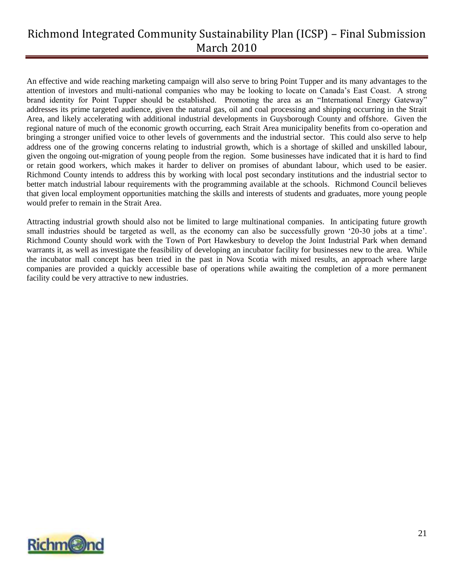An effective and wide reaching marketing campaign will also serve to bring Point Tupper and its many advantages to the attention of investors and multi-national companies who may be looking to locate on Canada"s East Coast. A strong brand identity for Point Tupper should be established. Promoting the area as an "International Energy Gateway" addresses its prime targeted audience, given the natural gas, oil and coal processing and shipping occurring in the Strait Area, and likely accelerating with additional industrial developments in Guysborough County and offshore. Given the regional nature of much of the economic growth occurring, each Strait Area municipality benefits from co-operation and bringing a stronger unified voice to other levels of governments and the industrial sector. This could also serve to help address one of the growing concerns relating to industrial growth, which is a shortage of skilled and unskilled labour, given the ongoing out-migration of young people from the region. Some businesses have indicated that it is hard to find or retain good workers, which makes it harder to deliver on promises of abundant labour, which used to be easier. Richmond County intends to address this by working with local post secondary institutions and the industrial sector to better match industrial labour requirements with the programming available at the schools. Richmond Council believes that given local employment opportunities matching the skills and interests of students and graduates, more young people would prefer to remain in the Strait Area.

Attracting industrial growth should also not be limited to large multinational companies. In anticipating future growth small industries should be targeted as well, as the economy can also be successfully grown '20-30 jobs at a time'. Richmond County should work with the Town of Port Hawkesbury to develop the Joint Industrial Park when demand warrants it, as well as investigate the feasibility of developing an incubator facility for businesses new to the area. While the incubator mall concept has been tried in the past in Nova Scotia with mixed results, an approach where large companies are provided a quickly accessible base of operations while awaiting the completion of a more permanent facility could be very attractive to new industries.

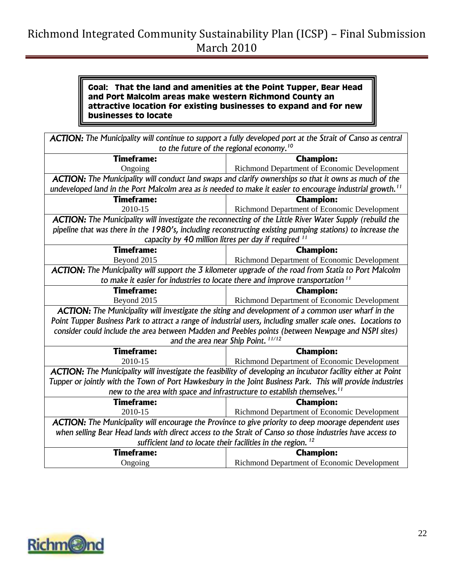#### **Goal: That the land and amenities at the Point Tupper, Bear Head and Port Malcolm areas make western Richmond County an attractive location for existing businesses to expand and for new businesses to locate**

| <b>ACTION:</b> The Municipality will continue to support a fully developed port at the Strait of Canso as central      |                                             |  |
|------------------------------------------------------------------------------------------------------------------------|---------------------------------------------|--|
| to the future of the regional economy. <sup>10</sup>                                                                   |                                             |  |
| <b>Timeframe:</b>                                                                                                      | <b>Champion:</b>                            |  |
| Ongoing                                                                                                                | Richmond Department of Economic Development |  |
| <b>ACTION:</b> The Municipality will conduct land swaps and clarify ownerships so that it owns as much of the          |                                             |  |
| undeveloped land in the Port Malcolm area as is needed to make it easier to encourage industrial growth. <sup>11</sup> |                                             |  |
| <b>Timeframe:</b>                                                                                                      | <b>Champion:</b>                            |  |
| 2010-15                                                                                                                | Richmond Department of Economic Development |  |
| <b>ACTION:</b> The Municipality will investigate the reconnecting of the Little River Water Supply (rebuild the        |                                             |  |
| pipeline that was there in the 1980's, including reconstructing existing pumping stations) to increase the             |                                             |  |
| capacity by 40 million litres per day if required 11                                                                   |                                             |  |
| <b>Timeframe:</b>                                                                                                      | <b>Champion:</b>                            |  |
| Beyond 2015                                                                                                            | Richmond Department of Economic Development |  |
| ACTION: The Municipality will support the 3 kilometer upgrade of the road from Statia to Port Malcolm                  |                                             |  |
| to make it easier for industries to locate there and improve transportation <sup>11</sup>                              |                                             |  |
| <b>Timeframe:</b>                                                                                                      | <b>Champion:</b>                            |  |
| Beyond 2015                                                                                                            | Richmond Department of Economic Development |  |
| <b>ACTION:</b> The Municipality will investigate the siting and development of a common user wharf in the              |                                             |  |
| Point Tupper Business Park to attract a range of industrial users, including smaller scale ones. Locations to          |                                             |  |
| consider could include the area between Madden and Peebles points (between Newpage and NSPI sites)                     |                                             |  |
| and the area near Ship Point.                                                                                          |                                             |  |
| <b>Timeframe:</b>                                                                                                      | <b>Champion:</b>                            |  |
| 2010-15                                                                                                                | Richmond Department of Economic Development |  |
| ACTION: The Municipality will investigate the feasibility of developing an incubator facility either at Point          |                                             |  |
| Tupper or jointly with the Town of Port Hawkesbury in the Joint Business Park. This will provide industries            |                                             |  |
| new to the area with space and infrastructure to establish themselves. <sup>11</sup>                                   |                                             |  |
| <b>Timeframe:</b>                                                                                                      | <b>Champion:</b>                            |  |
| 2010-15                                                                                                                | Richmond Department of Economic Development |  |
| <b>ACTION:</b> The Municipality will encourage the Province to give priority to deep moorage dependent uses            |                                             |  |
| when selling Bear Head lands with direct access to the Strait of Canso so those industries have access to              |                                             |  |
| sufficient land to locate their facilities in the region. <sup>12</sup>                                                |                                             |  |
| <b>Timeframe:</b>                                                                                                      | <b>Champion:</b>                            |  |
| Ongoing                                                                                                                | Richmond Department of Economic Development |  |

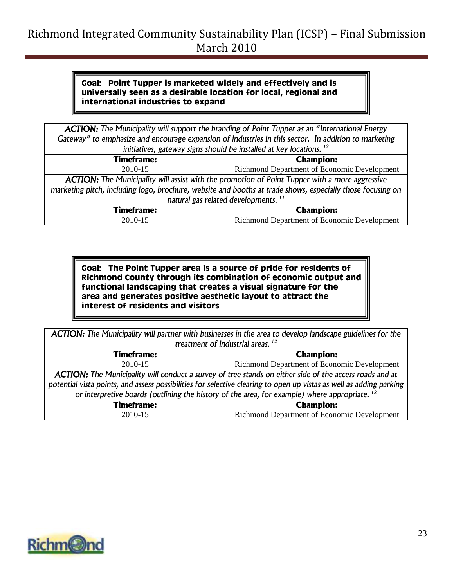#### **Goal: Point Tupper is marketed widely and effectively and is universally seen as a desirable location for local, regional and international industries to expand**

| <b>ACTION:</b> The Municipality will support the branding of Point Tupper as an "International Energy      |                                             |  |
|------------------------------------------------------------------------------------------------------------|---------------------------------------------|--|
| Gateway" to emphasize and encourage expansion of industries in this sector. In addition to marketing       |                                             |  |
| initiatives, gateway signs should be installed at key locations. <sup>12</sup>                             |                                             |  |
| <b>Timeframe:</b>                                                                                          | <b>Champion:</b>                            |  |
| 2010-15                                                                                                    | Richmond Department of Economic Development |  |
| <b>ACTION:</b> The Municipality will assist with the promotion of Point Tupper with a more aggressive      |                                             |  |
| marketing pitch, including logo, brochure, website and booths at trade shows, especially those focusing on |                                             |  |
| natural gas related developments. <sup>11</sup>                                                            |                                             |  |
| <b>Timeframe:</b>                                                                                          | <b>Champion:</b>                            |  |
| 2010-15                                                                                                    | Richmond Department of Economic Development |  |

**Goal: The Point Tupper area is a source of pride for residents of Richmond County through its combination of economic output and functional landscaping that creates a visual signature for the area and generates positive aesthetic layout to attract the interest of residents and visitors**

| <b>ACTION:</b> The Municipality will partner with businesses in the area to develop landscape guidelines for the    |                                             |  |
|---------------------------------------------------------------------------------------------------------------------|---------------------------------------------|--|
| treatment of industrial areas. <sup>12</sup>                                                                        |                                             |  |
| <b>Timeframe:</b>                                                                                                   | <b>Champion:</b>                            |  |
| 2010-15                                                                                                             | Richmond Department of Economic Development |  |
| ACTION: The Municipality will conduct a survey of tree stands on either side of the access roads and at             |                                             |  |
| potential vista points, and assess possibilities for selective clearing to open up vistas as well as adding parking |                                             |  |
| or interpretive boards (outlining the history of the area, for example) where appropriate. <sup>12</sup>            |                                             |  |
| <b>Timeframe:</b>                                                                                                   | <b>Champion:</b>                            |  |
| 2010-15                                                                                                             | Richmond Department of Economic Development |  |

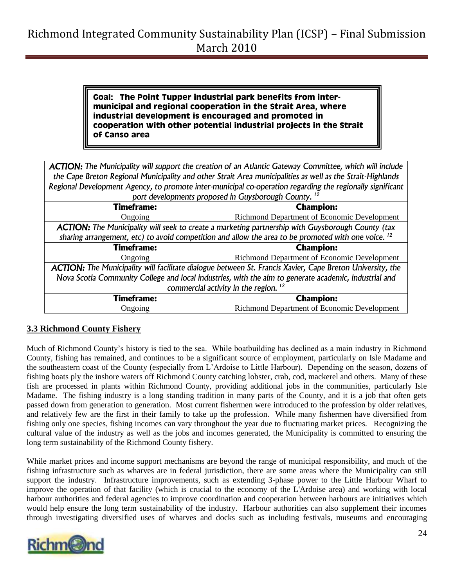**Goal: The Point Tupper industrial park benefits from intermunicipal and regional cooperation in the Strait Area, where industrial development is encouraged and promoted in cooperation with other potential industrial projects in the Strait of Canso area**

|                                                                                                                  | <b>ACTION:</b> The Municipality will support the creation of an Atlantic Gateway Committee, which will include |  |
|------------------------------------------------------------------------------------------------------------------|----------------------------------------------------------------------------------------------------------------|--|
| the Cape Breton Regional Municipality and other Strait Area municipalities as well as the Strait-Highlands       |                                                                                                                |  |
| Regional Development Agency, to promote inter-municipal co-operation regarding the regionally significant        |                                                                                                                |  |
| port developments proposed in Guysborough County. <sup>12</sup>                                                  |                                                                                                                |  |
| <b>Timeframe:</b>                                                                                                | <b>Champion:</b>                                                                                               |  |
| Ongoing                                                                                                          | Richmond Department of Economic Development                                                                    |  |
| <b>ACTION:</b> The Municipality will seek to create a marketing partnership with Guysborough County (tax         |                                                                                                                |  |
| sharing arrangement, etc) to avoid competition and allow the area to be promoted with one voice. <sup>12</sup>   |                                                                                                                |  |
| <b>Timeframe:</b>                                                                                                | <b>Champion:</b>                                                                                               |  |
| Ongoing                                                                                                          | Richmond Department of Economic Development                                                                    |  |
| <b>ACTION:</b> The Municipality will facilitate dialogue between St. Francis Xavier, Cape Breton University, the |                                                                                                                |  |
| Nova Scotia Community College and local industries, with the aim to generate academic, industrial and            |                                                                                                                |  |
| commercial activity in the region. <sup>12</sup>                                                                 |                                                                                                                |  |
| <b>Timeframe:</b>                                                                                                | <b>Champion:</b>                                                                                               |  |
| Ongoing                                                                                                          | Richmond Department of Economic Development                                                                    |  |

#### <span id="page-23-0"></span>**3.3 Richmond County Fishery**

Much of Richmond County"s history is tied to the sea. While boatbuilding has declined as a main industry in Richmond County, fishing has remained, and continues to be a significant source of employment, particularly on Isle Madame and the southeastern coast of the County (especially from L"Ardoise to Little Harbour). Depending on the season, dozens of fishing boats ply the inshore waters off Richmond County catching lobster, crab, cod, mackerel and others. Many of these fish are processed in plants within Richmond County, providing additional jobs in the communities, particularly Isle Madame. The fishing industry is a long standing tradition in many parts of the County, and it is a job that often gets passed down from generation to generation. Most current fishermen were introduced to the profession by older relatives, and relatively few are the first in their family to take up the profession. While many fishermen have diversified from fishing only one species, fishing incomes can vary throughout the year due to fluctuating market prices. Recognizing the cultural value of the industry as well as the jobs and incomes generated, the Municipality is committed to ensuring the long term sustainability of the Richmond County fishery.

While market prices and income support mechanisms are beyond the range of municipal responsibility, and much of the fishing infrastructure such as wharves are in federal jurisdiction, there are some areas where the Municipality can still support the industry. Infrastructure improvements, such as extending 3-phase power to the Little Harbour Wharf to improve the operation of that facility (which is crucial to the economy of the L'Ardoise area) and working with local harbour authorities and federal agencies to improve coordination and cooperation between harbours are initiatives which would help ensure the long term sustainability of the industry. Harbour authorities can also supplement their incomes through investigating diversified uses of wharves and docks such as including festivals, museums and encouraging

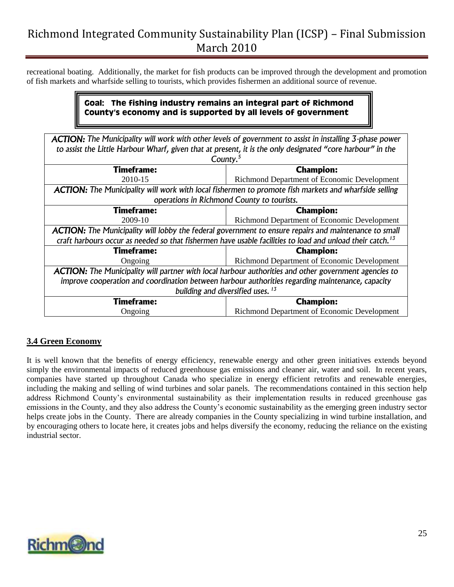recreational boating. Additionally, the market for fish products can be improved through the development and promotion of fish markets and wharfside selling to tourists, which provides fishermen an additional source of revenue.

### **Goal: The fishing industry remains an integral part of Richmond County's economy and is supported by all levels of government**

| <b>ACTION:</b> The Municipality will work with other levels of government to assist in installing 3-phase power       |                                             |  |
|-----------------------------------------------------------------------------------------------------------------------|---------------------------------------------|--|
| to assist the Little Harbour Wharf, given that at present, it is the only designated "core harbour" in the            |                                             |  |
| County. $5$                                                                                                           |                                             |  |
|                                                                                                                       |                                             |  |
| <b>Timeframe:</b>                                                                                                     | <b>Champion:</b>                            |  |
| 2010-15                                                                                                               | Richmond Department of Economic Development |  |
| <b>ACTION:</b> The Municipality will work with local fishermen to promote fish markets and wharfside selling          |                                             |  |
| operations in Richmond County to tourists.                                                                            |                                             |  |
| <b>Timeframe:</b>                                                                                                     | <b>Champion:</b>                            |  |
| 2009-10                                                                                                               | Richmond Department of Economic Development |  |
| <b>ACTION:</b> The Municipality will lobby the federal government to ensure repairs and maintenance to small          |                                             |  |
| craft harbours occur as needed so that fishermen have usable facilities to load and unload their catch. <sup>13</sup> |                                             |  |
| <b>Timeframe:</b>                                                                                                     | <b>Champion:</b>                            |  |
| Ongoing                                                                                                               | Richmond Department of Economic Development |  |
| <b>ACTION:</b> The Municipality will partner with local harbour authorities and other government agencies to          |                                             |  |
| improve cooperation and coordination between harbour authorities regarding maintenance, capacity                      |                                             |  |
| building and diversified uses. <sup>13</sup>                                                                          |                                             |  |
| Timeframe:                                                                                                            | <b>Champion:</b>                            |  |
| Ongoing                                                                                                               | Richmond Department of Economic Development |  |

#### <span id="page-24-0"></span>**3.4 Green Economy**

It is well known that the benefits of energy efficiency, renewable energy and other green initiatives extends beyond simply the environmental impacts of reduced greenhouse gas emissions and cleaner air, water and soil. In recent years, companies have started up throughout Canada who specialize in energy efficient retrofits and renewable energies, including the making and selling of wind turbines and solar panels. The recommendations contained in this section help address Richmond County"s environmental sustainability as their implementation results in reduced greenhouse gas emissions in the County, and they also address the County"s economic sustainability as the emerging green industry sector helps create jobs in the County. There are already companies in the County specializing in wind turbine installation, and by encouraging others to locate here, it creates jobs and helps diversify the economy, reducing the reliance on the existing industrial sector.

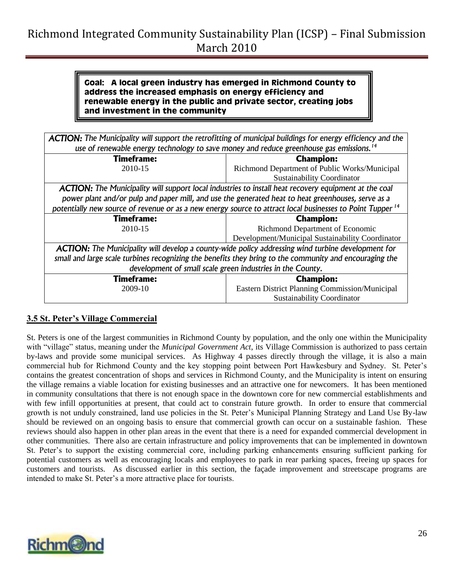#### **Goal: A local green industry has emerged in Richmond County to address the increased emphasis on energy efficiency and renewable energy in the public and private sector, creating jobs and investment in the community**

| <b>ACTION:</b> The Municipality will support the retrofitting of municipal buildings for energy efficiency and the |  |
|--------------------------------------------------------------------------------------------------------------------|--|
| use of renewable energy technology to save money and reduce greenhouse gas emissions. <sup>14</sup>                |  |

| Timeframe:                                                                                                            | <b>Champion:</b>                                           |
|-----------------------------------------------------------------------------------------------------------------------|------------------------------------------------------------|
| 2010-15                                                                                                               | Richmond Department of Public Works/Municipal              |
|                                                                                                                       | <b>Sustainability Coordinator</b>                          |
| <b>ACTION:</b> The Municipality will support local industries to install heat recovery equipment at the coal          |                                                            |
| power plant and/or pulp and paper mill, and use the generated heat to heat greenhouses, serve as a                    |                                                            |
| potentially new source of revenue or as a new energy source to attract local businesses to Point Tupper <sup>14</sup> |                                                            |
| <b>Timeframe:</b>                                                                                                     | <b>Champion:</b>                                           |
| 2010-15                                                                                                               | Richmond Department of Economic                            |
|                                                                                                                       | Development/Municipal Sustainability Coordinator           |
| <b>ACTION:</b> The Municipality will develop a county-wide policy addressing wind turbine development for             |                                                            |
| small and large scale turbines recognizing the benefits they bring to the community and encouraging the               |                                                            |
|                                                                                                                       | development of small scale green industries in the County. |
| <b>Timeframe:</b>                                                                                                     | <b>Champion:</b>                                           |
| 2009-10                                                                                                               | <b>Eastern District Planning Commission/Municipal</b>      |
|                                                                                                                       | <b>Sustainability Coordinator</b>                          |

### <span id="page-25-0"></span>**3.5 St. Peter's Village Commercial**

St. Peters is one of the largest communities in Richmond County by population, and the only one within the Municipality with "village" status, meaning under the *Municipal Government Act*, its Village Commission is authorized to pass certain by-laws and provide some municipal services. As Highway 4 passes directly through the village, it is also a main commercial hub for Richmond County and the key stopping point between Port Hawkesbury and Sydney. St. Peter"s contains the greatest concentration of shops and services in Richmond County, and the Municipality is intent on ensuring the village remains a viable location for existing businesses and an attractive one for newcomers. It has been mentioned in community consultations that there is not enough space in the downtown core for new commercial establishments and with few infill opportunities at present, that could act to constrain future growth. In order to ensure that commercial growth is not unduly constrained, land use policies in the St. Peter"s Municipal Planning Strategy and Land Use By-law should be reviewed on an ongoing basis to ensure that commercial growth can occur on a sustainable fashion. These reviews should also happen in other plan areas in the event that there is a need for expanded commercial development in other communities. There also are certain infrastructure and policy improvements that can be implemented in downtown St. Peter"s to support the existing commercial core, including parking enhancements ensuring sufficient parking for potential customers as well as encouraging locals and employees to park in rear parking spaces, freeing up spaces for customers and tourists. As discussed earlier in this section, the façade improvement and streetscape programs are intended to make St. Peter"s a more attractive place for tourists.

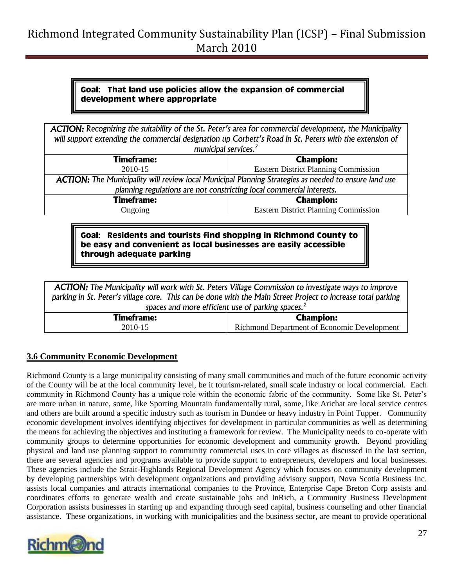#### **Goal: That land use policies allow the expansion of commercial development where appropriate**

| <b>ACTION:</b> Recognizing the suitability of the St. Peter's area for commercial development, the Municipality |                                             |  |
|-----------------------------------------------------------------------------------------------------------------|---------------------------------------------|--|
| will support extending the commercial designation up Corbett's Road in St. Peters with the extension of         |                                             |  |
| municipal services. <sup>7</sup>                                                                                |                                             |  |
| <b>Timeframe:</b>                                                                                               | <b>Champion:</b>                            |  |
| 2010-15                                                                                                         | <b>Eastern District Planning Commission</b> |  |
| ACTION: The Municipality will review local Municipal Planning Strategies as needed to ensure land use           |                                             |  |
| planning regulations are not constricting local commercial interests.                                           |                                             |  |
| <b>Timeframe:</b>                                                                                               | <b>Champion:</b>                            |  |
| Ongoing                                                                                                         | <b>Eastern District Planning Commission</b> |  |
|                                                                                                                 |                                             |  |

**Goal: Residents and tourists find shopping in Richmond County to be easy and convenient as local businesses are easily accessible through adequate parking**

*ACTION: The Municipality will work with St. Peters Village Commission to investigate ways to improve parking in St. Peter's village core. This can be done with the Main Street Project to increase total parking spaces and more efficient use of parking spaces.<sup>2</sup>*

|         | <b>Timeframe:</b> | <b>Champion:</b>                            |
|---------|-------------------|---------------------------------------------|
| 2010-15 |                   | Richmond Department of Economic Development |

#### <span id="page-26-0"></span>**3.6 Community Economic Development**

Richmond County is a large municipality consisting of many small communities and much of the future economic activity of the County will be at the local community level, be it tourism-related, small scale industry or local commercial. Each community in Richmond County has a unique role within the economic fabric of the community. Some like St. Peter"s are more urban in nature, some, like Sporting Mountain fundamentally rural, some, like Arichat are local service centres and others are built around a specific industry such as tourism in Dundee or heavy industry in Point Tupper. Community economic development involves identifying objectives for development in particular communities as well as determining the means for achieving the objectives and instituting a framework for review. The Municipality needs to co-operate with community groups to determine opportunities for economic development and community growth. Beyond providing physical and land use planning support to community commercial uses in core villages as discussed in the last section, there are several agencies and programs available to provide support to entrepreneurs, developers and local businesses. These agencies include the Strait-Highlands Regional Development Agency which focuses on community development by developing partnerships with development organizations and providing advisory support, Nova Scotia Business Inc. assists local companies and attracts international companies to the Province, Enterprise Cape Breton Corp assists and coordinates efforts to generate wealth and create sustainable jobs and InRich, a Community Business Development Corporation assists businesses in starting up and expanding through seed capital, business counseling and other financial assistance. These organizations, in working with municipalities and the business sector, are meant to provide operational

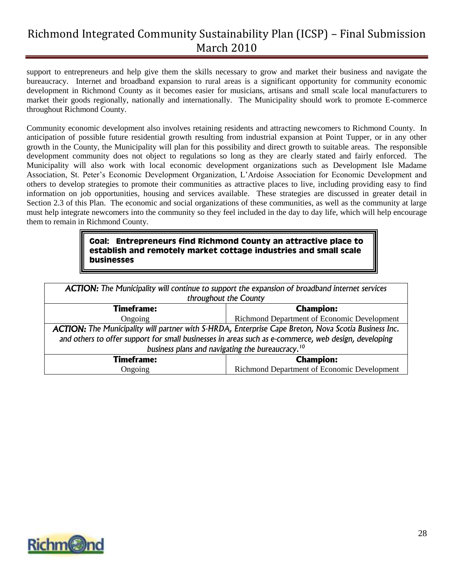support to entrepreneurs and help give them the skills necessary to grow and market their business and navigate the bureaucracy. Internet and broadband expansion to rural areas is a significant opportunity for community economic development in Richmond County as it becomes easier for musicians, artisans and small scale local manufacturers to market their goods regionally, nationally and internationally. The Municipality should work to promote E-commerce throughout Richmond County.

Community economic development also involves retaining residents and attracting newcomers to Richmond County. In anticipation of possible future residential growth resulting from industrial expansion at Point Tupper, or in any other growth in the County, the Municipality will plan for this possibility and direct growth to suitable areas. The responsible development community does not object to regulations so long as they are clearly stated and fairly enforced. The Municipality will also work with local economic development organizations such as Development Isle Madame Association, St. Peter"s Economic Development Organization, L"Ardoise Association for Economic Development and others to develop strategies to promote their communities as attractive places to live, including providing easy to find information on job opportunities, housing and services available. These strategies are discussed in greater detail in Section 2.3 of this Plan. The economic and social organizations of these communities, as well as the community at large must help integrate newcomers into the community so they feel included in the day to day life, which will help encourage them to remain in Richmond County.

#### **Goal: Entrepreneurs find Richmond County an attractive place to establish and remotely market cottage industries and small scale businesses**

| <b>ACTION:</b> The Municipality will continue to support the expansion of broadband internet services<br>throughout the County                                       |  |  |
|----------------------------------------------------------------------------------------------------------------------------------------------------------------------|--|--|
| <b>Champion:</b>                                                                                                                                                     |  |  |
| Richmond Department of Economic Development                                                                                                                          |  |  |
| ACTION: The Municipality will partner with S-HRDA, Enterprise Cape Breton, Nova Scotia Business Inc.                                                                 |  |  |
| and others to offer support for small businesses in areas such as e-commerce, web design, developing<br>business plans and navigating the bureaucracy. <sup>10</sup> |  |  |
| <b>Champion:</b>                                                                                                                                                     |  |  |
| Richmond Department of Economic Development                                                                                                                          |  |  |
|                                                                                                                                                                      |  |  |

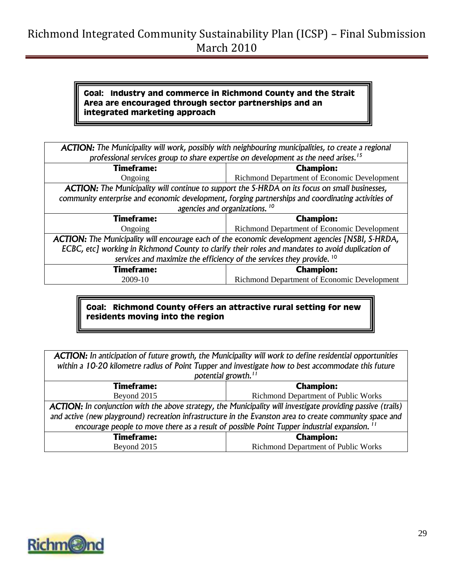#### **Goal: Industry and commerce in Richmond County and the Strait Area are encouraged through sector partnerships and an integrated marketing approach**

| <b>ACTION:</b> The Municipality will work, possibly with neighbouring municipalities, to create a regional |                                                                                                   |  |
|------------------------------------------------------------------------------------------------------------|---------------------------------------------------------------------------------------------------|--|
| professional services group to share expertise on development as the need arises. <sup>15</sup>            |                                                                                                   |  |
| <b>Timeframe:</b>                                                                                          | <b>Champion:</b>                                                                                  |  |
| Ongoing                                                                                                    | Richmond Department of Economic Development                                                       |  |
| <b>ACTION:</b> The Municipality will continue to support the S-HRDA on its focus on small businesses,      |                                                                                                   |  |
| community enterprise and economic development, forging partnerships and coordinating activities of         |                                                                                                   |  |
| agencies and organizations. <sup>10</sup>                                                                  |                                                                                                   |  |
|                                                                                                            |                                                                                                   |  |
| <b>Timeframe:</b>                                                                                          | <b>Champion:</b>                                                                                  |  |
| Ongoing                                                                                                    | Richmond Department of Economic Development                                                       |  |
| <b>ACTION:</b> The Municipality will encourage each of the economic development agencies [NSBI, S-HRDA,    |                                                                                                   |  |
|                                                                                                            | ECBC, etc] working in Richmond County to clarify their roles and mandates to avoid duplication of |  |
| services and maximize the efficiency of the services they provide. <sup>10</sup>                           |                                                                                                   |  |
| <b>Timeframe:</b>                                                                                          | <b>Champion:</b>                                                                                  |  |

### **Goal: Richmond County offers an attractive rural setting for new residents moving into the region**

*ACTION: In anticipation of future growth, the Municipality will work to define residential opportunities within a 10-20 kilometre radius of Point Tupper and investigate how to best accommodate this future potential growth.<sup>11</sup>*

| <b>Timeframe:</b>                                                                                                   | <b>Champion:</b>                    |  |
|---------------------------------------------------------------------------------------------------------------------|-------------------------------------|--|
| <b>Richmond Department of Public Works</b><br>Beyond 2015                                                           |                                     |  |
| <b>ACTION:</b> In conjunction with the above strategy, the Municipality will investigate providing passive (trails) |                                     |  |
| and active (new playground) recreation infrastructure in the Evanston area to create community space and            |                                     |  |
| encourage people to move there as a result of possible Point Tupper industrial expansion. <sup>11</sup>             |                                     |  |
| <b>Timeframe:</b>                                                                                                   | <b>Champion:</b>                    |  |
| Beyond 2015                                                                                                         | Richmond Department of Public Works |  |

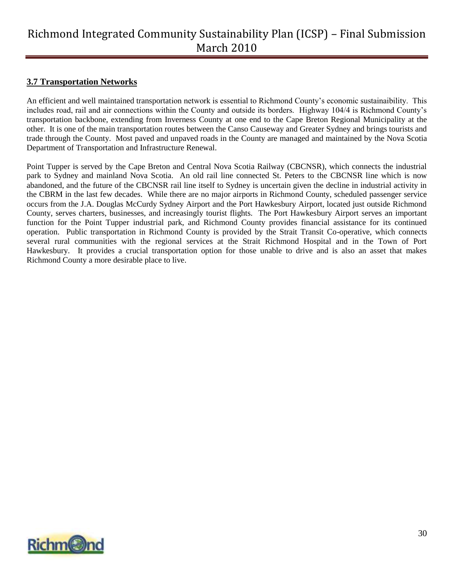### <span id="page-29-0"></span>**3.7 Transportation Networks**

An efficient and well maintained transportation network is essential to Richmond County"s economic sustainaibility. This includes road, rail and air connections within the County and outside its borders. Highway 104/4 is Richmond County"s transportation backbone, extending from Inverness County at one end to the Cape Breton Regional Municipality at the other. It is one of the main transportation routes between the Canso Causeway and Greater Sydney and brings tourists and trade through the County. Most paved and unpaved roads in the County are managed and maintained by the Nova Scotia Department of Transportation and Infrastructure Renewal.

Point Tupper is served by the Cape Breton and Central Nova Scotia Railway (CBCNSR), which connects the industrial park to Sydney and mainland Nova Scotia. An old rail line connected St. Peters to the CBCNSR line which is now abandoned, and the future of the CBCNSR rail line itself to Sydney is uncertain given the decline in industrial activity in the CBRM in the last few decades. While there are no major airports in Richmond County, scheduled passenger service occurs from the J.A. Douglas McCurdy Sydney Airport and the Port Hawkesbury Airport, located just outside Richmond County, serves charters, businesses, and increasingly tourist flights. The Port Hawkesbury Airport serves an important function for the Point Tupper industrial park, and Richmond County provides financial assistance for its continued operation. Public transportation in Richmond County is provided by the Strait Transit Co-operative, which connects several rural communities with the regional services at the Strait Richmond Hospital and in the Town of Port Hawkesbury. It provides a crucial transportation option for those unable to drive and is also an asset that makes Richmond County a more desirable place to live.

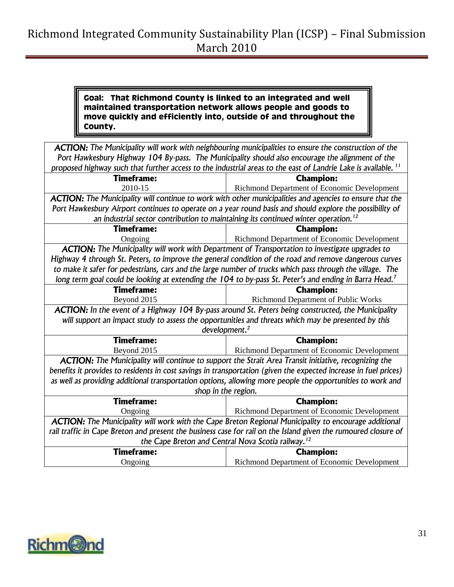#### **Goal: That Richmond County is linked to an integrated and well maintained transportation network allows people and goods to move quickly and efficiently into, outside of and throughout the County.**

| <b>ACTION:</b> The Municipality will work with neighbouring municipalities to ensure the construction of the              |                                                                                                                    |  |
|---------------------------------------------------------------------------------------------------------------------------|--------------------------------------------------------------------------------------------------------------------|--|
| Port Hawkesbury Highway 104 By-pass. The Municipality should also encourage the alignment of the                          |                                                                                                                    |  |
| proposed highway such that further access to the industrial areas to the east of Landrie Lake is available. <sup>11</sup> |                                                                                                                    |  |
| <b>Timeframe:</b>                                                                                                         | <b>Champion:</b>                                                                                                   |  |
| 2010-15                                                                                                                   | Richmond Department of Economic Development                                                                        |  |
| <b>ACTION:</b> The Municipality will continue to work with other municipalities and agencies to ensure that the           |                                                                                                                    |  |
|                                                                                                                           | Port Hawkesbury Airport continues to operate on a year round basis and should explore the possibility of           |  |
|                                                                                                                           | an industrial sector contribution to maintaining its continued winter operation. <sup>12</sup>                     |  |
| <b>Timeframe:</b>                                                                                                         | <b>Champion:</b>                                                                                                   |  |
| Ongoing                                                                                                                   | Richmond Department of Economic Development                                                                        |  |
| ACTION: The Municipality will work with Department of Transportation to investigate upgrades to                           |                                                                                                                    |  |
|                                                                                                                           | Highway 4 through St. Peters, to improve the general condition of the road and remove dangerous curves             |  |
|                                                                                                                           | to make it safer for pedestrians, cars and the large number of trucks which pass through the village. The          |  |
|                                                                                                                           | long term goal could be looking at extending the 104 to by-pass St. Peter's and ending in Barra Head. <sup>7</sup> |  |
| <b>Timeframe:</b>                                                                                                         | <b>Champion:</b>                                                                                                   |  |
| Beyond 2015                                                                                                               | Richmond Department of Public Works                                                                                |  |
|                                                                                                                           | ACTION: In the event of a Highway 104 By-pass around St. Peters being constructed, the Municipality                |  |
|                                                                                                                           | will support an impact study to assess the opportunities and threats which may be presented by this                |  |
|                                                                                                                           | development. <sup>2</sup>                                                                                          |  |
| <b>Timeframe:</b>                                                                                                         | <b>Champion:</b>                                                                                                   |  |
| Beyond 2015                                                                                                               | Richmond Department of Economic Development                                                                        |  |
| ACTION: The Municipality will continue to support the Strait Area Transit initiative, recognizing the                     |                                                                                                                    |  |
| benefits it provides to residents in cost savings in transportation (given the expected increase in fuel prices)          |                                                                                                                    |  |
|                                                                                                                           | as well as providing additional transportation options, allowing more people the opportunities to work and         |  |
| shop in the region.                                                                                                       |                                                                                                                    |  |
| <b>Timeframe:</b>                                                                                                         | <b>Champion:</b>                                                                                                   |  |
| Ongoing                                                                                                                   | Richmond Department of Economic Development                                                                        |  |
| <b>ACTION:</b> The Municipality will work with the Cape Breton Regional Municipality to encourage additional              |                                                                                                                    |  |
| rail traffic in Cape Breton and present the business case for rail on the Island given the rumoured closure of            |                                                                                                                    |  |
| the Cape Breton and Central Nova Scotia railway. <sup>12</sup>                                                            |                                                                                                                    |  |
| <b>Timeframe:</b>                                                                                                         | <b>Champion:</b>                                                                                                   |  |
| Ongoing                                                                                                                   | Richmond Department of Economic Development                                                                        |  |

<span id="page-30-0"></span>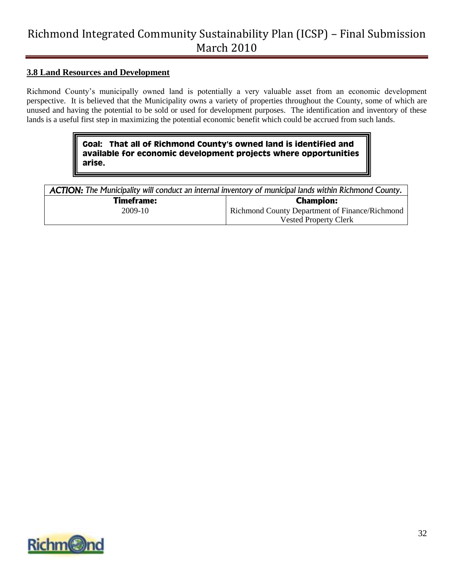#### **3.8 Land Resources and Development**

Richmond County"s municipally owned land is potentially a very valuable asset from an economic development perspective. It is believed that the Municipality owns a variety of properties throughout the County, some of which are unused and having the potential to be sold or used for development purposes. The identification and inventory of these lands is a useful first step in maximizing the potential economic benefit which could be accrued from such lands.

#### **Goal: That all of Richmond County's owned land is identified and available for economic development projects where opportunities arise.**

| <b>ACTION:</b> The Municipality will conduct an internal inventory of municipal lands within Richmond County. |                                                |  |
|---------------------------------------------------------------------------------------------------------------|------------------------------------------------|--|
| <b>Timeframe:</b>                                                                                             | <b>Champion:</b>                               |  |
| 2009-10                                                                                                       | Richmond County Department of Finance/Richmond |  |
|                                                                                                               | <b>Vested Property Clerk</b>                   |  |

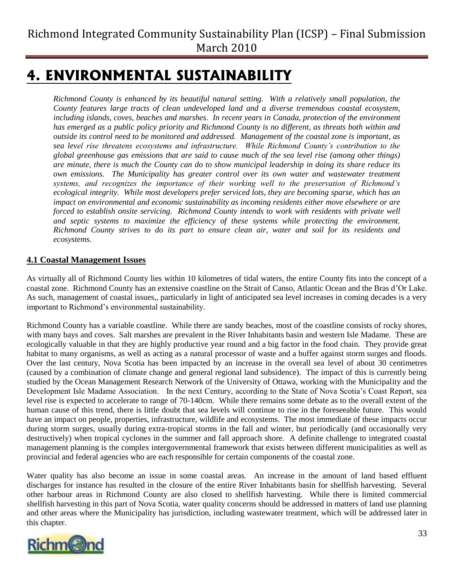# <span id="page-32-0"></span>**4. ENVIRONMENTAL SUSTAINABILITY**

*Richmond County is enhanced by its beautiful natural setting. With a relatively small population, the County features large tracts of clean undeveloped land and a diverse tremendous coastal ecosystem, including islands, coves, beaches and marshes. In recent years in Canada, protection of the environment has emerged as a public policy priority and Richmond County is no different, as threats both within and outside its control need to be monitored and addressed. Management of the coastal zone is important, as sea level rise threatens ecosystems and infrastructure. While Richmond County's contribution to the global greenhouse gas emissions that are said to cause much of the sea level rise (among other things) are minute, there is much the County can do to show municipal leadership in doing its share reduce its own emissions. The Municipality has greater control over its own water and wastewater treatment systems, and recognizes the importance of their working well to the preservation of Richmond's ecological integrity. While most developers prefer serviced lots, they are becoming sparse, which has an impact on environmental and economic sustainability as incoming residents either move elsewhere or are forced to establish onsite servicing. Richmond County intends to work with residents with private well and septic systems to maximize the efficiency of these systems while protecting the environment. Richmond County strives to do its part to ensure clean air, water and soil for its residents and ecosystems.*

### <span id="page-32-1"></span>**4.1 Coastal Management Issues**

As virtually all of Richmond County lies within 10 kilometres of tidal waters, the entire County fits into the concept of a coastal zone. Richmond County has an extensive coastline on the Strait of Canso, Atlantic Ocean and the Bras d"Or Lake. As such, management of coastal issues,, particularly in light of anticipated sea level increases in coming decades is a very important to Richmond"s environmental sustainability.

Richmond County has a variable coastline. While there are sandy beaches, most of the coastline consists of rocky shores, with many bays and coves. Salt marshes are prevalent in the River Inhabitants basin and western Isle Madame. These are ecologically valuable in that they are highly productive year round and a big factor in the food chain. They provide great habitat to many organisms, as well as acting as a natural processor of waste and a buffer against storm surges and floods. Over the last century, Nova Scotia has been impacted by an increase in the overall sea level of about 30 centimetres (caused by a combination of climate change and general regional land subsidence). The impact of this is currently being studied by the Ocean Management Research Network of the University of Ottawa, working with the Municipality and the Development Isle Madame Association. In the next Century, according to the State of Nova Scotia"s Coast Report, sea level rise is expected to accelerate to range of 70-140cm. While there remains some debate as to the overall extent of the human cause of this trend, there is little doubt that sea levels will continue to rise in the foreseeable future. This would have an impact on people, properties, infrastructure, wildlife and ecosystems. The most immediate of these impacts occur during storm surges, usually during extra-tropical storms in the fall and winter, but periodically (and occasionally very destructively) when tropical cyclones in the summer and fall approach shore. A definite challenge to integrated coastal management planning is the complex intergovernmental framework that exists between different municipalities as well as provincial and federal agencies who are each responsible for certain components of the coastal zone.

Water quality has also become an issue in some coastal areas. An increase in the amount of land based effluent discharges for instance has resulted in the closure of the entire River Inhabitants basin for shellfish harvesting. Several other harbour areas in Richmond County are also closed to shellfish harvesting. While there is limited commercial shellfish harvesting in this part of Nova Scotia, water quality concerns should be addressed in matters of land use planning and other areas where the Municipality has jurisdiction, including wastewater treatment, which will be addressed later in this chapter.

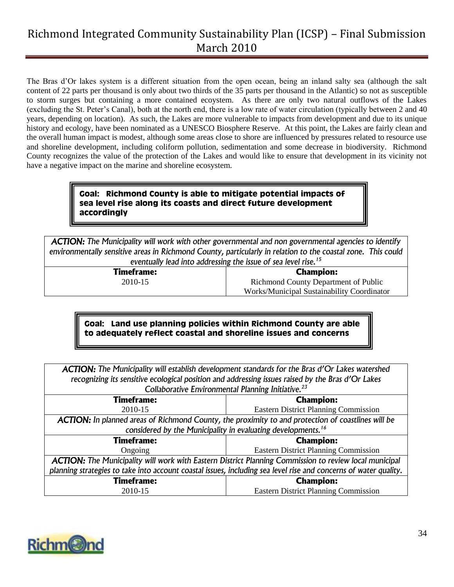The Bras d"Or lakes system is a different situation from the open ocean, being an inland salty sea (although the salt content of 22 parts per thousand is only about two thirds of the 35 parts per thousand in the Atlantic) so not as susceptible to storm surges but containing a more contained ecoystem. As there are only two natural outflows of the Lakes (excluding the St. Peter"s Canal), both at the north end, there is a low rate of water circulation (typically between 2 and 40 years, depending on location). As such, the Lakes are more vulnerable to impacts from development and due to its unique history and ecology, have been nominated as a UNESCO Biosphere Reserve. At this point, the Lakes are fairly clean and the overall human impact is modest, although some areas close to shore are influenced by pressures related to resource use and shoreline development, including coliform pollution, sedimentation and some decrease in biodiversity. Richmond County recognizes the value of the protection of the Lakes and would like to ensure that development in its vicinity not have a negative impact on the marine and shoreline ecosystem.

#### **Goal: Richmond County is able to mitigate potential impacts of sea level rise along its coasts and direct future development accordingly**

*ACTION: The Municipality will work with other governmental and non governmental agencies to identify environmentally sensitive areas in Richmond County, particularly in relation to the coastal zone. This could eventually lead into addressing the issue of sea level rise.<sup>15</sup>*

> **Timeframe:** 2010-15

**Champion:** Richmond County Department of Public Works/Municipal Sustainability Coordinator

### **Goal: Land use planning policies within Richmond County are able to adequately reflect coastal and shoreline issues and concerns**

*ACTION: The Municipality will establish development standards for the Bras d'Or Lakes watershed recognizing its sensitive ecological position and addressing issues raised by the Bras d'Or Lakes Collaborative Environmental Planning Initiative.<sup>23</sup>*

| Conadolative Liivii omnientai Fiaminig mitiative.                                                                |                                             |  |
|------------------------------------------------------------------------------------------------------------------|---------------------------------------------|--|
| <b>Timeframe:</b>                                                                                                | <b>Champion:</b>                            |  |
| 2010-15                                                                                                          | <b>Eastern District Planning Commission</b> |  |
| ACTION: In planned areas of Richmond County, the proximity to and protection of coastlines will be               |                                             |  |
| considered by the Municipality in evaluating developments. <sup>16</sup>                                         |                                             |  |
| <b>Timeframe:</b>                                                                                                | <b>Champion:</b>                            |  |
| Ongoing                                                                                                          | <b>Eastern District Planning Commission</b> |  |
| ACTION: The Municipality will work with Eastern District Planning Commission to review local municipal           |                                             |  |
| planning strategies to take into account coastal issues, including sea level rise and concerns of water quality. |                                             |  |
| <b>Timeframe:</b>                                                                                                | <b>Champion:</b>                            |  |
| 2010-15                                                                                                          | <b>Eastern District Planning Commission</b> |  |

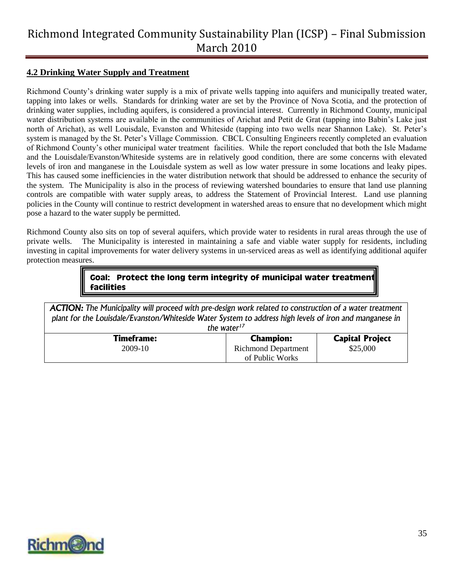#### <span id="page-34-0"></span>**4.2 Drinking Water Supply and Treatment**

Richmond County"s drinking water supply is a mix of private wells tapping into aquifers and municipally treated water, tapping into lakes or wells. Standards for drinking water are set by the Province of Nova Scotia, and the protection of drinking water supplies, including aquifers, is considered a provincial interest. Currently in Richmond County, municipal water distribution systems are available in the communities of Arichat and Petit de Grat (tapping into Babin's Lake just north of Arichat), as well Louisdale, Evanston and Whiteside (tapping into two wells near Shannon Lake). St. Peter"s system is managed by the St. Peter's Village Commission. CBCL Consulting Engineers recently completed an evaluation of Richmond County"s other municipal water treatment facilities. While the report concluded that both the Isle Madame and the Louisdale/Evanston/Whiteside systems are in relatively good condition, there are some concerns with elevated levels of iron and manganese in the Louisdale system as well as low water pressure in some locations and leaky pipes. This has caused some inefficiencies in the water distribution network that should be addressed to enhance the security of the system. The Municipality is also in the process of reviewing watershed boundaries to ensure that land use planning controls are compatible with water supply areas, to address the Statement of Provincial Interest. Land use planning policies in the County will continue to restrict development in watershed areas to ensure that no development which might pose a hazard to the water supply be permitted.

Richmond County also sits on top of several aquifers, which provide water to residents in rural areas through the use of private wells. The Municipality is interested in maintaining a safe and viable water supply for residents, including investing in capital improvements for water delivery systems in un-serviced areas as well as identifying additional aquifer protection measures.

> **Goal: Protect the long term integrity of municipal water treatment facilities**

*ACTION: The Municipality will proceed with pre-design work related to construction of a water treatment plant for the Louisdale/Evanston/Whiteside Water System to address high levels of iron and manganese in the water<sup>17</sup>*

| uie water         |                            |                        |
|-------------------|----------------------------|------------------------|
| <b>Timeframe:</b> | <b>Champion:</b>           | <b>Capital Project</b> |
| 2009-10           | <b>Richmond Department</b> | \$25,000               |
|                   | of Public Works            |                        |

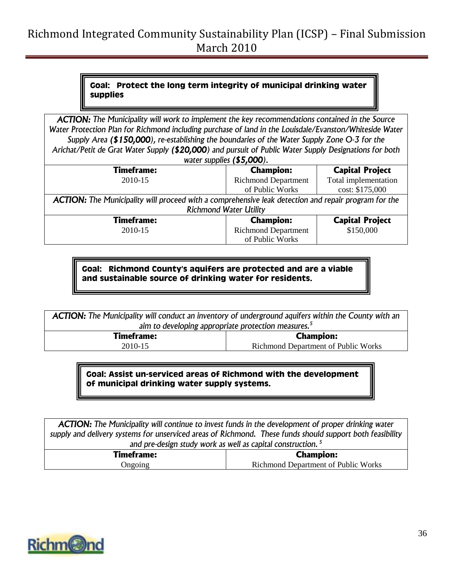### **Goal: Protect the long term integrity of municipal drinking water supplies**

*ACTION: The Municipality will work to implement the key recommendations contained in the Source Water Protection Plan for Richmond including purchase of land in the Louisdale/Evanston/Whiteside Water Supply Area (\$150,000), re-establishing the boundaries of the Water Supply Zone O-3 for the Arichat/Petit de Grat Water Supply (\$20,000) and pursuit of Public Water Supply Designations for both water supplies (\$5,000).*

| $\boldsymbol{v}$ atti suppiits $\boldsymbol{v}$ yooo $\boldsymbol{v}$                                       |                            |                        |
|-------------------------------------------------------------------------------------------------------------|----------------------------|------------------------|
| <b>Timeframe:</b>                                                                                           | <b>Champion:</b>           | <b>Capital Project</b> |
| 2010-15                                                                                                     | <b>Richmond Department</b> | Total implementation   |
|                                                                                                             | of Public Works            | cost: \$175,000        |
| <b>ACTION:</b> The Municipality will proceed with a comprehensive leak detection and repair program for the |                            |                        |
| <b>Richmond Water Utility</b>                                                                               |                            |                        |
| <b>Timeframe:</b>                                                                                           | <b>Champion:</b>           | <b>Capital Project</b> |
| 2010-15                                                                                                     | <b>Richmond Department</b> | \$150,000              |
|                                                                                                             | of Public Works            |                        |

**Goal: Richmond County's aquifers are protected and are a viable and sustainable source of drinking water for residents.**

*ACTION: The Municipality will conduct an inventory of underground aquifers within the County with an aim to developing appropriate protection measures.<sup>5</sup>*

> **Timeframe:** 2010-15

**Champion:** Richmond Department of Public Works

**Goal: Assist un-serviced areas of Richmond with the development of municipal drinking water supply systems.**

*ACTION: The Municipality will continue to invest funds in the development of proper drinking water supply and delivery systems for unserviced areas of Richmond. These funds should support both feasibility and pre-design study work as well as capital construction. <sup>5</sup>*

| <b>Timeframe:</b> | Champion:                           |
|-------------------|-------------------------------------|
| Jngoing           | Richmond Department of Public Works |
|                   |                                     |

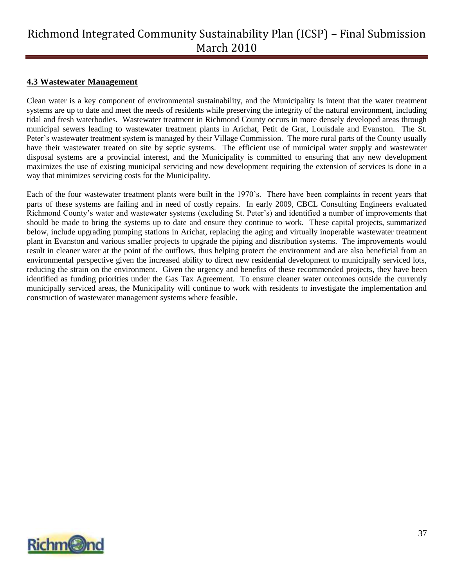#### <span id="page-36-0"></span>**4.3 Wastewater Management**

Clean water is a key component of environmental sustainability, and the Municipality is intent that the water treatment systems are up to date and meet the needs of residents while preserving the integrity of the natural environment, including tidal and fresh waterbodies. Wastewater treatment in Richmond County occurs in more densely developed areas through municipal sewers leading to wastewater treatment plants in Arichat, Petit de Grat, Louisdale and Evanston. The St. Peter's wastewater treatment system is managed by their Village Commission. The more rural parts of the County usually have their wastewater treated on site by septic systems. The efficient use of municipal water supply and wastewater disposal systems are a provincial interest, and the Municipality is committed to ensuring that any new development maximizes the use of existing municipal servicing and new development requiring the extension of services is done in a way that minimizes servicing costs for the Municipality.

Each of the four wastewater treatment plants were built in the 1970"s. There have been complaints in recent years that parts of these systems are failing and in need of costly repairs. In early 2009, CBCL Consulting Engineers evaluated Richmond County"s water and wastewater systems (excluding St. Peter"s) and identified a number of improvements that should be made to bring the systems up to date and ensure they continue to work. These capital projects, summarized below, include upgrading pumping stations in Arichat, replacing the aging and virtually inoperable wastewater treatment plant in Evanston and various smaller projects to upgrade the piping and distribution systems. The improvements would result in cleaner water at the point of the outflows, thus helping protect the environment and are also beneficial from an environmental perspective given the increased ability to direct new residential development to municipally serviced lots, reducing the strain on the environment. Given the urgency and benefits of these recommended projects, they have been identified as funding priorities under the Gas Tax Agreement. To ensure cleaner water outcomes outside the currently municipally serviced areas, the Municipality will continue to work with residents to investigate the implementation and construction of wastewater management systems where feasible.

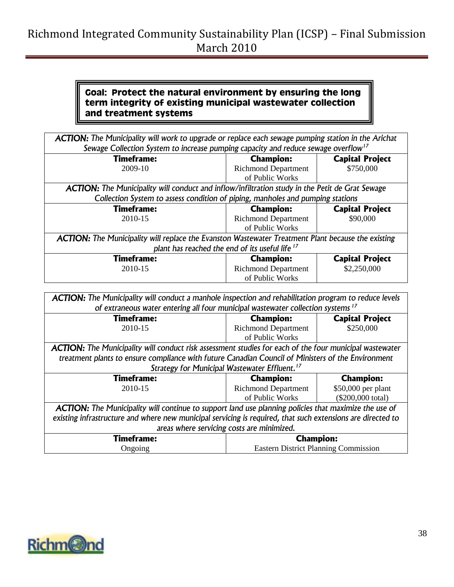### **Goal: Protect the natural environment by ensuring the long term integrity of existing municipal wastewater collection and treatment systems**

*ACTION: The Municipality will work to upgrade or replace each sewage pumping station in the Arichat Sewage Collection System to increase pumping capacity and reduce sewage overflow<sup>17</sup>* **Timeframe:** 2009-10 **Champion:** Richmond Department of Public Works **Capital Project** \$750,000 *ACTION: The Municipality will conduct and inflow/infiltration study in the Petit de Grat Sewage Collection System to assess condition of piping, manholes and pumping stations* **Timeframe:** 2010-15 **Champion:** Richmond Department of Public Works **Capital Project** \$90,000 *ACTION: The Municipality will replace the Evanston Wastewater Treatment Plant because the existing plant has reached the end of its useful life <sup>17</sup>* **Timeframe:** 2010-15 **Champion:** Richmond Department of Public Works **Capital Project** \$2,250,000

| ACTION: The Municipality will conduct a manhole inspection and rehabilitation program to reduce levels         |                                            |                        |
|----------------------------------------------------------------------------------------------------------------|--------------------------------------------|------------------------|
| of extraneous water entering all four municipal wastewater collection systems <sup>17</sup>                    |                                            |                        |
| <b>Timeframe:</b>                                                                                              | <b>Champion:</b>                           | <b>Capital Project</b> |
| 2010-15                                                                                                        | <b>Richmond Department</b>                 | \$250,000              |
|                                                                                                                | of Public Works                            |                        |
| <b>ACTION:</b> The Municipality will conduct risk assessment studies for each of the four municipal wastewater |                                            |                        |
| treatment plants to ensure compliance with future Canadian Council of Ministers of the Environment             |                                            |                        |
| Strategy for Municipal Wastewater Effluent. <sup>17</sup>                                                      |                                            |                        |
|                                                                                                                |                                            |                        |
| <b>Timeframe:</b>                                                                                              | <b>Champion:</b>                           | <b>Champion:</b>       |
| 2010-15                                                                                                        | <b>Richmond Department</b>                 | \$50,000 per plant     |
|                                                                                                                | of Public Works                            | (\$200,000 total)      |
| <b>ACTION:</b> The Municipality will continue to support land use planning policies that maximize the use of   |                                            |                        |
| existing infrastructure and where new municipal servicing is required, that such extensions are directed to    |                                            |                        |
|                                                                                                                | areas where servicing costs are minimized. |                        |
| <b>Timeframe:</b>                                                                                              | <b>Champion:</b>                           |                        |

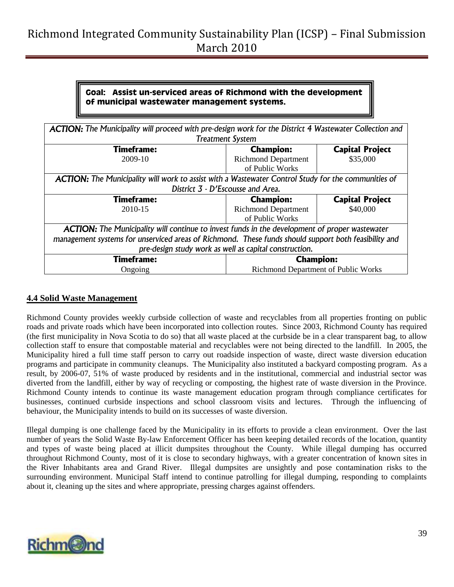### **Goal: Assist un-serviced areas of Richmond with the development of municipal wastewater management systems.**

| <b>ACTION:</b> The Municipality will proceed with pre-design work for the District 4 Wastewater Collection and<br><b>Treatment System</b> |                                            |                        |
|-------------------------------------------------------------------------------------------------------------------------------------------|--------------------------------------------|------------------------|
| <b>Timeframe:</b>                                                                                                                         | <b>Champion:</b>                           | <b>Capital Project</b> |
| 2009-10                                                                                                                                   | <b>Richmond Department</b>                 | \$35,000               |
|                                                                                                                                           | of Public Works                            |                        |
| ACTION: The Municipality will work to assist with a Wastewater Control Study for the communities of                                       |                                            |                        |
| District 3 - D'Escousse and Area.                                                                                                         |                                            |                        |
| <b>Timeframe:</b>                                                                                                                         | <b>Champion:</b>                           | <b>Capital Project</b> |
| 2010-15                                                                                                                                   | <b>Richmond Department</b>                 | \$40,000               |
|                                                                                                                                           | of Public Works                            |                        |
| <b>ACTION:</b> The Municipality will continue to invest funds in the development of proper wastewater                                     |                                            |                        |
| management systems for unserviced areas of Richmond. These funds should support both feasibility and                                      |                                            |                        |
| pre-design study work as well as capital construction.                                                                                    |                                            |                        |
| <b>Timeframe:</b>                                                                                                                         | <b>Champion:</b>                           |                        |
| Ongoing                                                                                                                                   | <b>Richmond Department of Public Works</b> |                        |

#### <span id="page-38-0"></span>**4.4 Solid Waste Management**

Richmond County provides weekly curbside collection of waste and recyclables from all properties fronting on public roads and private roads which have been incorporated into collection routes. Since 2003, Richmond County has required (the first municipality in Nova Scotia to do so) that all waste placed at the curbside be in a clear transparent bag, to allow collection staff to ensure that compostable material and recyclables were not being directed to the landfill. In 2005, the Municipality hired a full time staff person to carry out roadside inspection of waste, direct waste diversion education programs and participate in community cleanups. The Municipality also instituted a backyard composting program. As a result, by 2006-07, 51% of waste produced by residents and in the institutional, commercial and industrial sector was diverted from the landfill, either by way of recycling or composting, the highest rate of waste diversion in the Province. Richmond County intends to continue its waste management education program through compliance certificates for businesses, continued curbside inspections and school classroom visits and lectures. Through the influencing of behaviour, the Municipality intends to build on its successes of waste diversion.

Illegal dumping is one challenge faced by the Municipality in its efforts to provide a clean environment. Over the last number of years the Solid Waste By-law Enforcement Officer has been keeping detailed records of the location, quantity and types of waste being placed at illicit dumpsites throughout the County. While illegal dumping has occurred throughout Richmond County, most of it is close to secondary highways, with a greater concentration of known sites in the River Inhabitants area and Grand River. Illegal dumpsites are unsightly and pose contamination risks to the surrounding environment. Municipal Staff intend to continue patrolling for illegal dumping, responding to complaints about it, cleaning up the sites and where appropriate, pressing charges against offenders.

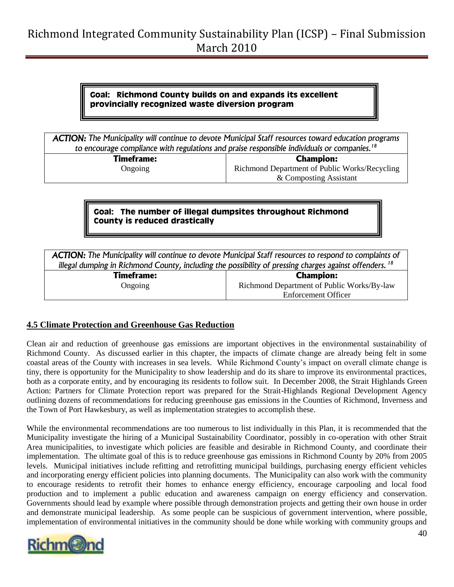#### **Goal: Richmond County builds on and expands its excellent provincially recognized waste diversion program**

*ACTION: The Municipality will continue to devote Municipal Staff resources toward education programs to encourage compliance with regulations and praise responsible individuals or companies.<sup>18</sup>*

> **Timeframe:** Ongoing

**Champion:** Richmond Department of Public Works/Recycling & Composting Assistant

### **Goal: The number of illegal dumpsites throughout Richmond County is reduced drastically**

*ACTION: The Municipality will continue to devote Municipal Staff resources to respond to complaints of illegal dumping in Richmond County, including the possibility of pressing charges against offenders. <sup>18</sup>*

> **Timeframe:** Ongoing

**Champion:** Richmond Department of Public Works/By-law Enforcement Officer

#### <span id="page-39-0"></span>**4.5 Climate Protection and Greenhouse Gas Reduction**

Clean air and reduction of greenhouse gas emissions are important objectives in the environmental sustainability of Richmond County. As discussed earlier in this chapter, the impacts of climate change are already being felt in some coastal areas of the County with increases in sea levels. While Richmond County"s impact on overall climate change is tiny, there is opportunity for the Municipality to show leadership and do its share to improve its environmental practices, both as a corporate entity, and by encouraging its residents to follow suit. In December 2008, the Strait Highlands Green Action: Partners for Climate Protection report was prepared for the Strait-Highlands Regional Development Agency outlining dozens of recommendations for reducing greenhouse gas emissions in the Counties of Richmond, Inverness and the Town of Port Hawkesbury, as well as implementation strategies to accomplish these.

While the environmental recommendations are too numerous to list individually in this Plan, it is recommended that the Municipality investigate the hiring of a Municipal Sustainability Coordinator, possibly in co-operation with other Strait Area municipalities, to investigate which policies are feasible and desirable in Richmond County, and coordinate their implementation. The ultimate goal of this is to reduce greenhouse gas emissions in Richmond County by 20% from 2005 levels. Municipal initiatives include refitting and retrofitting municipal buildings, purchasing energy efficient vehicles and incorporating energy efficient policies into planning documents. The Municipality can also work with the community to encourage residents to retrofit their homes to enhance energy efficiency, encourage carpooling and local food production and to implement a public education and awareness campaign on energy efficiency and conservation. Governments should lead by example where possible through demonstration projects and getting their own house in order and demonstrate municipal leadership. As some people can be suspicious of government intervention, where possible, implementation of environmental initiatives in the community should be done while working with community groups and

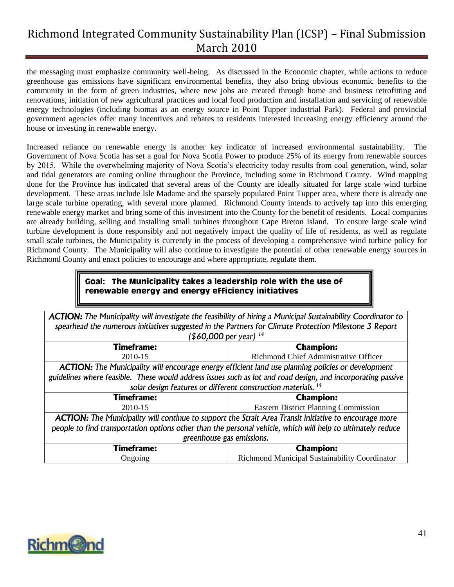the messaging must emphasize community well-being. As discussed in the Economic chapter, while actions to reduce greenhouse gas emissions have significant environmental benefits, they also bring obvious economic benefits to the community in the form of green industries, where new jobs are created through home and business retrofitting and renovations, initiation of new agricultural practices and local food production and installation and servicing of renewable energy technologies (including biomas as an energy source in Point Tupper industrial Park). Federal and provincial government agencies offer many incentives and rebates to residents interested increasing energy efficiency around the house or investing in renewable energy.

Increased reliance on renewable energy is another key indicator of increased environmental sustainability. The Government of Nova Scotia has set a goal for Nova Scotia Power to produce 25% of its energy from renewable sources by 2015. While the overwhelming majority of Nova Scotia"s electricity today results from coal generation, wind, solar and tidal generators are coming online throughout the Province, including some in Richmond County. Wind mapping done for the Province has indicated that several areas of the County are ideally situated for large scale wind turbine development. These areas include Isle Madame and the sparsely populated Point Tupper area, where there is already one large scale turbine operating, with several more planned. Richmond County intends to actively tap into this emerging renewable energy market and bring some of this investment into the County for the benefit of residents. Local companies are already building, selling and installing small turbines throughout Cape Breton Island. To ensure large scale wind turbine development is done responsibly and not negatively impact the quality of life of residents, as well as regulate small scale turbines, the Municipality is currently in the process of developing a comprehensive wind turbine policy for Richmond County. The Municipality will also continue to investigate the potential of other renewable energy sources in Richmond County and enact policies to encourage and where appropriate, regulate them.

#### **Goal: The Municipality takes a leadership role with the use of renewable energy and energy efficiency initiatives**

| <b>ACTION:</b> The Municipality will investigate the feasibility of hiring a Municipal Sustainability Coordinator to<br>spearhead the numerous initiatives suggested in the Partners for Climate Protection Milestone 3 Report<br>$($ \$60,000 per year) <sup>14</sup> |                                               |  |
|------------------------------------------------------------------------------------------------------------------------------------------------------------------------------------------------------------------------------------------------------------------------|-----------------------------------------------|--|
| <b>Timeframe:</b>                                                                                                                                                                                                                                                      | <b>Champion:</b>                              |  |
| 2010-15                                                                                                                                                                                                                                                                | Richmond Chief Administrative Officer         |  |
| <b>ACTION:</b> The Municipality will encourage energy efficient land use planning policies or development                                                                                                                                                              |                                               |  |
| guidelines where feasible. These would address issues such as lot and road design, and incorporating passive                                                                                                                                                           |                                               |  |
| solar design features or different construction materials. <sup>14</sup>                                                                                                                                                                                               |                                               |  |
| <b>Timeframe:</b>                                                                                                                                                                                                                                                      | <b>Champion:</b>                              |  |
| 2010-15                                                                                                                                                                                                                                                                | <b>Eastern District Planning Commission</b>   |  |
| ACTION: The Municipality will continue to support the Strait Area Transit initiative to encourage more                                                                                                                                                                 |                                               |  |
| people to find transportation options other than the personal vehicle, which will help to ultimately reduce                                                                                                                                                            |                                               |  |
| greenhouse gas emissions.                                                                                                                                                                                                                                              |                                               |  |
| <b>Timeframe:</b>                                                                                                                                                                                                                                                      | <b>Champion:</b>                              |  |
| Ongoing                                                                                                                                                                                                                                                                | Richmond Municipal Sustainability Coordinator |  |

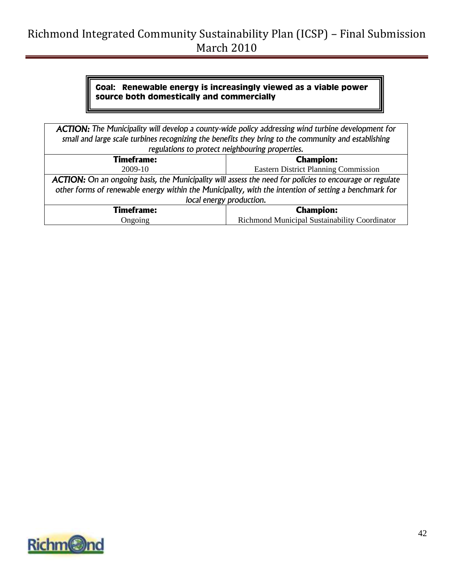### **Goal: Renewable energy is increasingly viewed as a viable power source both domestically and commercially**

| <b>ACTION:</b> The Municipality will develop a county-wide policy addressing wind turbine development for<br>small and large scale turbines recognizing the benefits they bring to the community and establishing |                                               |  |
|-------------------------------------------------------------------------------------------------------------------------------------------------------------------------------------------------------------------|-----------------------------------------------|--|
|                                                                                                                                                                                                                   |                                               |  |
| regulations to protect neighbouring properties.                                                                                                                                                                   |                                               |  |
| <b>Timeframe:</b>                                                                                                                                                                                                 | <b>Champion:</b>                              |  |
| 2009-10                                                                                                                                                                                                           | <b>Eastern District Planning Commission</b>   |  |
| ACTION: On an ongoing basis, the Municipality will assess the need for policies to encourage or regulate                                                                                                          |                                               |  |
| other forms of renewable energy within the Municipality, with the intention of setting a benchmark for                                                                                                            |                                               |  |
| local energy production.                                                                                                                                                                                          |                                               |  |
| <b>Timeframe:</b>                                                                                                                                                                                                 | <b>Champion:</b>                              |  |
| Ongoing                                                                                                                                                                                                           | Richmond Municipal Sustainability Coordinator |  |

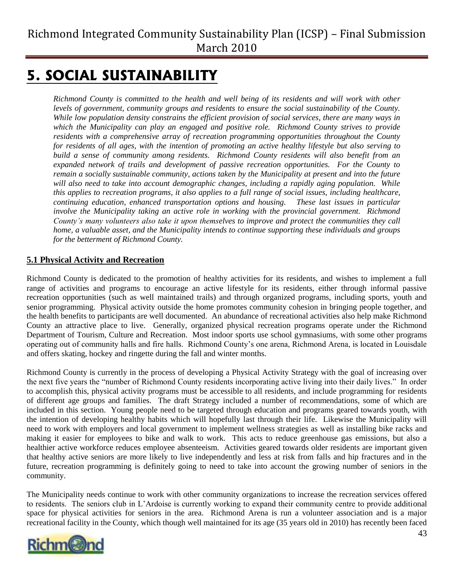# <span id="page-42-0"></span>**5. SOCIAL SUSTAINABILITY**

*Richmond County is committed to the health and well being of its residents and will work with other levels of government, community groups and residents to ensure the social sustainability of the County. While low population density constrains the efficient provision of social services, there are many ways in which the Municipality can play an engaged and positive role. Richmond County strives to provide residents with a comprehensive array of recreation programming opportunities throughout the County for residents of all ages, with the intention of promoting an active healthy lifestyle but also serving to build a sense of community among residents. Richmond County residents will also benefit from an expanded network of trails and development of passive recreation opportunities. For the County to remain a socially sustainable community, actions taken by the Municipality at present and into the future will also need to take into account demographic changes, including a rapidly aging population. While this applies to recreation programs, it also applies to a full range of social issues, including healthcare, continuing education, enhanced transportation options and housing. These last issues in particular involve the Municipality taking an active role in working with the provincial government. Richmond County's many volunteers also take it upon themselves to improve and protect the communities they call home, a valuable asset, and the Municipality intends to continue supporting these individuals and groups for the betterment of Richmond County.*

### <span id="page-42-1"></span>**5.1 Physical Activity and Recreation**

Richmond County is dedicated to the promotion of healthy activities for its residents, and wishes to implement a full range of activities and programs to encourage an active lifestyle for its residents, either through informal passive recreation opportunities (such as well maintained trails) and through organized programs, including sports, youth and senior programming. Physical activity outside the home promotes community cohesion in bringing people together, and the health benefits to participants are well documented. An abundance of recreational activities also help make Richmond County an attractive place to live. Generally, organized physical recreation programs operate under the Richmond Department of Tourism, Culture and Recreation. Most indoor sports use school gymnasiums, with some other programs operating out of community halls and fire halls. Richmond County"s one arena, Richmond Arena, is located in Louisdale and offers skating, hockey and ringette during the fall and winter months.

Richmond County is currently in the process of developing a Physical Activity Strategy with the goal of increasing over the next five years the "number of Richmond County residents incorporating active living into their daily lives." In order to accomplish this, physical activity programs must be accessible to all residents, and include programming for residents of different age groups and families. The draft Strategy included a number of recommendations, some of which are included in this section. Young people need to be targeted through education and programs geared towards youth, with the intention of developing healthy habits which will hopefully last through their life. Likewise the Municipality will need to work with employers and local government to implement wellness strategies as well as installing bike racks and making it easier for employees to bike and walk to work. This acts to reduce greenhouse gas emissions, but also a healthier active workforce reduces employee absenteeism. Activities geared towards older residents are important given that healthy active seniors are more likely to live independently and less at risk from falls and hip fractures and in the future, recreation programming is definitely going to need to take into account the growing number of seniors in the community.

The Municipality needs continue to work with other community organizations to increase the recreation services offered to residents. The seniors club in L"Ardoise is currently working to expand their community centre to provide additional space for physical activities for seniors in the area. Richmond Arena is run a volunteer association and is a major recreational facility in the County, which though well maintained for its age (35 years old in 2010) has recently been faced

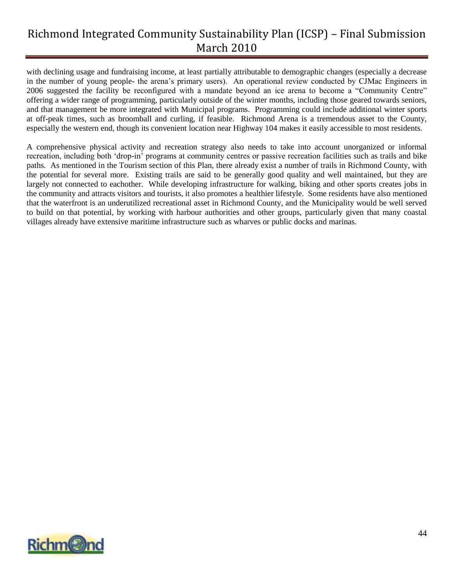with declining usage and fundraising income, at least partially attributable to demographic changes (especially a decrease in the number of young people- the arena"s primary users). An operational review conducted by CJMac Engineers in 2006 suggested the facility be reconfigured with a mandate beyond an ice arena to become a "Community Centre" offering a wider range of programming, particularly outside of the winter months, including those geared towards seniors, and that management be more integrated with Municipal programs. Programming could include additional winter sports at off-peak times, such as broomball and curling, if feasible. Richmond Arena is a tremendous asset to the County, especially the western end, though its convenient location near Highway 104 makes it easily accessible to most residents.

A comprehensive physical activity and recreation strategy also needs to take into account unorganized or informal recreation, including both "drop-in" programs at community centres or passive recreation facilities such as trails and bike paths. As mentioned in the Tourism section of this Plan, there already exist a number of trails in Richmond County, with the potential for several more. Existing trails are said to be generally good quality and well maintained, but they are largely not connected to eachother. While developing infrastructure for walking, biking and other sports creates jobs in the community and attracts visitors and tourists, it also promotes a healthier lifestyle. Some residents have also mentioned that the waterfront is an underutilized recreational asset in Richmond County, and the Municipality would be well served to build on that potential, by working with harbour authorities and other groups, particularly given that many coastal villages already have extensive maritime infrastructure such as wharves or public docks and marinas.

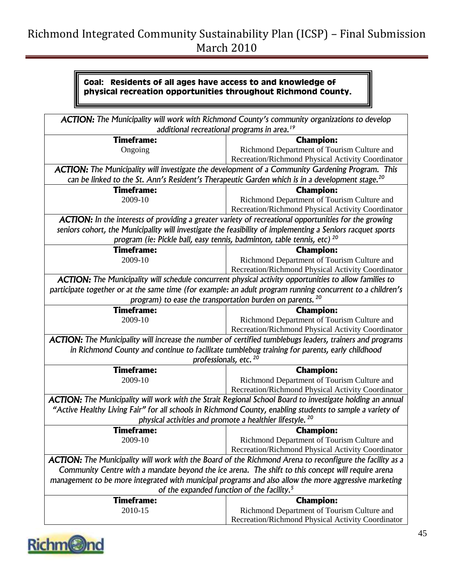### **Goal: Residents of all ages have access to and knowledge of physical recreation opportunities throughout Richmond County.**

| ACTION: The Municipality will work with Richmond County's community organizations to develop                    |                                                                                                             |  |  |
|-----------------------------------------------------------------------------------------------------------------|-------------------------------------------------------------------------------------------------------------|--|--|
| additional recreational programs in area. <sup>19</sup>                                                         |                                                                                                             |  |  |
| <b>Timeframe:</b>                                                                                               | <b>Champion:</b>                                                                                            |  |  |
| Ongoing                                                                                                         | Richmond Department of Tourism Culture and                                                                  |  |  |
|                                                                                                                 | Recreation/Richmond Physical Activity Coordinator                                                           |  |  |
| <b>ACTION:</b> The Municipality will investigate the development of a Community Gardening Program. This         |                                                                                                             |  |  |
|                                                                                                                 | can be linked to the St. Ann's Resident's Therapeutic Garden which is in a development stage. <sup>20</sup> |  |  |
| <b>Timeframe:</b>                                                                                               | <b>Champion:</b>                                                                                            |  |  |
| 2009-10                                                                                                         | Richmond Department of Tourism Culture and                                                                  |  |  |
|                                                                                                                 | Recreation/Richmond Physical Activity Coordinator                                                           |  |  |
| <b>ACTION:</b> In the interests of providing a greater variety of recreational opportunities for the growing    |                                                                                                             |  |  |
|                                                                                                                 | seniors cohort, the Municipality will investigate the feasibility of implementing a Seniors racquet sports  |  |  |
| program (ie: Pickle ball, easy tennis, badminton, table tennis, etc) <sup>20</sup>                              |                                                                                                             |  |  |
| <b>Timeframe:</b>                                                                                               | <b>Champion:</b>                                                                                            |  |  |
| 2009-10                                                                                                         | Richmond Department of Tourism Culture and                                                                  |  |  |
|                                                                                                                 | Recreation/Richmond Physical Activity Coordinator                                                           |  |  |
| ACTION: The Municipality will schedule concurrent physical activity opportunities to allow families to          |                                                                                                             |  |  |
|                                                                                                                 | participate together or at the same time (for example: an adult program running concurrent to a children's  |  |  |
| program) to ease the transportation burden on parents. <sup>20</sup>                                            |                                                                                                             |  |  |
| <b>Timeframe:</b>                                                                                               | <b>Champion:</b>                                                                                            |  |  |
| 2009-10                                                                                                         | Richmond Department of Tourism Culture and                                                                  |  |  |
|                                                                                                                 | Recreation/Richmond Physical Activity Coordinator                                                           |  |  |
| ACTION: The Municipality will increase the number of certified tumblebugs leaders, trainers and programs        |                                                                                                             |  |  |
| in Richmond County and continue to facilitate tumblebug training for parents, early childhood                   |                                                                                                             |  |  |
| professionals, etc. <sup>20</sup>                                                                               |                                                                                                             |  |  |
| <b>Timeframe:</b>                                                                                               | <b>Champion:</b>                                                                                            |  |  |
| 2009-10                                                                                                         | Richmond Department of Tourism Culture and                                                                  |  |  |
|                                                                                                                 | Recreation/Richmond Physical Activity Coordinator                                                           |  |  |
|                                                                                                                 | ACTION: The Municipality will work with the Strait Regional School Board to investigate holding an annual   |  |  |
|                                                                                                                 | "Active Healthy Living Fair" for all schools in Richmond County, enabling students to sample a variety of   |  |  |
| physical activities and promote a healthier lifestyle. <sup>20</sup>                                            |                                                                                                             |  |  |
| <b>Timeframe:</b>                                                                                               | <b>Champion:</b>                                                                                            |  |  |
| 2009-10                                                                                                         | Richmond Department of Tourism Culture and                                                                  |  |  |
|                                                                                                                 | Recreation/Richmond Physical Activity Coordinator                                                           |  |  |
| <b>ACTION:</b> The Municipality will work with the Board of the Richmond Arena to reconfigure the facility as a |                                                                                                             |  |  |
| Community Centre with a mandate beyond the ice arena. The shift to this concept will require arena              |                                                                                                             |  |  |
| management to be more integrated with municipal programs and also allow the more aggressive marketing           |                                                                                                             |  |  |
| of the expanded function of the facility. <sup>5</sup>                                                          |                                                                                                             |  |  |
| <b>Timeframe:</b>                                                                                               | <b>Champion:</b>                                                                                            |  |  |
| 2010-15                                                                                                         | Richmond Department of Tourism Culture and                                                                  |  |  |
|                                                                                                                 | Recreation/Richmond Physical Activity Coordinator                                                           |  |  |

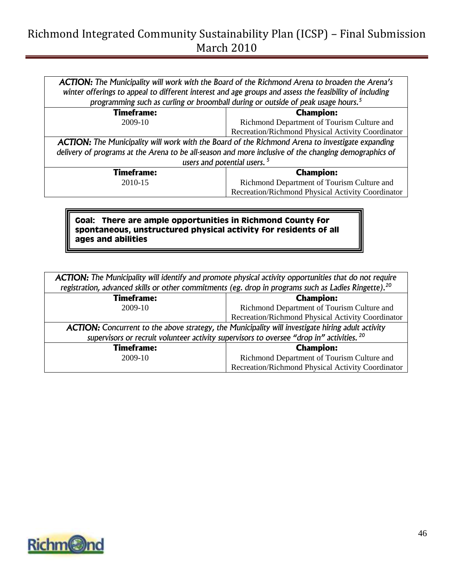*ACTION: The Municipality will work with the Board of the Richmond Arena to broaden the Arena's winter offerings to appeal to different interest and age groups and assess the feasibility of including programming such as curling or broomball during or outside of peak usage hours.<sup>5</sup>*

| <b>Timeframe:</b>                                                                                       | <b>Champion:</b>                                  |  |  |
|---------------------------------------------------------------------------------------------------------|---------------------------------------------------|--|--|
| 2009-10                                                                                                 | Richmond Department of Tourism Culture and        |  |  |
|                                                                                                         | Recreation/Richmond Physical Activity Coordinator |  |  |
| <b>ACTION:</b> The Municipality will work with the Board of the Richmond Arena to investigate expanding |                                                   |  |  |
| delivery of programs at the Arena to be all-season and more inclusive of the changing demographics of   |                                                   |  |  |
| users and potential users. <sup>5</sup>                                                                 |                                                   |  |  |
| <b>Timeframe:</b>                                                                                       | <b>Champion:</b>                                  |  |  |
| 2010-15                                                                                                 | Richmond Department of Tourism Culture and        |  |  |
| Recreation/Richmond Physical Activity Coordinator                                                       |                                                   |  |  |

**Goal: There are ample opportunities in Richmond County for spontaneous, unstructured physical activity for residents of all ages and abilities**

| <b>ACTION:</b> The Municipality will identify and promote physical activity opportunities that do not require    |                                                   |  |  |
|------------------------------------------------------------------------------------------------------------------|---------------------------------------------------|--|--|
| registration, advanced skills or other commitments (eg. drop in programs such as Ladies Ringette). <sup>20</sup> |                                                   |  |  |
| <b>Timeframe:</b><br><b>Champion:</b>                                                                            |                                                   |  |  |
| 2009-10                                                                                                          | Richmond Department of Tourism Culture and        |  |  |
|                                                                                                                  | Recreation/Richmond Physical Activity Coordinator |  |  |
| <b>ACTION:</b> Concurrent to the above strategy, the Municipality will investigate hiring adult activity         |                                                   |  |  |
| supervisors or recruit volunteer activity supervisors to oversee "drop in" activities. 20                        |                                                   |  |  |
| <b>Timeframe:</b>                                                                                                | <b>Champion:</b>                                  |  |  |
| 2009-10                                                                                                          | Richmond Department of Tourism Culture and        |  |  |
| Recreation/Richmond Physical Activity Coordinator                                                                |                                                   |  |  |

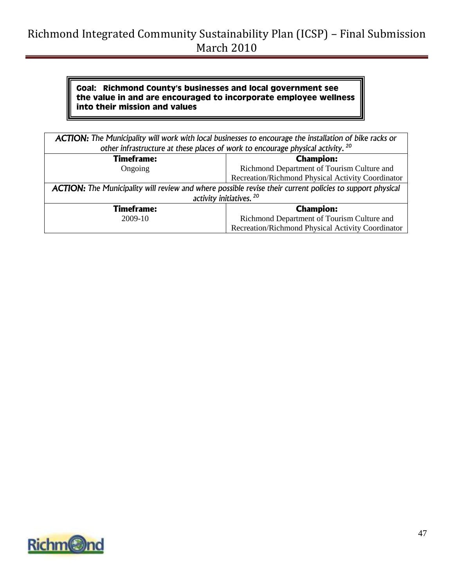#### **Goal: Richmond County's businesses and local government see the value in and are encouraged to incorporate employee wellness into their mission and values**

| ACTION: The Municipality will work with local businesses to encourage the installation of bike racks or   |                                                   |  |  |
|-----------------------------------------------------------------------------------------------------------|---------------------------------------------------|--|--|
| other infrastructure at these places of work to encourage physical activity. <sup>20</sup>                |                                                   |  |  |
| <b>Timeframe:</b><br><b>Champion:</b>                                                                     |                                                   |  |  |
| Ongoing                                                                                                   | Richmond Department of Tourism Culture and        |  |  |
|                                                                                                           | Recreation/Richmond Physical Activity Coordinator |  |  |
| ACTION: The Municipality will review and where possible revise their current policies to support physical |                                                   |  |  |
| activity initiatives. <sup>20</sup>                                                                       |                                                   |  |  |
| <b>Timeframe:</b>                                                                                         | <b>Champion:</b>                                  |  |  |
| 2009-10                                                                                                   | Richmond Department of Tourism Culture and        |  |  |
| Recreation/Richmond Physical Activity Coordinator                                                         |                                                   |  |  |

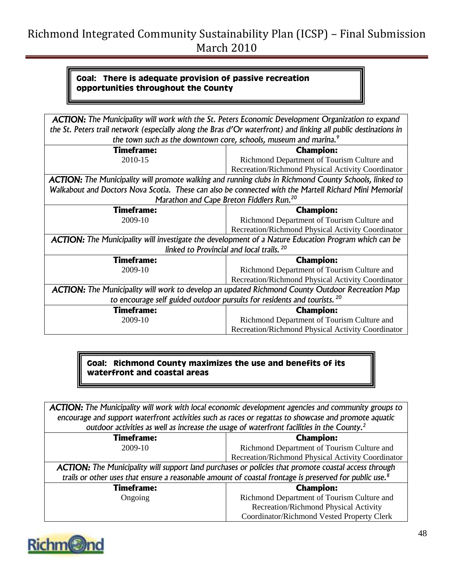#### **Goal: There is adequate provision of passive recreation opportunities throughout the County**

| <b>ACTION:</b> The Municipality will work with the St. Peters Economic Development Organization to expand       |                                                   |  |  |  |
|-----------------------------------------------------------------------------------------------------------------|---------------------------------------------------|--|--|--|
| the St. Peters trail network (especially along the Bras d'Or waterfront) and linking all public destinations in |                                                   |  |  |  |
| the town such as the downtown core, schools, museum and marina. <sup>9</sup>                                    |                                                   |  |  |  |
| <b>Timeframe:</b><br><b>Champion:</b>                                                                           |                                                   |  |  |  |
| 2010-15                                                                                                         | Richmond Department of Tourism Culture and        |  |  |  |
|                                                                                                                 | Recreation/Richmond Physical Activity Coordinator |  |  |  |
| <b>ACTION:</b> The Municipality will promote walking and running clubs in Richmond County Schools, linked to    |                                                   |  |  |  |
| Walkabout and Doctors Nova Scotia. These can also be connected with the Martell Richard Mini Memorial           |                                                   |  |  |  |
| Marathon and Cape Breton Fiddlers Run. <sup>20</sup>                                                            |                                                   |  |  |  |
| Timeframe:                                                                                                      | <b>Champion:</b>                                  |  |  |  |
| 2009-10                                                                                                         | Richmond Department of Tourism Culture and        |  |  |  |
|                                                                                                                 | Recreation/Richmond Physical Activity Coordinator |  |  |  |
| <b>ACTION:</b> The Municipality will investigate the development of a Nature Education Program which can be     |                                                   |  |  |  |
| linked to Provincial and local trails. <sup>20</sup>                                                            |                                                   |  |  |  |
| <b>Timeframe:</b>                                                                                               | <b>Champion:</b>                                  |  |  |  |
| 2009-10                                                                                                         | Richmond Department of Tourism Culture and        |  |  |  |
|                                                                                                                 | Recreation/Richmond Physical Activity Coordinator |  |  |  |
| <b>ACTION:</b> The Municipality will work to develop an updated Richmond County Outdoor Recreation Map          |                                                   |  |  |  |
| to encourage self guided outdoor pursuits for residents and tourists. <sup>20</sup>                             |                                                   |  |  |  |
| Timeframe:                                                                                                      | <b>Champion:</b>                                  |  |  |  |
| 2009-10<br>Richmond Department of Tourism Culture and                                                           |                                                   |  |  |  |
| Recreation/Richmond Physical Activity Coordinator                                                               |                                                   |  |  |  |

### **Goal: Richmond County maximizes the use and benefits of its waterfront and coastal areas**

*ACTION: The Municipality will work with local economic development agencies and community groups to encourage and support waterfront activities such as races or regattas to showcase and promote aquatic outdoor activities as well as increase the usage of waterfront facilities in the County.<sup>2</sup>*

| <b>Timeframe:</b>                                                                                                  | <b>Champion:</b>                                  |  |  |
|--------------------------------------------------------------------------------------------------------------------|---------------------------------------------------|--|--|
| 2009-10                                                                                                            | Richmond Department of Tourism Culture and        |  |  |
|                                                                                                                    | Recreation/Richmond Physical Activity Coordinator |  |  |
| <b>ACTION:</b> The Municipality will support land purchases or policies that promote coastal access through        |                                                   |  |  |
| trails or other uses that ensure a reasonable amount of coastal frontage is preserved for public use. <sup>8</sup> |                                                   |  |  |
| <b>Timeframe:</b>                                                                                                  | <b>Champion:</b>                                  |  |  |
| Ongoing                                                                                                            | Richmond Department of Tourism Culture and        |  |  |
|                                                                                                                    | Recreation/Richmond Physical Activity             |  |  |
|                                                                                                                    | Coordinator/Richmond Vested Property Clerk        |  |  |

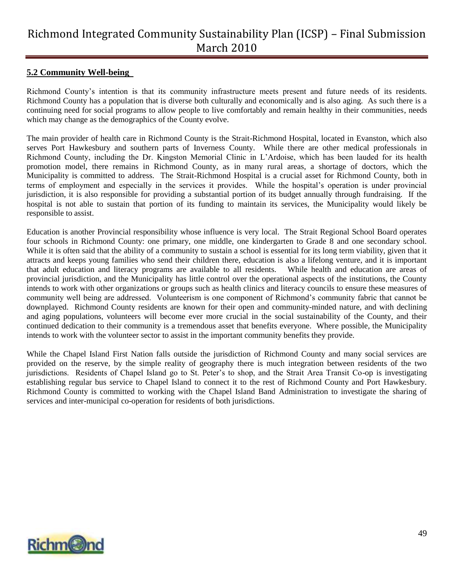#### <span id="page-48-0"></span>**5.2 Community Well-being**

Richmond County"s intention is that its community infrastructure meets present and future needs of its residents. Richmond County has a population that is diverse both culturally and economically and is also aging. As such there is a continuing need for social programs to allow people to live comfortably and remain healthy in their communities, needs which may change as the demographics of the County evolve.

The main provider of health care in Richmond County is the Strait-Richmond Hospital, located in Evanston, which also serves Port Hawkesbury and southern parts of Inverness County. While there are other medical professionals in Richmond County, including the Dr. Kingston Memorial Clinic in L"Ardoise, which has been lauded for its health promotion model, there remains in Richmond County, as in many rural areas, a shortage of doctors, which the Municipality is committed to address. The Strait-Richmond Hospital is a crucial asset for Richmond County, both in terms of employment and especially in the services it provides. While the hospital"s operation is under provincial jurisdiction, it is also responsible for providing a substantial portion of its budget annually through fundraising. If the hospital is not able to sustain that portion of its funding to maintain its services, the Municipality would likely be responsible to assist.

Education is another Provincial responsibility whose influence is very local. The Strait Regional School Board operates four schools in Richmond County: one primary, one middle, one kindergarten to Grade 8 and one secondary school. While it is often said that the ability of a community to sustain a school is essential for its long term viability, given that it attracts and keeps young families who send their children there, education is also a lifelong venture, and it is important that adult education and literacy programs are available to all residents. While health and education are areas of provincial jurisdiction, and the Municipality has little control over the operational aspects of the institutions, the County intends to work with other organizations or groups such as health clinics and literacy councils to ensure these measures of community well being are addressed. Volunteerism is one component of Richmond"s community fabric that cannot be downplayed. Richmond County residents are known for their open and community-minded nature, and with declining and aging populations, volunteers will become ever more crucial in the social sustainability of the County, and their continued dedication to their community is a tremendous asset that benefits everyone. Where possible, the Municipality intends to work with the volunteer sector to assist in the important community benefits they provide.

While the Chapel Island First Nation falls outside the jurisdiction of Richmond County and many social services are provided on the reserve, by the simple reality of geography there is much integration between residents of the two jurisdictions. Residents of Chapel Island go to St. Peter"s to shop, and the Strait Area Transit Co-op is investigating establishing regular bus service to Chapel Island to connect it to the rest of Richmond County and Port Hawkesbury. Richmond County is committed to working with the Chapel Island Band Administration to investigate the sharing of services and inter-municipal co-operation for residents of both jurisdictions.

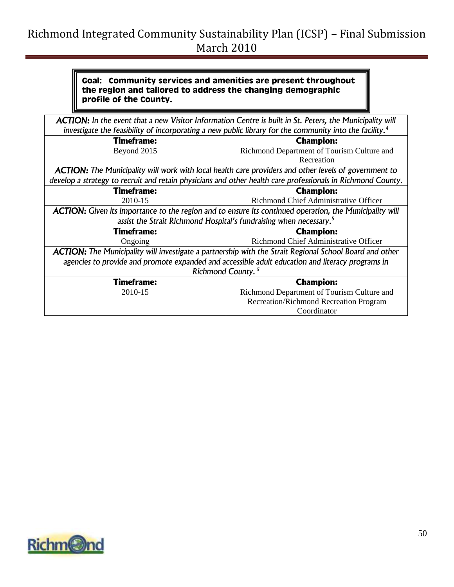#### **Goal: Community services and amenities are present throughout the region and tailored to address the changing demographic profile of the County.**

| ACTION: In the event that a new Visitor Information Centre is built in St. Peters, the Municipality will            |                                                                                                                |  |  |  |
|---------------------------------------------------------------------------------------------------------------------|----------------------------------------------------------------------------------------------------------------|--|--|--|
| investigate the feasibility of incorporating a new public library for the community into the facility. <sup>4</sup> |                                                                                                                |  |  |  |
| <b>Timeframe:</b><br><b>Champion:</b>                                                                               |                                                                                                                |  |  |  |
| Beyond 2015                                                                                                         | Richmond Department of Tourism Culture and                                                                     |  |  |  |
| Recreation                                                                                                          |                                                                                                                |  |  |  |
| <b>ACTION:</b> The Municipality will work with local health care providers and other levels of government to        |                                                                                                                |  |  |  |
|                                                                                                                     | develop a strategy to recruit and retain physicians and other health care professionals in Richmond County.    |  |  |  |
| <b>Timeframe:</b><br><b>Champion:</b>                                                                               |                                                                                                                |  |  |  |
| Richmond Chief Administrative Officer<br>2010-15                                                                    |                                                                                                                |  |  |  |
|                                                                                                                     | <b>ACTION:</b> Given its importance to the region and to ensure its continued operation, the Municipality will |  |  |  |
| assist the Strait Richmond Hospital's fundraising when necessary. <sup>5</sup>                                      |                                                                                                                |  |  |  |
| <b>Timeframe:</b>                                                                                                   | <b>Champion:</b>                                                                                               |  |  |  |
| Ongoing                                                                                                             | Richmond Chief Administrative Officer                                                                          |  |  |  |
| <b>ACTION:</b> The Municipality will investigate a partnership with the Strait Regional School Board and other      |                                                                                                                |  |  |  |
| agencies to provide and promote expanded and accessible adult education and literacy programs in                    |                                                                                                                |  |  |  |
| Richmond County. <sup>5</sup>                                                                                       |                                                                                                                |  |  |  |
| <b>Timeframe:</b>                                                                                                   | <b>Champion:</b>                                                                                               |  |  |  |
| 2010-15                                                                                                             | Richmond Department of Tourism Culture and                                                                     |  |  |  |
| Recreation/Richmond Recreation Program                                                                              |                                                                                                                |  |  |  |
| Coordinator                                                                                                         |                                                                                                                |  |  |  |

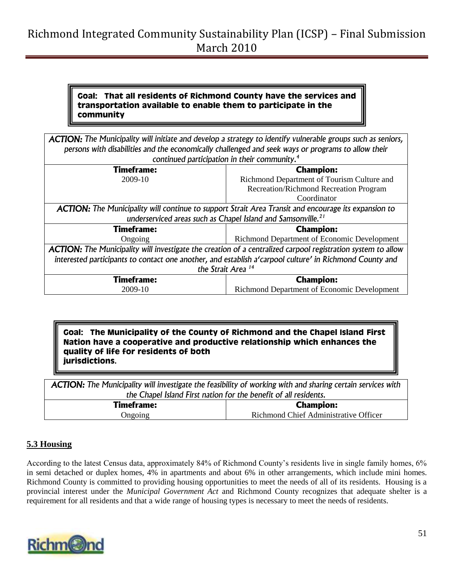#### **Goal: That all residents of Richmond County have the services and transportation available to enable them to participate in the community**

| <b>ACTION:</b> The Municipality will initiate and develop a strategy to identify vulnerable groups such as seniors,<br>persons with disabilities and the economically challenged and seek ways or programs to allow their |                                             |  |  |
|---------------------------------------------------------------------------------------------------------------------------------------------------------------------------------------------------------------------------|---------------------------------------------|--|--|
| continued participation in their community. <sup>4</sup>                                                                                                                                                                  |                                             |  |  |
| <b>Timeframe:</b><br><b>Champion:</b>                                                                                                                                                                                     |                                             |  |  |
| 2009-10                                                                                                                                                                                                                   | Richmond Department of Tourism Culture and  |  |  |
| Recreation/Richmond Recreation Program                                                                                                                                                                                    |                                             |  |  |
|                                                                                                                                                                                                                           | Coordinator                                 |  |  |
| <b>ACTION:</b> The Municipality will continue to support Strait Area Transit and encourage its expansion to                                                                                                               |                                             |  |  |
| underserviced areas such as Chapel Island and Samsonville. <sup>21</sup>                                                                                                                                                  |                                             |  |  |
| <b>Timeframe:</b>                                                                                                                                                                                                         | <b>Champion:</b>                            |  |  |
| Ongoing                                                                                                                                                                                                                   | Richmond Department of Economic Development |  |  |
| <b>ACTION:</b> The Municipality will investigate the creation of a centralized carpool registration system to allow                                                                                                       |                                             |  |  |
| interested participants to contact one another, and establish a'carpool culture' in Richmond County and                                                                                                                   |                                             |  |  |
| the Strait Area <sup>14</sup>                                                                                                                                                                                             |                                             |  |  |
| <b>Timeframe:</b>                                                                                                                                                                                                         | <b>Champion:</b>                            |  |  |
| Richmond Department of Economic Development<br>2009-10                                                                                                                                                                    |                                             |  |  |

**Goal: The Municipality of the County of Richmond and the Chapel Island First Nation have a cooperative and productive relationship which enhances the quality of life for residents of both jurisdictions.**

*ACTION: The Municipality will investigate the feasibility of working with and sharing certain services with the Chapel Island First nation for the benefit of all residents.*

| <b>Timeframe:</b> | <b>Champion:</b>                      |  |  |
|-------------------|---------------------------------------|--|--|
| Jngoing           | Richmond Chief Administrative Officer |  |  |

### <span id="page-50-0"></span>**5.3 Housing**

According to the latest Census data, approximately 84% of Richmond County"s residents live in single family homes, 6% in semi detached or duplex homes, 4% in apartments and about 6% in other arrangements, which include mini homes. Richmond County is committed to providing housing opportunities to meet the needs of all of its residents. Housing is a provincial interest under the *Municipal Government Act* and Richmond County recognizes that adequate shelter is a requirement for all residents and that a wide range of housing types is necessary to meet the needs of residents.

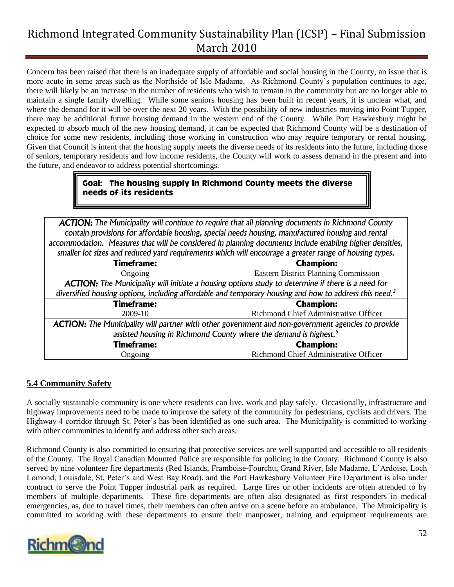Concern has been raised that there is an inadequate supply of affordable and social housing in the County, an issue that is more acute in some areas such as the Northside of Isle Madame. As Richmond County"s population continues to age, there will likely be an increase in the number of residents who wish to remain in the community but are no longer able to maintain a single family dwelling. While some seniors housing has been built in recent years, it is unclear what, and where the demand for it will be over the next 20 years. With the possibility of new industries moving into Point Tupper, there may be additional future housing demand in the western end of the County. While Port Hawkesbury might be expected to absorb much of the new housing demand, it can be expected that Richmond County will be a destination of choice for some new residents, including those working in construction who may require temporary or rental housing. Given that Council is intent that the housing supply meets the diverse needs of its residents into the future, including those of seniors, temporary residents and low income residents, the County will work to assess demand in the present and into the future, and endeavor to address potential shortcomings.

#### **Goal: The housing supply in Richmond County meets the diverse needs of its residents**

*ACTION: The Municipality will continue to require that all planning documents in Richmond County contain provisions for affordable housing, special needs housing, manufactured housing and rental accommodation. Measures that will be considered in planning documents include enabling higher densities, smaller lot sizes and reduced yard requirements which will encourage a greater range of housing types.*

| <b>Timeframe:</b>                                                                                                  | .<br><b>Champion:</b>                       |  |  |
|--------------------------------------------------------------------------------------------------------------------|---------------------------------------------|--|--|
| Ongoing                                                                                                            | <b>Eastern District Planning Commission</b> |  |  |
| <b>ACTION:</b> The Municipality will initiate a housing options study to determine if there is a need for          |                                             |  |  |
| diversified housing options, including affordable and temporary housing and how to address this need. <sup>2</sup> |                                             |  |  |
| <b>Timeframe:</b>                                                                                                  | <b>Champion:</b>                            |  |  |
| 2009-10                                                                                                            | Richmond Chief Administrative Officer       |  |  |
| <b>ACTION:</b> The Municipality will partner with other government and non-government agencies to provide          |                                             |  |  |
| assisted housing in Richmond County where the demand is highest. <sup>5</sup>                                      |                                             |  |  |
| <b>Timeframe:</b>                                                                                                  | <b>Champion:</b>                            |  |  |
| Ongoing                                                                                                            | Richmond Chief Administrative Officer       |  |  |

### <span id="page-51-0"></span>**5.4 Community Safety**

A socially sustainable community is one where residents can live, work and play safely. Occasionally, infrastructure and highway improvements need to be made to improve the safety of the community for pedestrians, cyclists and drivers. The Highway 4 corridor through St. Peter"s has been identified as one such area. The Municipality is committed to working with other communities to identify and address other such areas.

Richmond County is also committed to ensuring that protective services are well supported and accessible to all residents of the County. The Royal Canadian Mounted Police are responsible for policing in the County. Richmond County is also served by nine volunteer fire departments (Red Islands, Framboise-Fourchu, Grand River, Isle Madame, L"Ardoise, Loch Lomond, Louisdale, St. Peter"s and West Bay Road), and the Port Hawkesbury Volunteer Fire Department is also under contract to serve the Point Tupper industrial park as required. Large fires or other incidents are often attended to by members of multiple departments. These fire departments are often also designated as first responders in medical emergencies, as, due to travel times, their members can often arrive on a scene before an ambulance. The Municipality is committed to working with these departments to ensure their manpower, training and equipment requirements are

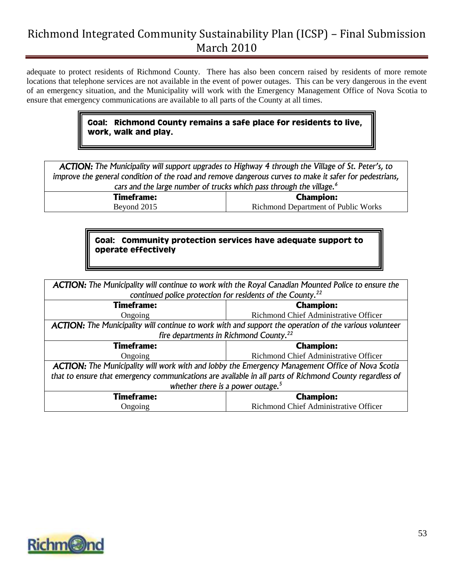adequate to protect residents of Richmond County. There has also been concern raised by residents of more remote locations that telephone services are not available in the event of power outages. This can be very dangerous in the event of an emergency situation, and the Municipality will work with the Emergency Management Office of Nova Scotia to ensure that emergency communications are available to all parts of the County at all times.

### **Goal: Richmond County remains a safe place for residents to live, work, walk and play.**

*ACTION: The Municipality will support upgrades to Highway 4 through the Village of St. Peter's, to improve the general condition of the road and remove dangerous curves to make it safer for pedestrians, cars and the large number of trucks which pass through the village.<sup>6</sup>*

> **Timeframe:** Beyond 2015

**Champion:** Richmond Department of Public Works

### **Goal: Community protection services have adequate support to operate effectively**

| <b>ACTION:</b> The Municipality will continue to work with the Royal Canadian Mounted Police to ensure the    |                                                    |  |  |
|---------------------------------------------------------------------------------------------------------------|----------------------------------------------------|--|--|
| continued police protection for residents of the County. <sup>22</sup>                                        |                                                    |  |  |
| <b>Timeframe:</b><br><b>Champion:</b>                                                                         |                                                    |  |  |
| Ongoing                                                                                                       | Richmond Chief Administrative Officer              |  |  |
| <b>ACTION:</b> The Municipality will continue to work with and support the operation of the various volunteer |                                                    |  |  |
|                                                                                                               | fire departments in Richmond County. <sup>22</sup> |  |  |
| <b>Timeframe:</b>                                                                                             | <b>Champion:</b>                                   |  |  |
| Ongoing                                                                                                       | Richmond Chief Administrative Officer              |  |  |
| <b>ACTION:</b> The Municipality will work with and lobby the Emergency Management Office of Nova Scotia       |                                                    |  |  |
| that to ensure that emergency communications are available in all parts of Richmond County regardless of      |                                                    |  |  |
| whether there is a power outage. <sup>5</sup>                                                                 |                                                    |  |  |
| <b>Timeframe:</b>                                                                                             | <b>Champion:</b>                                   |  |  |
| Richmond Chief Administrative Officer<br>Ongoing                                                              |                                                    |  |  |

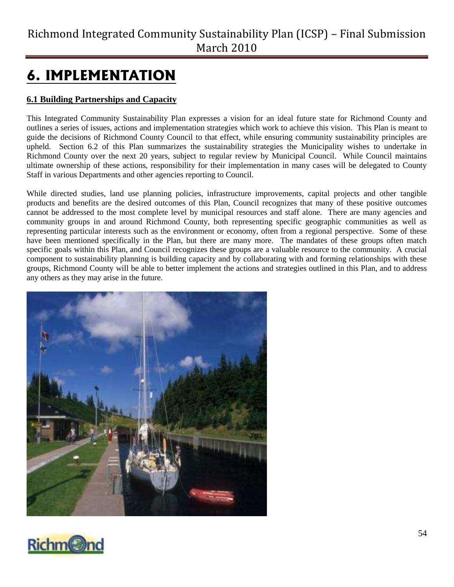# <span id="page-53-0"></span>**6. IMPLEMENTATION**

### <span id="page-53-1"></span>**6.1 Building Partnerships and Capacity**

This Integrated Community Sustainability Plan expresses a vision for an ideal future state for Richmond County and outlines a series of issues, actions and implementation strategies which work to achieve this vision. This Plan is meant to guide the decisions of Richmond County Council to that effect, while ensuring community sustainability principles are upheld. Section 6.2 of this Plan summarizes the sustainability strategies the Municipality wishes to undertake in Richmond County over the next 20 years, subject to regular review by Municipal Council. While Council maintains ultimate ownership of these actions, responsibility for their implementation in many cases will be delegated to County Staff in various Departments and other agencies reporting to Council.

While directed studies, land use planning policies, infrastructure improvements, capital projects and other tangible products and benefits are the desired outcomes of this Plan, Council recognizes that many of these positive outcomes cannot be addressed to the most complete level by municipal resources and staff alone. There are many agencies and community groups in and around Richmond County, both representing specific geographic communities as well as representing particular interests such as the environment or economy, often from a regional perspective. Some of these have been mentioned specifically in the Plan, but there are many more. The mandates of these groups often match specific goals within this Plan, and Council recognizes these groups are a valuable resource to the community. A crucial component to sustainability planning is building capacity and by collaborating with and forming relationships with these groups, Richmond County will be able to better implement the actions and strategies outlined in this Plan, and to address any others as they may arise in the future.



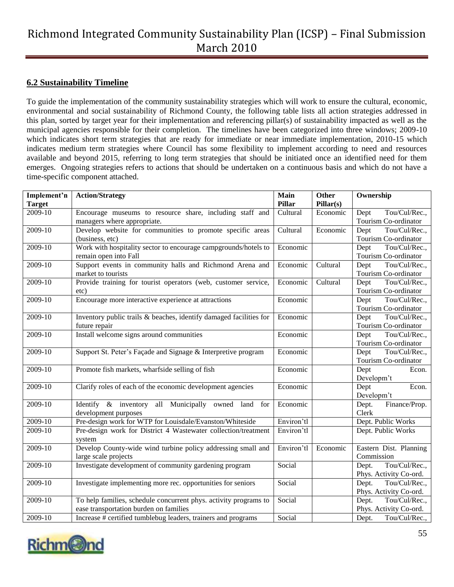#### <span id="page-54-0"></span>**6.2 Sustainability Timeline**

To guide the implementation of the community sustainability strategies which will work to ensure the cultural, economic, environmental and social sustainability of Richmond County, the following table lists all action strategies addressed in this plan, sorted by target year for their implementation and referencing pillar(s) of sustainability impacted as well as the municipal agencies responsible for their completion. The timelines have been categorized into three windows; 2009-10 which indicates short term strategies that are ready for immediate or near immediate implementation, 2010-15 which indicates medium term strategies where Council has some flexibility to implement according to need and resources available and beyond 2015, referring to long term strategies that should be initiated once an identified need for them emerges. Ongoing strategies refers to actions that should be undertaken on a continuous basis and which do not have a time-specific component attached.

| Implement'n<br><b>Target</b> | <b>Action/Strategy</b>                                                               | Main<br><b>Pillar</b> | <b>Other</b><br>Pillar(s)     | Ownership                    |
|------------------------------|--------------------------------------------------------------------------------------|-----------------------|-------------------------------|------------------------------|
| 2009-10                      | Encourage museums to resource share, including staff and                             | Cultural              | Economic                      | Tou/Cul/Rec.,<br>Dept        |
|                              | managers where appropriate.                                                          |                       |                               | Tourism Co-ordinator         |
| 2009-10                      | Develop website for communities to promote specific areas                            | Cultural              | Economic                      | Tou/Cul/Rec.,                |
|                              | (business, etc)                                                                      |                       |                               | Dept<br>Tourism Co-ordinator |
| 2009-10                      | Work with hospitality sector to encourage campgrounds/hotels to                      | Economic              |                               | Tou/Cul/Rec.,                |
|                              | remain open into Fall                                                                |                       |                               | Dept<br>Tourism Co-ordinator |
| 2009-10                      | Support events in community halls and Richmond Arena and                             | Economic              | Cultural                      | Tou/Cul/Rec.,                |
|                              |                                                                                      |                       |                               | Dept<br>Tourism Co-ordinator |
| 2009-10                      | market to tourists<br>Provide training for tourist operators (web, customer service, |                       | $\overline{\text{C}}$ ultural | Tou/Cul/Rec.,                |
|                              |                                                                                      | Economic              |                               | Dept                         |
|                              | etc)                                                                                 |                       |                               | Tourism Co-ordinator         |
| 2009-10                      | Encourage more interactive experience at attractions                                 | Economic              |                               | Tou/Cul/Rec.,<br>Dept        |
|                              |                                                                                      |                       |                               | Tourism Co-ordinator         |
| 2009-10                      | Inventory public trails & beaches, identify damaged facilities for                   | Economic              |                               | Tou/Cul/Rec.,<br>Dept        |
|                              | future repair                                                                        |                       |                               | Tourism Co-ordinator         |
| 2009-10                      | Install welcome signs around communities                                             | Economic              |                               | Tou/Cul/Rec.,<br>Dept        |
|                              |                                                                                      |                       |                               | Tourism Co-ordinator         |
| 2009-10                      | Support St. Peter's Façade and Signage & Interpretive program                        | Economic              |                               | Tou/Cul/Rec.,<br>Dept        |
|                              |                                                                                      |                       |                               | Tourism Co-ordinator         |
| 2009-10                      | Promote fish markets, wharfside selling of fish                                      | Economic              |                               | Dept<br>Econ.                |
|                              |                                                                                      |                       |                               | Developm't                   |
| 2009-10                      | Clarify roles of each of the economic development agencies                           | Economic              |                               | Dept<br>Econ.                |
|                              |                                                                                      |                       |                               | Developm't                   |
| 2009-10                      | Identify & inventory all Municipally owned land for                                  | Economic              |                               | Finance/Prop.<br>Dept.       |
|                              | development purposes                                                                 |                       |                               | Clerk                        |
| 2009-10                      | Pre-design work for WTP for Louisdale/Evanston/Whiteside                             | Environ'tl            |                               | Dept. Public Works           |
| 2009-10                      | Pre-design work for District 4 Wastewater collection/treatment                       | Environ'tl            |                               | Dept. Public Works           |
|                              | system                                                                               |                       |                               |                              |
| 2009-10                      | Develop County-wide wind turbine policy addressing small and                         | Environ'tl            | Economic                      | Eastern Dist. Planning       |
|                              | large scale projects                                                                 |                       |                               | Commission                   |
| 2009-10                      | Investigate development of community gardening program                               | Social                |                               | Tou/Cul/Rec.,<br>Dept.       |
|                              |                                                                                      |                       |                               | Phys. Activity Co-ord.       |
| 2009-10                      | Investigate implementing more rec. opportunities for seniors                         | Social                |                               | Tou/Cul/Rec.,<br>Dept.       |
|                              |                                                                                      |                       |                               | Phys. Activity Co-ord.       |
| 2009-10                      | To help families, schedule concurrent phys. activity programs to                     | Social                |                               | Tou/Cul/Rec.,<br>Dept.       |
|                              | ease transportation burden on families                                               |                       |                               | Phys. Activity Co-ord.       |
| 2009-10                      | Increase # certified tumblebug leaders, trainers and programs                        | Social                |                               | Tou/Cul/Rec.,<br>Dept.       |

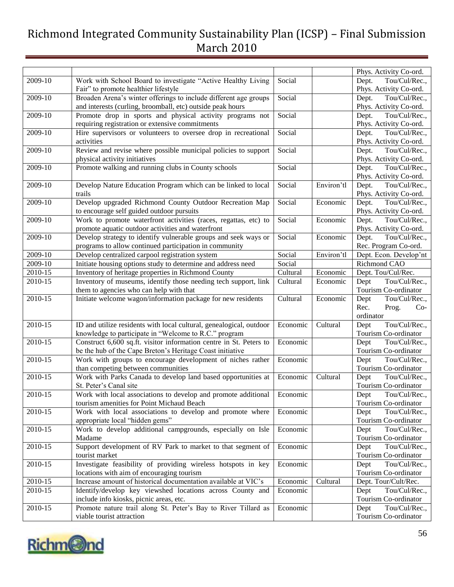|             |                                                                                             |          |            | Phys. Activity Co-ord.                        |
|-------------|---------------------------------------------------------------------------------------------|----------|------------|-----------------------------------------------|
| 2009-10     | Work with School Board to investigate "Active Healthy Living                                | Social   |            | Tou/Cul/Rec.,<br>Dept.                        |
|             | Fair" to promote healthier lifestyle                                                        |          |            | Phys. Activity Co-ord.                        |
| 2009-10     | Broaden Arena's winter offerings to include different age groups                            | Social   |            | Tou/Cul/Rec.,<br>Dept.                        |
|             |                                                                                             |          |            |                                               |
|             | and interests (curling, broomball, etc) outside peak hours                                  |          |            | Phys. Activity Co-ord.                        |
| 2009-10     | Promote drop in sports and physical activity programs not                                   | Social   |            | Tou/Cul/Rec.,<br>Dept.                        |
|             | requiring registration or extensive commitments                                             |          |            | Phys. Activity Co-ord.                        |
| 2009-10     | Hire supervisors or volunteers to oversee drop in recreational                              | Social   |            | Tou/Cul/Rec.,<br>Dept.                        |
|             | activities                                                                                  |          |            | Phys. Activity Co-ord.                        |
| 2009-10     | Review and revise where possible municipal policies to support                              | Social   |            | Tou/Cul/Rec.,<br>Dept.                        |
|             | physical activity initiatives                                                               |          |            | Phys. Activity Co-ord.                        |
| 2009-10     | Promote walking and running clubs in County schools                                         | Social   |            | Tou/Cul/Rec.,<br>Dept.                        |
|             |                                                                                             |          |            | Phys. Activity Co-ord.                        |
| 2009-10     | Develop Nature Education Program which can be linked to local                               | Social   | Environ'tl | Tou/Cul/Rec.,<br>Dept.                        |
|             | trails                                                                                      |          |            | Phys. Activity Co-ord.                        |
| 2009-10     | Develop upgraded Richmond County Outdoor Recreation Map                                     | Social   | Economic   | Tou/Cul/Rec.,<br>Dept.                        |
|             | to encourage self guided outdoor pursuits                                                   |          |            | Phys. Activity Co-ord.                        |
| 2009-10     | Work to promote waterfront activities (races, regattas, etc) to                             | Social   | Economic   | Tou/Cul/Rec.,<br>Dept.                        |
|             | promote aquatic outdoor activities and waterfront                                           |          |            | Phys. Activity Co-ord.                        |
| 2009-10     | Develop strategy to identify vulnerable groups and seek ways or                             | Social   | Economic   | Tou/Cul/Rec.,<br>Dept.                        |
|             | programs to allow continued participation in community                                      |          |            | Rec. Program Co-ord.                          |
| 2009-10     | Develop centralized carpool registration system                                             | Social   | Environ'tl | Dept. Econ. Develop'nt                        |
| 2009-10     | Initiate housing options study to determine and address need                                | Social   |            | Richmond CAO                                  |
| 2010-15     | Inventory of heritage properties in Richmond County                                         | Cultural | Economic   | Dept. Tou/Cul/Rec.                            |
| 2010-15     | Inventory of museums, identify those needing tech support, link                             | Cultural | Economic   | Tou/Cul/Rec.,<br>Dept                         |
|             | them to agencies who can help with that                                                     |          |            | Tourism Co-ordinator                          |
| 2010-15     | Initiate welcome wagon/information package for new residents                                | Cultural | Economic   | Tou/Cul/Rec.,<br>Dept                         |
|             |                                                                                             |          |            | Rec.<br>Prog.<br>$Co-$                        |
|             |                                                                                             |          |            | ordinator                                     |
| 2010-15     | ID and utilize residents with local cultural, genealogical, outdoor                         | Economic | Cultural   | Tou/Cul/Rec.,<br>Dept                         |
|             | knowledge to participate in "Welcome to R.C." program                                       |          |            | Tourism Co-ordinator                          |
| 2010-15     | Construct 6,600 sq.ft. visitor information centre in St. Peters to                          |          |            | Tou/Cul/Rec.,                                 |
|             |                                                                                             | Economic |            | Dept                                          |
|             | be the hub of the Cape Breton's Heritage Coast initiative                                   |          |            | Tourism Co-ordinator                          |
| 2010-15     | Work with groups to encourage development of niches rather                                  | Economic |            | Tou/Cul/Rec.,<br>Dept                         |
|             | than competing between communities                                                          |          |            | Tourism Co-ordinator                          |
| 2010-15     | Work with Parks Canada to develop land based opportunities at                               | Economic | Cultural   | Tou/Cul/Rec.,<br>Dept                         |
|             | St. Peter's Canal site                                                                      |          |            | Tourism Co-ordinator                          |
| 2010-15     | Work with local associations to develop and promote additional                              | Economic |            | Tou/Cul/Rec.,<br>Dept                         |
|             | tourism amenities for Point Michaud Beach                                                   |          |            | Tourism Co-ordinator                          |
| 2010-15     | Work with local associations to develop and promote where                                   | Economic |            | Tou/Cul/Rec.,<br>Dept                         |
|             | appropriate local "hidden gems"                                                             |          |            | Tourism Co-ordinator                          |
| $2010 - 15$ | Work to develop additional campgrounds, especially on Isle                                  | Economic |            | Tou/Cul/Rec.,<br>Dept                         |
|             | Madame                                                                                      |          |            | Tourism Co-ordinator                          |
| 2010-15     | Support development of RV Park to market to that segment of                                 | Economic |            | Tou/Cul/Rec.,<br>Dept                         |
|             | tourist market                                                                              |          |            | Tourism Co-ordinator                          |
| 2010-15     | Investigate feasibility of providing wireless hotspots in key                               | Economic |            | Tou/Cul/Rec.,<br>Dept                         |
|             | locations with aim of encouraging tourism                                                   |          |            | Tourism Co-ordinator                          |
| 2010-15     | Increase amount of historical documentation available at VIC's                              | Economic | Cultural   | Dept. Tour/Cult/Rec.                          |
| 2010-15     | Identify/develop key viewshed locations across County and                                   | Economic |            | Dept<br>Tou/Cul/Rec.,                         |
|             | include info kiosks, picnic areas, etc.                                                     |          |            | Tourism Co-ordinator                          |
|             |                                                                                             |          |            |                                               |
|             |                                                                                             |          |            |                                               |
| 2010-15     | Promote nature trail along St. Peter's Bay to River Tillard as<br>viable tourist attraction | Economic |            | Tou/Cul/Rec.,<br>Dept<br>Tourism Co-ordinator |

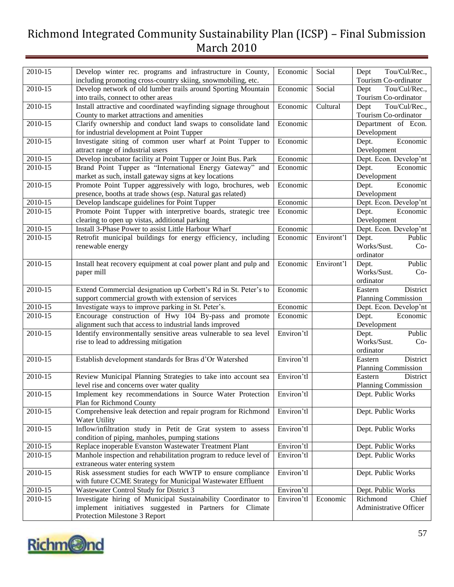| 2010-15 | Develop winter rec. programs and infrastructure in County,                                                     | Economic   | Social     | Tou/Cul/Rec.,<br>Dept                         |
|---------|----------------------------------------------------------------------------------------------------------------|------------|------------|-----------------------------------------------|
|         | including promoting cross-country skiing, snowmobiling, etc.                                                   |            |            | Tourism Co-ordinator                          |
| 2010-15 | Develop network of old lumber trails around Sporting Mountain<br>into trails, connect to other areas           | Economic   | Social     | Tou/Cul/Rec.,<br>Dept<br>Tourism Co-ordinator |
|         |                                                                                                                |            |            |                                               |
| 2010-15 | Install attractive and coordinated wayfinding signage throughout<br>County to market attractions and amenities | Economic   | Cultural   | Tou/Cul/Rec.,<br>Dept<br>Tourism Co-ordinator |
| 2010-15 | Clarify ownership and conduct land swaps to consolidate land                                                   | Economic   |            | Department of Econ.                           |
|         | for industrial development at Point Tupper                                                                     |            |            | Development                                   |
| 2010-15 | Investigate siting of common user wharf at Point Tupper to                                                     | Economic   |            | Economic<br>Dept.                             |
|         | attract range of industrial users                                                                              |            |            | Development                                   |
| 2010-15 | Develop incubator facility at Point Tupper or Joint Bus. Park                                                  | Economic   |            | Dept. Econ. Develop'nt                        |
| 2010-15 | Brand Point Tupper as "International Energy Gateway" and                                                       | Economic   |            | Dept.<br>Economic                             |
|         | market as such, install gateway signs at key locations                                                         |            |            | Development                                   |
| 2010-15 | Promote Point Tupper aggressively with logo, brochures, web                                                    | Economic   |            | Economic<br>Dept.                             |
|         | presence, booths at trade shows (esp. Natural gas related)                                                     |            |            | Development                                   |
| 2010-15 | Develop landscape guidelines for Point Tupper                                                                  | Economic   |            | Dept. Econ. Develop'nt                        |
| 2010-15 | Promote Point Tupper with interpretive boards, strategic tree                                                  | Economic   |            | Economic<br>Dept.                             |
|         | clearing to open up vistas, additional parking                                                                 |            |            | Development                                   |
| 2010-15 | Install 3-Phase Power to assist Little Harbour Wharf                                                           | Economic   |            | Dept. Econ. Develop'nt                        |
| 2010-15 | Retrofit municipal buildings for energy efficiency, including                                                  | Economic   | Environt'l | Public<br>Dept.                               |
|         | renewable energy                                                                                               |            |            | Works/Sust.<br>$Co-$                          |
|         |                                                                                                                |            |            | ordinator                                     |
| 2010-15 | Install heat recovery equipment at coal power plant and pulp and                                               | Economic   | Environt'l | Public<br>Dept.                               |
|         | paper mill                                                                                                     |            |            | Works/Sust.<br>$Co-$                          |
|         |                                                                                                                |            |            | ordinator                                     |
| 2010-15 | Extend Commercial designation up Corbett's Rd in St. Peter's to                                                | Economic   |            | District<br>Eastern                           |
|         | support commercial growth with extension of services                                                           |            |            | Planning Commission                           |
| 2010-15 | Investigate ways to improve parking in St. Peter's.                                                            | Economic   |            | Dept. Econ. Develop'nt                        |
| 2010-15 | Encourage construction of Hwy 104 By-pass and promote                                                          | Economic   |            | Economic<br>Dept.                             |
|         | alignment such that access to industrial lands improved                                                        |            |            | Development                                   |
| 2010-15 | Identify environmentally sensitive areas vulnerable to sea level                                               | Environ'tl |            | Public<br>Dept.                               |
|         | rise to lead to addressing mitigation                                                                          |            |            | Works/Sust.<br>$Co-$                          |
|         |                                                                                                                |            |            | ordinator                                     |
| 2010-15 | Establish development standards for Bras d'Or Watershed                                                        | Environ'tl |            | District<br>Eastern                           |
|         |                                                                                                                |            |            | <b>Planning Commission</b>                    |
| 2010-15 | Review Municipal Planning Strategies to take into account sea                                                  | Environ'tl |            | Eastern<br>District                           |
|         | level rise and concerns over water quality                                                                     |            |            | <b>Planning Commission</b>                    |
| 2010-15 | Implement key recommendations in Source Water Protection<br>Plan for Richmond County                           | Environ'tl |            | Dept. Public Works                            |
|         |                                                                                                                |            |            |                                               |
| 2010-15 | Comprehensive leak detection and repair program for Richmond<br>Water Utility                                  | Environ'tl |            | Dept. Public Works                            |
| 2010-15 | Inflow/infiltration study in Petit de Grat system to assess                                                    | Environ'tl |            | Dept. Public Works                            |
|         | condition of piping, manholes, pumping stations                                                                |            |            |                                               |
| 2010-15 | Replace inoperable Evanston Wastewater Treatment Plant                                                         | Environ'tl |            | Dept. Public Works                            |
| 2010-15 | Manhole inspection and rehabilitation program to reduce level of                                               | Environ'tl |            | Dept. Public Works                            |
|         | extraneous water entering system                                                                               |            |            |                                               |
| 2010-15 | Risk assessment studies for each WWTP to ensure compliance                                                     | Environ'tl |            | Dept. Public Works                            |
|         | with future CCME Strategy for Municipal Wastewater Effluent                                                    |            |            |                                               |
| 2010-15 | Wastewater Control Study for District 3                                                                        | Environ'tl |            | Dept. Public Works                            |
| 2010-15 | Investigate hiring of Municipal Sustainability Coordinator to                                                  | Environ'tl | Economic   | Richmond<br>Chief                             |
|         | implement initiatives suggested in Partners for Climate                                                        |            |            | Administrative Officer                        |
|         | Protection Milestone 3 Report                                                                                  |            |            |                                               |

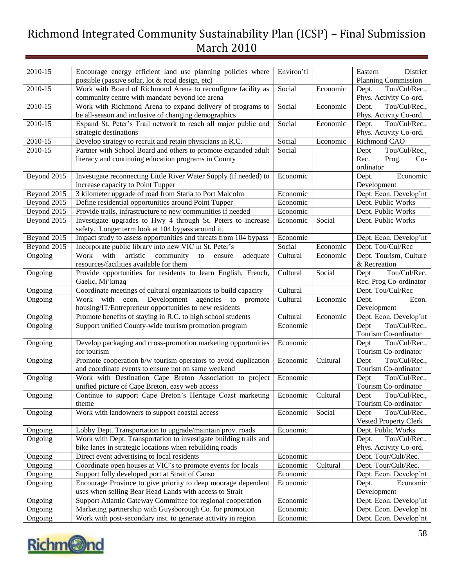| 2010-15            | Encourage energy efficient land use planning policies where                                                               | Environ'tl           |          | District<br>Eastern              |  |
|--------------------|---------------------------------------------------------------------------------------------------------------------------|----------------------|----------|----------------------------------|--|
|                    | possible (passive solar, lot & road design, etc)                                                                          |                      |          | <b>Planning Commission</b>       |  |
| 2010-15            | Work with Board of Richmond Arena to reconfigure facility as                                                              | Social               | Economic | Tou/Cul/Rec.,<br>Dept.           |  |
|                    | community centre with mandate beyond ice arena                                                                            |                      |          | Phys. Activity Co-ord.           |  |
| 2010-15            | Work with Richmond Arena to expand delivery of programs to                                                                | Social               | Economic | Tou/Cul/Rec.,<br>Dept.           |  |
|                    | be all-season and inclusive of changing demographics                                                                      |                      |          | Phys. Activity Co-ord.           |  |
| 2010-15            | Expand St. Peter's Trail network to reach all major public and                                                            | Social               | Economic | Tou/Cul/Rec.,<br>Dept.           |  |
|                    | strategic destinations                                                                                                    |                      |          | Phys. Activity Co-ord.           |  |
| 2010-15            | Develop strategy to recruit and retain physicians in R.C.                                                                 | Social               | Economic | Richmond CAO                     |  |
| 2010-15            | Partner with School Board and others to promote expanded adult                                                            | Social               |          | Tou/Cul/Rec.,<br>Dept            |  |
|                    | literacy and continuing education programs in County                                                                      |                      |          | Rec.<br>Prog.<br>$Co-$           |  |
|                    |                                                                                                                           |                      |          | ordinator                        |  |
| Beyond 2015        | Investigate reconnecting Little River Water Supply (if needed) to                                                         | Economic             |          | Economic<br>Dept.                |  |
|                    | increase capacity to Point Tupper                                                                                         |                      |          | Development                      |  |
| Beyond 2015        | 3 kilometer upgrade of road from Statia to Port Malcolm                                                                   | Economic             |          | Dept. Econ. Develop'nt           |  |
| Beyond 2015        | Define residential opportunities around Point Tupper                                                                      | Economic             |          | Dept. Public Works               |  |
| Beyond 2015        | Provide trails, infrastructure to new communities if needed                                                               | Economic             |          | Dept. Public Works               |  |
| Beyond 2015        | Investigate upgrades to Hwy 4 through St. Peters to increase                                                              | Economic             | Social   | Dept. Public Works               |  |
|                    | safety. Longer term look at 104 bypass around it.                                                                         |                      |          |                                  |  |
| Beyond 2015        | Impact study to assess opportunities and threats from 104 bypass                                                          | Economic             |          | Dept. Econ. Develop'nt           |  |
| Beyond 2015        | Incorporate public library into new VIC in St. Peter's                                                                    | Social               | Economic | Dept. Tou/Cul/Rec                |  |
| Ongoing            | Work<br>with<br>artistic<br>community<br>adequate<br>to<br>ensure                                                         | Cultural             | Economic | Dept. Tourism, Culture           |  |
|                    | resources/facilities available for them                                                                                   |                      |          | & Recreation                     |  |
| Ongoing            | Provide opportunities for residents to learn English, French,                                                             | Cultural             | Social   | Tou/Cul/Rec,<br>Dept             |  |
|                    | Gaelic, Mi'kmaq                                                                                                           |                      |          | Rec. Prog Co-ordinator           |  |
| Ongoing            | Coordinate meetings of cultural organizations to build capacity                                                           | Cultural             |          | Dept. Tou/Cul/Rec                |  |
| Ongoing            | Work with econ. Development agencies to promote                                                                           | Cultural             | Economic | Econ.<br>Dept.<br>Development    |  |
| Ongoing            | housing/IT/Entrepreneur opportunities to new residents<br>Promote benefits of staying in R.C. to high school students     | Cultural             | Economic | Dept. Econ. Develop'nt           |  |
| Ongoing            | Support unified County-wide tourism promotion program                                                                     | Economic             |          | Tou/Cul/Rec.,<br>Dept            |  |
|                    |                                                                                                                           |                      |          | Tourism Co-ordinator             |  |
| Ongoing            | Develop packaging and cross-promotion marketing opportunities                                                             | Economic             |          | Tou/Cul/Rec.,<br>Dept            |  |
|                    | for tourism                                                                                                               |                      |          | Tourism Co-ordinator             |  |
| Ongoing            | Promote cooperation b/w tourism operators to avoid duplication                                                            | Economic             | Cultural | Tou/Cul/Rec.,<br>Dept            |  |
|                    | and coordinate events to ensure not on same weekend                                                                       |                      |          | Tourism Co-ordinator             |  |
| Ongoing            | Work with Destination Cape Breton Association to project                                                                  | Economic             |          | Tou/Cul/Rec.,<br>Dept            |  |
|                    | unified picture of Cape Breton, easy web access                                                                           |                      |          | Tourism Co-ordinator             |  |
| Ongoing            | Continue to support Cape Breton's Heritage Coast marketing   Economic   Cultural                                          |                      |          | Tou/Cul/Rec.<br>Dept             |  |
|                    | theme                                                                                                                     |                      |          | Tourism Co-ordinator             |  |
| Ongoing            | Work with landowners to support coastal access                                                                            | Economic             | Social   | Tou/Cul/Rec.,<br>Dept            |  |
|                    |                                                                                                                           |                      |          | <b>Vested Property Clerk</b>     |  |
| Ongoing            | Lobby Dept. Transportation to upgrade/maintain prov. roads                                                                | Economic             |          | Dept. Public Works               |  |
| Ongoing            | Work with Dept. Transportation to investigate building trails and                                                         |                      |          | Dept.<br>Tou/Cul/Rec.,           |  |
|                    | bike lanes in strategic locations when rebuilding roads                                                                   |                      |          | Phys. Activity Co-ord.           |  |
| Ongoing            | Direct event advertising to local residents                                                                               | Economic             |          | Dept. Tour/Cult/Rec.             |  |
| Ongoing            | Coordinate open houses at VIC's to promote events for locals                                                              | Economic             | Cultural | Dept. Tour/Cult/Rec.             |  |
| Ongoing            | Support fully developed port at Strait of Canso                                                                           | Economic             |          | Dept. Econ. Develop'nt           |  |
| Ongoing            | Encourage Province to give priority to deep moorage dependent                                                             | Economic             |          | Economic<br>Dept.<br>Development |  |
|                    | uses when selling Bear Head Lands with access to Strait                                                                   |                      |          | Dept. Econ. Develop'nt           |  |
| Ongoing            | Support Atlantic Gateway Committee for regional cooperation                                                               | Economic<br>Economic |          | Dept. Econ. Develop'nt           |  |
| Ongoing<br>Ongoing | Marketing partnership with Guysborough Co. for promotion<br>Work with post-secondary inst. to generate activity in region | Economic             |          | Dept. Econ. Develop'nt           |  |
|                    |                                                                                                                           |                      |          |                                  |  |

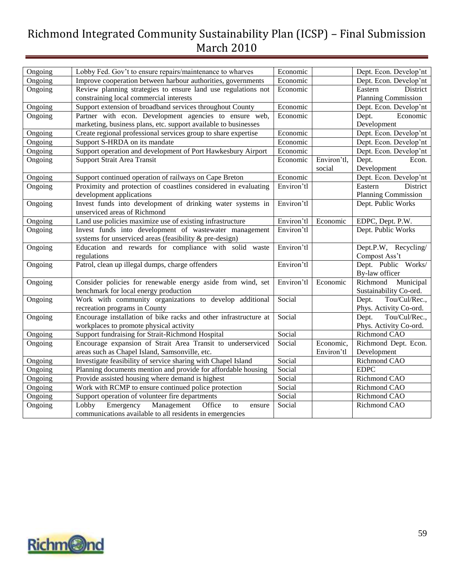| Ongoing | Lobby Fed. Gov't to ensure repairs/maintenance to wharves        | Economic   |             | Dept. Econ. Develop'nt     |  |  |
|---------|------------------------------------------------------------------|------------|-------------|----------------------------|--|--|
| Ongoing | Improve cooperation between harbour authorities, governments     | Economic   |             | Dept. Econ. Develop'nt     |  |  |
| Ongoing | Review planning strategies to ensure land use regulations not    | Economic   |             | Eastern<br>District        |  |  |
|         | constraining local commercial interests                          |            |             | <b>Planning Commission</b> |  |  |
| Ongoing | Support extension of broadband services throughout County        | Economic   |             | Dept. Econ. Develop'nt     |  |  |
| Ongoing | Partner with econ. Development agencies to ensure web,           | Economic   |             | Economic<br>Dept.          |  |  |
|         | marketing, business plans, etc. support available to businesses  |            |             | Development                |  |  |
| Ongoing | Create regional professional services group to share expertise   | Economic   |             | Dept. Econ. Develop'nt     |  |  |
| Ongoing | Support S-HRDA on its mandate                                    | Economic   |             | Dept. Econ. Develop'nt     |  |  |
| Ongoing | Support operation and development of Port Hawkesbury Airport     | Economic   |             | Dept. Econ. Develop'nt     |  |  |
| Ongoing | Support Strait Area Transit                                      | Economic   | Environ'tl, | Dept.<br>Econ.             |  |  |
|         |                                                                  |            | social      | Development                |  |  |
| Ongoing | Support continued operation of railways on Cape Breton           | Economic   |             | Dept. Econ. Develop'nt     |  |  |
| Ongoing | Proximity and protection of coastlines considered in evaluating  | Environ'tl |             | District<br>Eastern        |  |  |
|         | development applications                                         |            |             | <b>Planning Commission</b> |  |  |
| Ongoing | Invest funds into development of drinking water systems in       | Environ'tl |             | Dept. Public Works         |  |  |
|         | unserviced areas of Richmond                                     |            |             |                            |  |  |
| Ongoing | Land use policies maximize use of existing infrastructure        | Environ'tl | Economic    | EDPC, Dept. P.W.           |  |  |
| Ongoing | Invest funds into development of wastewater management           | Environ'tl |             | Dept. Public Works         |  |  |
|         | systems for unserviced areas (feasibility & pre-design)          |            |             |                            |  |  |
| Ongoing | Education and rewards for compliance with solid waste            | Environ'tl |             | Dept.P.W, Recycling/       |  |  |
|         | regulations                                                      |            |             | Compost Ass't              |  |  |
| Ongoing | Patrol, clean up illegal dumps, charge offenders                 | Environ'tl |             | Dept. Public Works/        |  |  |
|         |                                                                  |            |             | By-law officer             |  |  |
| Ongoing | Consider policies for renewable energy aside from wind, set      | Environ'tl | Economic    | Richmond Municipal         |  |  |
|         | benchmark for local energy production                            |            |             | Sustainability Co-ord.     |  |  |
| Ongoing | Work with community organizations to develop additional          | Social     |             | Tou/Cul/Rec.,<br>Dept.     |  |  |
|         | recreation programs in County                                    |            |             | Phys. Activity Co-ord.     |  |  |
| Ongoing | Encourage installation of bike racks and other infrastructure at | Social     |             | Dept.<br>Tou/Cul/Rec.,     |  |  |
|         | workplaces to promote physical activity                          |            |             | Phys. Activity Co-ord.     |  |  |
| Ongoing | Support fundraising for Strait-Richmond Hospital                 | Social     |             | Richmond CAO               |  |  |
| Ongoing | Encourage expansion of Strait Area Transit to underserviced      | Social     | Economic,   | Richmond Dept. Econ.       |  |  |
|         | areas such as Chapel Island, Samsonville, etc.                   |            | Environ'tl  | Development                |  |  |
| Ongoing | Investigate feasibility of service sharing with Chapel Island    | Social     |             | Richmond CAO               |  |  |
| Ongoing | Planning documents mention and provide for affordable housing    | Social     |             | <b>EDPC</b>                |  |  |
| Ongoing | Provide assisted housing where demand is highest                 | Social     |             | Richmond CAO               |  |  |
| Ongoing | Work with RCMP to ensure continued police protection             | Social     |             | Richmond CAO               |  |  |
| Ongoing | Support operation of volunteer fire departments                  | Social     |             | Richmond CAO               |  |  |
| Ongoing | Management<br>Lobby<br>Emergency<br>Office<br>to<br>ensure       | Social     |             | Richmond CAO               |  |  |
|         | communications available to all residents in emergencies         |            |             |                            |  |  |

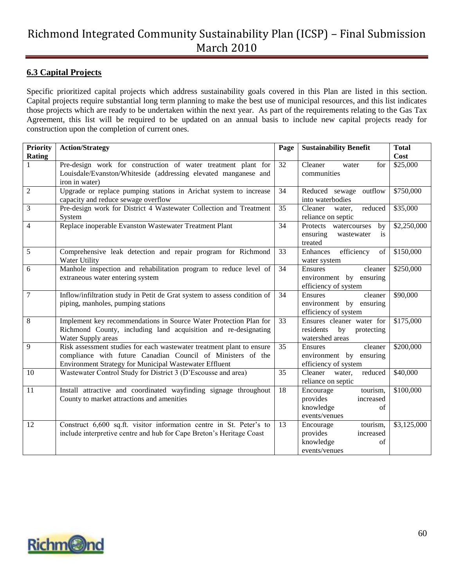#### <span id="page-59-0"></span>**6.3 Capital Projects**

Specific prioritized capital projects which address sustainability goals covered in this Plan are listed in this section. Capital projects require substantial long term planning to make the best use of municipal resources, and this list indicates those projects which are ready to be undertaken within the next year. As part of the requirements relating to the Gas Tax Agreement, this list will be required to be updated on an annual basis to include new capital projects ready for construction upon the completion of current ones.

| <b>Priority</b> | <b>Action/Strategy</b>                                                                                                | Page            | <b>Sustainability Benefit</b>                   | <b>Total</b>     |
|-----------------|-----------------------------------------------------------------------------------------------------------------------|-----------------|-------------------------------------------------|------------------|
| <b>Rating</b>   | Pre-design work for construction of water treatment plant for                                                         | 32              | Cleaner<br>for<br>water                         | Cost<br>\$25,000 |
|                 | Louisdale/Evanston/Whiteside (addressing elevated manganese and                                                       |                 | communities                                     |                  |
|                 | iron in water)                                                                                                        |                 |                                                 |                  |
| $\overline{2}$  | Upgrade or replace pumping stations in Arichat system to increase                                                     | 34              | Reduced sewage outflow                          | \$750,000        |
|                 | capacity and reduce sewage overflow                                                                                   |                 | into waterbodies                                |                  |
| 3               | Pre-design work for District 4 Wastewater Collection and Treatment                                                    | 35              | Cleaner<br>reduced<br>water,                    | \$35,000         |
|                 | System                                                                                                                |                 | reliance on septic                              |                  |
| 4               | Replace inoperable Evanston Wastewater Treatment Plant                                                                | 34              | Protects<br>watercourses<br>by                  | \$2,250,000      |
|                 |                                                                                                                       |                 | ensuring<br>is<br>wastewater                    |                  |
|                 |                                                                                                                       |                 | treated                                         |                  |
| 5               | Comprehensive leak detection and repair program for Richmond<br>Water Utility                                         | 33              | Enhances<br>efficiency<br>of                    | \$150,000        |
| 6               | Manhole inspection and rehabilitation program to reduce level of                                                      | 34              | water system<br>cleaner<br>Ensures              | \$250,000        |
|                 | extraneous water entering system                                                                                      |                 | environment by ensuring                         |                  |
|                 |                                                                                                                       |                 | efficiency of system                            |                  |
| 7               | Inflow/infiltration study in Petit de Grat system to assess condition of                                              | 34              | cleaner<br><b>Ensures</b>                       | \$90,000         |
|                 | piping, manholes, pumping stations                                                                                    |                 | environment by ensuring                         |                  |
|                 |                                                                                                                       |                 | efficiency of system                            |                  |
| 8               | Implement key recommendations in Source Water Protection Plan for                                                     | 33              | Ensures cleaner water for                       | \$175,000        |
|                 | Richmond County, including land acquisition and re-designating                                                        |                 | residents<br>by<br>protecting                   |                  |
|                 | Water Supply areas                                                                                                    |                 | watershed areas                                 |                  |
| 9               | Risk assessment studies for each wastewater treatment plant to ensure                                                 | $\overline{35}$ | Ensures<br>cleaner                              | \$200,000        |
|                 | compliance with future Canadian Council of Ministers of the<br>Environment Strategy for Municipal Wastewater Effluent |                 | environment by ensuring<br>efficiency of system |                  |
| 10              | Wastewater Control Study for District 3 (D'Escousse and area)                                                         | 35              | Cleaner<br>reduced<br>water,                    | \$40,000         |
|                 |                                                                                                                       |                 | reliance on septic                              |                  |
| 11              | Install attractive and coordinated wayfinding signage throughout                                                      | 18              | Encourage<br>tourism,                           | \$100,000        |
|                 | County to market attractions and amenities                                                                            |                 | provides<br>increased                           |                  |
|                 |                                                                                                                       |                 | knowledge<br>of                                 |                  |
|                 |                                                                                                                       |                 | events/venues                                   |                  |
| 12              | Construct 6,600 sq.ft. visitor information centre in St. Peter's to                                                   | 13              | Encourage<br>tourism,                           | \$3,125,000      |
|                 | include interpretive centre and hub for Cape Breton's Heritage Coast                                                  |                 | provides<br>increased                           |                  |
|                 |                                                                                                                       |                 | knowledge<br>of                                 |                  |
|                 |                                                                                                                       |                 | events/venues                                   |                  |